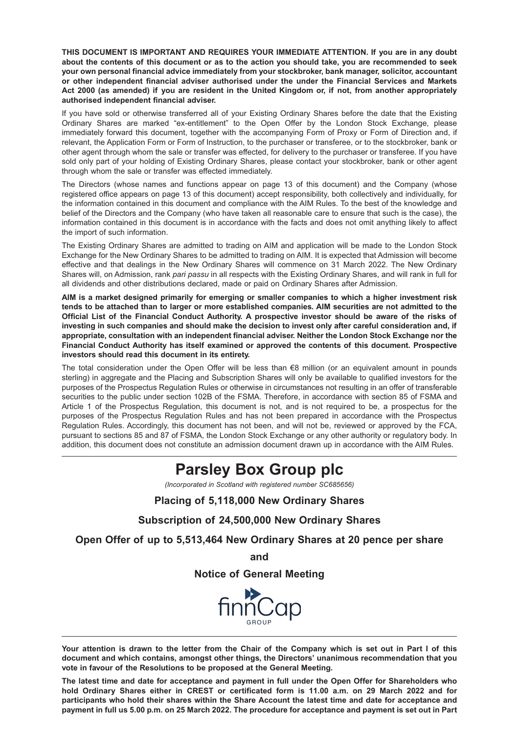**THIS DOCUMENT IS IMPORTANT AND REQUIRES YOUR IMMEDIATE ATTENTION. If you are in any doubt about the contents of this document or as to the action you should take, you are recommended to seek your own personal financial advice immediately from your stockbroker, bank manager, solicitor, accountant or other independent financial adviser authorised under the under the Financial Services and Markets Act 2000 (as amended) if you are resident in the United Kingdom or, if not, from another appropriately authorised independent financial adviser.**

If you have sold or otherwise transferred all of your Existing Ordinary Shares before the date that the Existing Ordinary Shares are marked "ex-entitlement" to the Open Offer by the London Stock Exchange, please immediately forward this document, together with the accompanying Form of Proxy or Form of Direction and, if relevant, the Application Form or Form of Instruction, to the purchaser or transferee, or to the stockbroker, bank or other agent through whom the sale or transfer was effected, for delivery to the purchaser or transferee. If you have sold only part of your holding of Existing Ordinary Shares, please contact your stockbroker, bank or other agent through whom the sale or transfer was effected immediately.

The Directors (whose names and functions appear on page 13 of this document) and the Company (whose registered office appears on page 13 of this document) accept responsibility, both collectively and individually, for the information contained in this document and compliance with the AIM Rules. To the best of the knowledge and belief of the Directors and the Company (who have taken all reasonable care to ensure that such is the case), the information contained in this document is in accordance with the facts and does not omit anything likely to affect the import of such information.

The Existing Ordinary Shares are admitted to trading on AIM and application will be made to the London Stock Exchange for the New Ordinary Shares to be admitted to trading on AIM. It is expected that Admission will become effective and that dealings in the New Ordinary Shares will commence on 31 March 2022. The New Ordinary Shares will, on Admission, rank *pari passu* in all respects with the Existing Ordinary Shares, and will rank in full for all dividends and other distributions declared, made or paid on Ordinary Shares after Admission.

**AIM is a market designed primarily for emerging or smaller companies to which a higher investment risk tends to be attached than to larger or more established companies. AIM securities are not admitted to the Official List of the Financial Conduct Authority. A prospective investor should be aware of the risks of investing in such companies and should make the decision to invest only after careful consideration and, if appropriate, consultation with an independent financial adviser. Neither the London Stock Exchange nor the Financial Conduct Authority has itself examined or approved the contents of this document. Prospective investors should read this document in its entirety.**

The total consideration under the Open Offer will be less than €8 million (or an equivalent amount in pounds sterling) in aggregate and the Placing and Subscription Shares will only be available to qualified investors for the purposes of the Prospectus Regulation Rules or otherwise in circumstances not resulting in an offer of transferable securities to the public under section 102B of the FSMA. Therefore, in accordance with section 85 of FSMA and Article 1 of the Prospectus Regulation, this document is not, and is not required to be, a prospectus for the purposes of the Prospectus Regulation Rules and has not been prepared in accordance with the Prospectus Regulation Rules. Accordingly, this document has not been, and will not be, reviewed or approved by the FCA, pursuant to sections 85 and 87 of FSMA, the London Stock Exchange or any other authority or regulatory body. In addition, this document does not constitute an admission document drawn up in accordance with the AIM Rules.

# **Parsley Box Group plc**

*(Incorporated in Scotland with registered number SC685656)*

### **Placing of 5,118,000 New Ordinary Shares**

**Subscription of 24,500,000 New Ordinary Shares**

**Open Offer of up to 5,513,464 New Ordinary Shares at 20 pence per share**

**and**

**Notice of General Meeting**



**Your attention is drawn to the letter from the Chair of the Company which is set out in Part I of this document and which contains, amongst other things, the Directors' unanimous recommendation that you vote in favour of the Resolutions to be proposed at the General Meeting.**

**The latest time and date for acceptance and payment in full under the Open Offer for Shareholders who hold Ordinary Shares either in CREST or certificated form is 11.00 a.m. on 29 March 2022 and for participants who hold their shares within the Share Account the latest time and date for acceptance and payment in full us 5.00 p.m. on 25 March 2022. The procedure for acceptance and payment is set out in Part**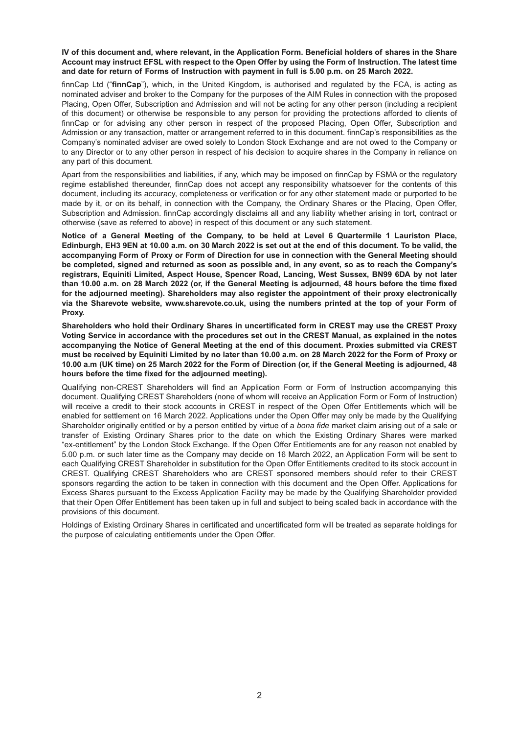**IV of this document and, where relevant, in the Application Form. Beneficial holders of shares in the Share Account may instruct EFSL with respect to the Open Offer by using the Form of Instruction. The latest time and date for return of Forms of Instruction with payment in full is 5.00 p.m. on 25 March 2022.**

finnCap Ltd ("**finnCap**"), which, in the United Kingdom, is authorised and regulated by the FCA, is acting as nominated adviser and broker to the Company for the purposes of the AIM Rules in connection with the proposed Placing, Open Offer, Subscription and Admission and will not be acting for any other person (including a recipient of this document) or otherwise be responsible to any person for providing the protections afforded to clients of finnCap or for advising any other person in respect of the proposed Placing, Open Offer, Subscription and Admission or any transaction, matter or arrangement referred to in this document. finnCap's responsibilities as the Company's nominated adviser are owed solely to London Stock Exchange and are not owed to the Company or to any Director or to any other person in respect of his decision to acquire shares in the Company in reliance on any part of this document.

Apart from the responsibilities and liabilities, if any, which may be imposed on finnCap by FSMA or the regulatory regime established thereunder, finnCap does not accept any responsibility whatsoever for the contents of this document, including its accuracy, completeness or verification or for any other statement made or purported to be made by it, or on its behalf, in connection with the Company, the Ordinary Shares or the Placing, Open Offer, Subscription and Admission. finnCap accordingly disclaims all and any liability whether arising in tort, contract or otherwise (save as referred to above) in respect of this document or any such statement.

**Notice of a General Meeting of the Company, to be held at Level 6 Quartermile 1 Lauriston Place, Edinburgh, EH3 9EN at 10.00 a.m. on 30 March 2022 is set out at the end of this document. To be valid, the accompanying Form of Proxy or Form of Direction for use in connection with the General Meeting should be completed, signed and returned as soon as possible and, in any event, so as to reach the Company's registrars, Equiniti Limited, Aspect House, Spencer Road, Lancing, West Sussex, BN99 6DA by not later than 10.00 a.m. on 28 March 2022 (or, if the General Meeting is adjourned, 48 hours before the time fixed for the adjourned meeting). Shareholders may also register the appointment of their proxy electronically via the Sharevote website, www.sharevote.co.uk, using the numbers printed at the top of your Form of Proxy.**

**Shareholders who hold their Ordinary Shares in uncertificated form in CREST may use the CREST Proxy Voting Service in accordance with the procedures set out in the CREST Manual, as explained in the notes accompanying the Notice of General Meeting at the end of this document. Proxies submitted via CREST must be received by Equiniti Limited by no later than 10.00 a.m. on 28 March 2022 for the Form of Proxy or 10.00 a.m (UK time) on 25 March 2022 for the Form of Direction (or, if the General Meeting is adjourned, 48 hours before the time fixed for the adjourned meeting).**

Qualifying non-CREST Shareholders will find an Application Form or Form of Instruction accompanying this document. Qualifying CREST Shareholders (none of whom will receive an Application Form or Form of Instruction) will receive a credit to their stock accounts in CREST in respect of the Open Offer Entitlements which will be enabled for settlement on 16 March 2022. Applications under the Open Offer may only be made by the Qualifying Shareholder originally entitled or by a person entitled by virtue of a *bona fide* market claim arising out of a sale or transfer of Existing Ordinary Shares prior to the date on which the Existing Ordinary Shares were marked "ex-entitlement" by the London Stock Exchange. If the Open Offer Entitlements are for any reason not enabled by 5.00 p.m. or such later time as the Company may decide on 16 March 2022, an Application Form will be sent to each Qualifying CREST Shareholder in substitution for the Open Offer Entitlements credited to its stock account in CREST. Qualifying CREST Shareholders who are CREST sponsored members should refer to their CREST sponsors regarding the action to be taken in connection with this document and the Open Offer. Applications for Excess Shares pursuant to the Excess Application Facility may be made by the Qualifying Shareholder provided that their Open Offer Entitlement has been taken up in full and subject to being scaled back in accordance with the provisions of this document.

Holdings of Existing Ordinary Shares in certificated and uncertificated form will be treated as separate holdings for the purpose of calculating entitlements under the Open Offer.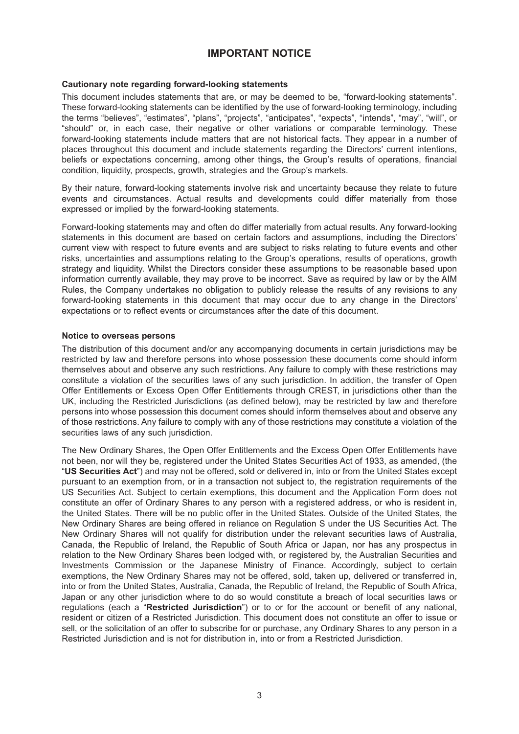# **IMPORTANT NOTICE**

#### **Cautionary note regarding forward-looking statements**

This document includes statements that are, or may be deemed to be, "forward-looking statements". These forward-looking statements can be identified by the use of forward-looking terminology, including the terms "believes", "estimates", "plans", "projects", "anticipates", "expects", "intends", "may", "will", or "should" or, in each case, their negative or other variations or comparable terminology. These forward-looking statements include matters that are not historical facts. They appear in a number of places throughout this document and include statements regarding the Directors' current intentions, beliefs or expectations concerning, among other things, the Group's results of operations, financial condition, liquidity, prospects, growth, strategies and the Group's markets.

By their nature, forward-looking statements involve risk and uncertainty because they relate to future events and circumstances. Actual results and developments could differ materially from those expressed or implied by the forward-looking statements.

Forward-looking statements may and often do differ materially from actual results. Any forward-looking statements in this document are based on certain factors and assumptions, including the Directors' current view with respect to future events and are subject to risks relating to future events and other risks, uncertainties and assumptions relating to the Group's operations, results of operations, growth strategy and liquidity. Whilst the Directors consider these assumptions to be reasonable based upon information currently available, they may prove to be incorrect. Save as required by law or by the AIM Rules, the Company undertakes no obligation to publicly release the results of any revisions to any forward-looking statements in this document that may occur due to any change in the Directors' expectations or to reflect events or circumstances after the date of this document.

#### **Notice to overseas persons**

The distribution of this document and/or any accompanying documents in certain jurisdictions may be restricted by law and therefore persons into whose possession these documents come should inform themselves about and observe any such restrictions. Any failure to comply with these restrictions may constitute a violation of the securities laws of any such jurisdiction. In addition, the transfer of Open Offer Entitlements or Excess Open Offer Entitlements through CREST, in jurisdictions other than the UK, including the Restricted Jurisdictions (as defined below), may be restricted by law and therefore persons into whose possession this document comes should inform themselves about and observe any of those restrictions. Any failure to comply with any of those restrictions may constitute a violation of the securities laws of any such jurisdiction.

The New Ordinary Shares, the Open Offer Entitlements and the Excess Open Offer Entitlements have not been, nor will they be, registered under the United States Securities Act of 1933, as amended, (the "**US Securities Act**") and may not be offered, sold or delivered in, into or from the United States except pursuant to an exemption from, or in a transaction not subject to, the registration requirements of the US Securities Act. Subject to certain exemptions, this document and the Application Form does not constitute an offer of Ordinary Shares to any person with a registered address, or who is resident in, the United States. There will be no public offer in the United States. Outside of the United States, the New Ordinary Shares are being offered in reliance on Regulation S under the US Securities Act. The New Ordinary Shares will not qualify for distribution under the relevant securities laws of Australia, Canada, the Republic of Ireland, the Republic of South Africa or Japan, nor has any prospectus in relation to the New Ordinary Shares been lodged with, or registered by, the Australian Securities and Investments Commission or the Japanese Ministry of Finance. Accordingly, subject to certain exemptions, the New Ordinary Shares may not be offered, sold, taken up, delivered or transferred in, into or from the United States, Australia, Canada, the Republic of Ireland, the Republic of South Africa, Japan or any other jurisdiction where to do so would constitute a breach of local securities laws or regulations (each a "**Restricted Jurisdiction**") or to or for the account or benefit of any national, resident or citizen of a Restricted Jurisdiction. This document does not constitute an offer to issue or sell, or the solicitation of an offer to subscribe for or purchase, any Ordinary Shares to any person in a Restricted Jurisdiction and is not for distribution in, into or from a Restricted Jurisdiction.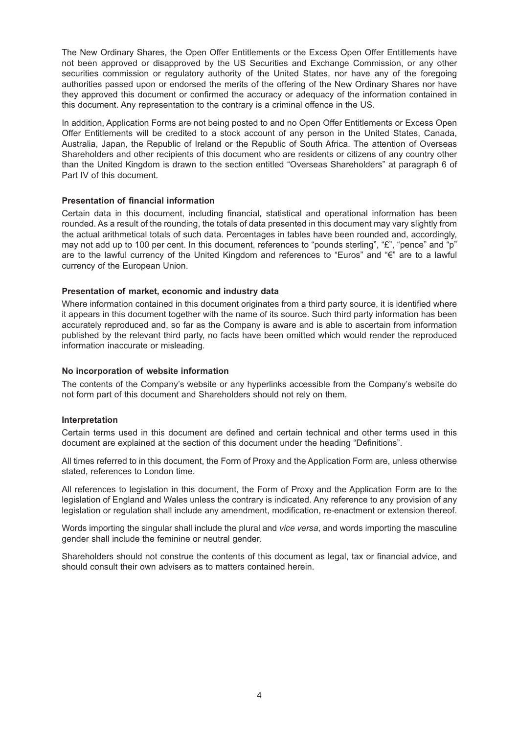The New Ordinary Shares, the Open Offer Entitlements or the Excess Open Offer Entitlements have not been approved or disapproved by the US Securities and Exchange Commission, or any other securities commission or regulatory authority of the United States, nor have any of the foregoing authorities passed upon or endorsed the merits of the offering of the New Ordinary Shares nor have they approved this document or confirmed the accuracy or adequacy of the information contained in this document. Any representation to the contrary is a criminal offence in the US.

In addition, Application Forms are not being posted to and no Open Offer Entitlements or Excess Open Offer Entitlements will be credited to a stock account of any person in the United States, Canada, Australia, Japan, the Republic of Ireland or the Republic of South Africa. The attention of Overseas Shareholders and other recipients of this document who are residents or citizens of any country other than the United Kingdom is drawn to the section entitled "Overseas Shareholders" at paragraph 6 of Part IV of this document.

#### **Presentation of financial information**

Certain data in this document, including financial, statistical and operational information has been rounded. As a result of the rounding, the totals of data presented in this document may vary slightly from the actual arithmetical totals of such data. Percentages in tables have been rounded and, accordingly, may not add up to 100 per cent. In this document, references to "pounds sterling", "£", "pence" and "p" are to the lawful currency of the United Kingdom and references to "Euros" and "€" are to a lawful currency of the European Union.

#### **Presentation of market, economic and industry data**

Where information contained in this document originates from a third party source, it is identified where it appears in this document together with the name of its source. Such third party information has been accurately reproduced and, so far as the Company is aware and is able to ascertain from information published by the relevant third party, no facts have been omitted which would render the reproduced information inaccurate or misleading.

#### **No incorporation of website information**

The contents of the Company's website or any hyperlinks accessible from the Company's website do not form part of this document and Shareholders should not rely on them.

#### **Interpretation**

Certain terms used in this document are defined and certain technical and other terms used in this document are explained at the section of this document under the heading "Definitions".

All times referred to in this document, the Form of Proxy and the Application Form are, unless otherwise stated, references to London time.

All references to legislation in this document, the Form of Proxy and the Application Form are to the legislation of England and Wales unless the contrary is indicated. Any reference to any provision of any legislation or regulation shall include any amendment, modification, re-enactment or extension thereof.

Words importing the singular shall include the plural and *vice versa*, and words importing the masculine gender shall include the feminine or neutral gender.

Shareholders should not construe the contents of this document as legal, tax or financial advice, and should consult their own advisers as to matters contained herein.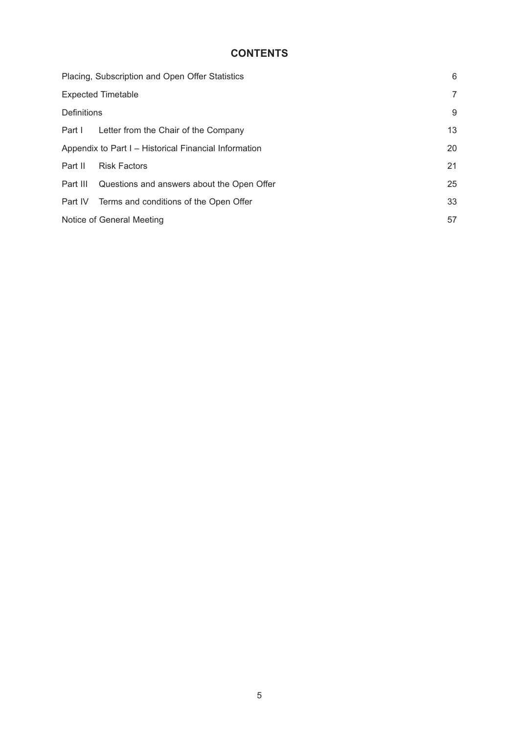# **CONTENTS**

|                    | Placing, Subscription and Open Offer Statistics       | 6              |
|--------------------|-------------------------------------------------------|----------------|
|                    | <b>Expected Timetable</b>                             | $\overline{7}$ |
| <b>Definitions</b> |                                                       | 9              |
|                    | Part I Letter from the Chair of the Company           | 13             |
|                    | Appendix to Part I - Historical Financial Information | 20             |
| Part II            | <b>Risk Factors</b>                                   | 21             |
|                    | Part III Questions and answers about the Open Offer   | 25             |
|                    | Part IV Terms and conditions of the Open Offer        | 33             |
|                    | Notice of General Meeting                             | 57             |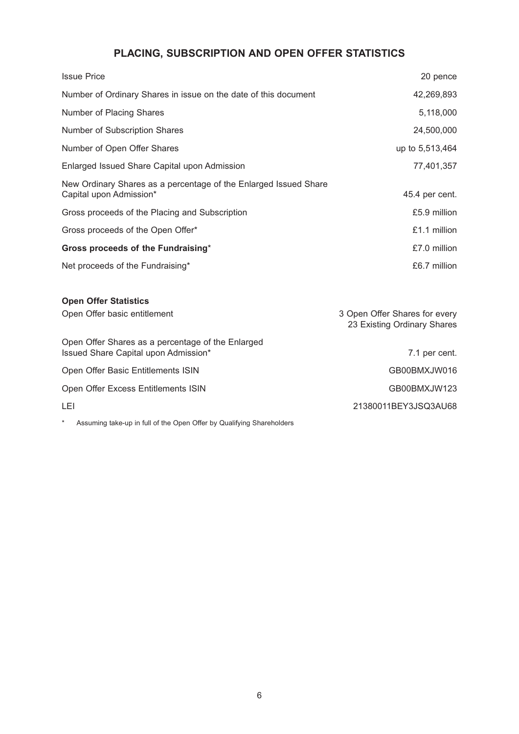# **PLACING, SUBSCRIPTION AND OPEN OFFER STATISTICS**

| <b>Issue Price</b>                                                                          | 20 pence                                                     |
|---------------------------------------------------------------------------------------------|--------------------------------------------------------------|
| Number of Ordinary Shares in issue on the date of this document                             | 42,269,893                                                   |
| Number of Placing Shares                                                                    | 5,118,000                                                    |
| Number of Subscription Shares                                                               | 24,500,000                                                   |
| Number of Open Offer Shares                                                                 | up to 5,513,464                                              |
| Enlarged Issued Share Capital upon Admission                                                | 77,401,357                                                   |
| New Ordinary Shares as a percentage of the Enlarged Issued Share<br>Capital upon Admission* | 45.4 per cent.                                               |
| Gross proceeds of the Placing and Subscription                                              | £5.9 million                                                 |
| Gross proceeds of the Open Offer*                                                           | £1.1 million                                                 |
| Gross proceeds of the Fundraising*                                                          | £7.0 million                                                 |
| Net proceeds of the Fundraising*                                                            | £6.7 million                                                 |
| <b>Open Offer Statistics</b>                                                                |                                                              |
| Open Offer basic entitlement                                                                | 3 Open Offer Shares for every<br>23 Existing Ordinary Shares |
| Open Offer Shares as a percentage of the Enlarged<br>Issued Share Capital upon Admission*   | 7.1 per cent.                                                |
| Open Offer Basic Entitlements ISIN                                                          | GB00BMXJW016                                                 |
| Open Offer Excess Entitlements ISIN                                                         | GB00BMXJW123                                                 |
| LEI                                                                                         | 21380011BEY3JSQ3AU68                                         |
|                                                                                             |                                                              |

\* Assuming take-up in full of the Open Offer by Qualifying Shareholders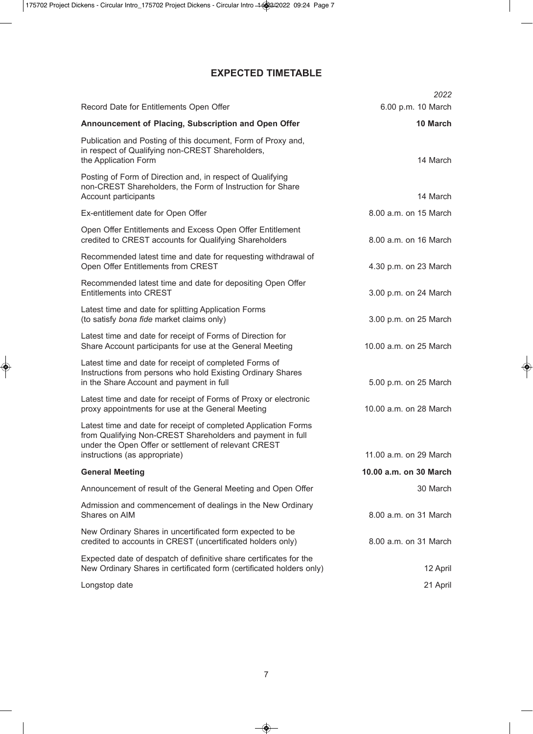# **EXPECTED TIMETABLE**

|                                                                                                                                                                                       | 2022                   |
|---------------------------------------------------------------------------------------------------------------------------------------------------------------------------------------|------------------------|
| Record Date for Entitlements Open Offer                                                                                                                                               | 6.00 p.m. 10 March     |
| Announcement of Placing, Subscription and Open Offer                                                                                                                                  | 10 March               |
| Publication and Posting of this document, Form of Proxy and,<br>in respect of Qualifying non-CREST Shareholders,<br>the Application Form                                              | 14 March               |
| Posting of Form of Direction and, in respect of Qualifying<br>non-CREST Shareholders, the Form of Instruction for Share<br>Account participants                                       | 14 March               |
| Ex-entitlement date for Open Offer                                                                                                                                                    | 8.00 a.m. on 15 March  |
| Open Offer Entitlements and Excess Open Offer Entitlement<br>credited to CREST accounts for Qualifying Shareholders                                                                   | 8.00 a.m. on 16 March  |
| Recommended latest time and date for requesting withdrawal of<br>Open Offer Entitlements from CREST                                                                                   | 4.30 p.m. on 23 March  |
| Recommended latest time and date for depositing Open Offer<br><b>Entitlements into CREST</b>                                                                                          | 3.00 p.m. on 24 March  |
| Latest time and date for splitting Application Forms<br>(to satisfy bona fide market claims only)                                                                                     | 3.00 p.m. on 25 March  |
| Latest time and date for receipt of Forms of Direction for<br>Share Account participants for use at the General Meeting                                                               | 10.00 a.m. on 25 March |
| Latest time and date for receipt of completed Forms of<br>Instructions from persons who hold Existing Ordinary Shares<br>in the Share Account and payment in full                     | 5.00 p.m. on 25 March  |
| Latest time and date for receipt of Forms of Proxy or electronic<br>proxy appointments for use at the General Meeting                                                                 | 10.00 a.m. on 28 March |
| Latest time and date for receipt of completed Application Forms<br>from Qualifying Non-CREST Shareholders and payment in full<br>under the Open Offer or settlement of relevant CREST |                        |
| instructions (as appropriate)                                                                                                                                                         | 11.00 a.m. on 29 March |
| <b>General Meeting</b>                                                                                                                                                                | 10.00 a.m. on 30 March |
| Announcement of result of the General Meeting and Open Offer                                                                                                                          | 30 March               |
| Admission and commencement of dealings in the New Ordinary<br>Shares on AIM                                                                                                           | 8.00 a.m. on 31 March  |
| New Ordinary Shares in uncertificated form expected to be<br>credited to accounts in CREST (uncertificated holders only)                                                              | 8.00 a.m. on 31 March  |
| Expected date of despatch of definitive share certificates for the<br>New Ordinary Shares in certificated form (certificated holders only)                                            | 12 April               |
| Longstop date                                                                                                                                                                         | 21 April               |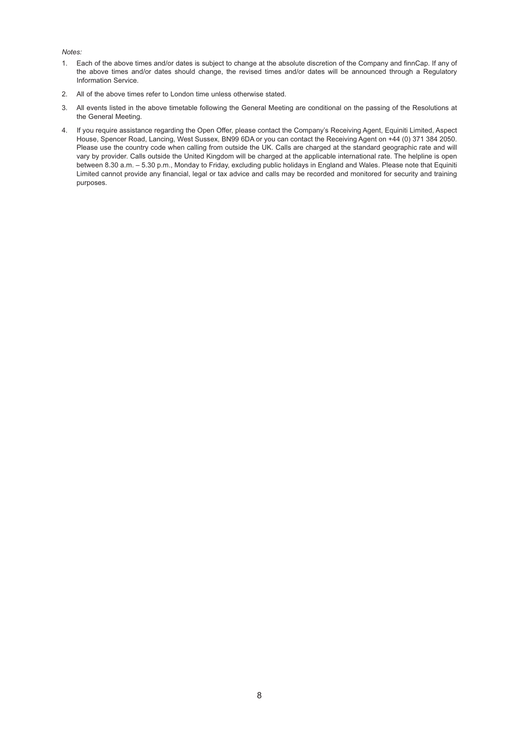#### *Notes:*

- 1. Each of the above times and/or dates is subject to change at the absolute discretion of the Company and finnCap. If any of the above times and/or dates should change, the revised times and/or dates will be announced through a Regulatory Information Service.
- 2. All of the above times refer to London time unless otherwise stated.
- 3. All events listed in the above timetable following the General Meeting are conditional on the passing of the Resolutions at the General Meeting.
- 4. If you require assistance regarding the Open Offer, please contact the Company's Receiving Agent, Equiniti Limited, Aspect House, Spencer Road, Lancing, West Sussex, BN99 6DA or you can contact the Receiving Agent on +44 (0) 371 384 2050. Please use the country code when calling from outside the UK. Calls are charged at the standard geographic rate and will vary by provider. Calls outside the United Kingdom will be charged at the applicable international rate. The helpline is open between 8.30 a.m. – 5.30 p.m., Monday to Friday, excluding public holidays in England and Wales. Please note that Equiniti Limited cannot provide any financial, legal or tax advice and calls may be recorded and monitored for security and training purposes.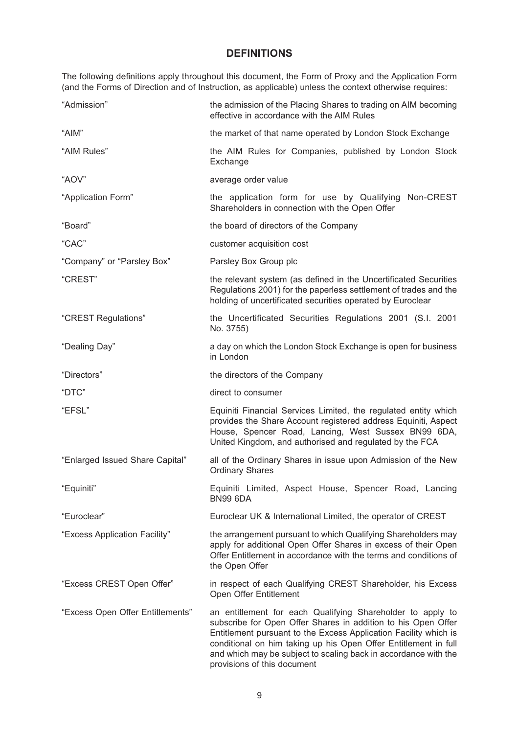# **DEFINITIONS**

The following definitions apply throughout this document, the Form of Proxy and the Application Form (and the Forms of Direction and of Instruction, as applicable) unless the context otherwise requires:

| "Admission"                      | the admission of the Placing Shares to trading on AIM becoming<br>effective in accordance with the AIM Rules                                                                                                                                                                                                                                                         |
|----------------------------------|----------------------------------------------------------------------------------------------------------------------------------------------------------------------------------------------------------------------------------------------------------------------------------------------------------------------------------------------------------------------|
| "AIM"                            | the market of that name operated by London Stock Exchange                                                                                                                                                                                                                                                                                                            |
| "AIM Rules"                      | the AIM Rules for Companies, published by London Stock<br>Exchange                                                                                                                                                                                                                                                                                                   |
| "AOV"                            | average order value                                                                                                                                                                                                                                                                                                                                                  |
| "Application Form"               | the application form for use by Qualifying Non-CREST<br>Shareholders in connection with the Open Offer                                                                                                                                                                                                                                                               |
| "Board"                          | the board of directors of the Company                                                                                                                                                                                                                                                                                                                                |
| "CAC"                            | customer acquisition cost                                                                                                                                                                                                                                                                                                                                            |
| "Company" or "Parsley Box"       | Parsley Box Group plc                                                                                                                                                                                                                                                                                                                                                |
| "CREST"                          | the relevant system (as defined in the Uncertificated Securities<br>Regulations 2001) for the paperless settlement of trades and the<br>holding of uncertificated securities operated by Euroclear                                                                                                                                                                   |
| "CREST Regulations"              | the Uncertificated Securities Regulations 2001 (S.I. 2001<br>No. 3755)                                                                                                                                                                                                                                                                                               |
| "Dealing Day"                    | a day on which the London Stock Exchange is open for business<br>in London                                                                                                                                                                                                                                                                                           |
| "Directors"                      | the directors of the Company                                                                                                                                                                                                                                                                                                                                         |
| "DTC"                            | direct to consumer                                                                                                                                                                                                                                                                                                                                                   |
| "EFSL"                           | Equiniti Financial Services Limited, the regulated entity which<br>provides the Share Account registered address Equiniti, Aspect<br>House, Spencer Road, Lancing, West Sussex BN99 6DA,<br>United Kingdom, and authorised and regulated by the FCA                                                                                                                  |
| "Enlarged Issued Share Capital"  | all of the Ordinary Shares in issue upon Admission of the New<br><b>Ordinary Shares</b>                                                                                                                                                                                                                                                                              |
| "Equiniti"                       | Equiniti Limited, Aspect House, Spencer Road, Lancing<br><b>BN99 6DA</b>                                                                                                                                                                                                                                                                                             |
| "Euroclear"                      | Euroclear UK & International Limited, the operator of CREST                                                                                                                                                                                                                                                                                                          |
| "Excess Application Facility"    | the arrangement pursuant to which Qualifying Shareholders may<br>apply for additional Open Offer Shares in excess of their Open<br>Offer Entitlement in accordance with the terms and conditions of<br>the Open Offer                                                                                                                                                |
| "Excess CREST Open Offer"        | in respect of each Qualifying CREST Shareholder, his Excess<br>Open Offer Entitlement                                                                                                                                                                                                                                                                                |
| "Excess Open Offer Entitlements" | an entitlement for each Qualifying Shareholder to apply to<br>subscribe for Open Offer Shares in addition to his Open Offer<br>Entitlement pursuant to the Excess Application Facility which is<br>conditional on him taking up his Open Offer Entitlement in full<br>and which may be subject to scaling back in accordance with the<br>provisions of this document |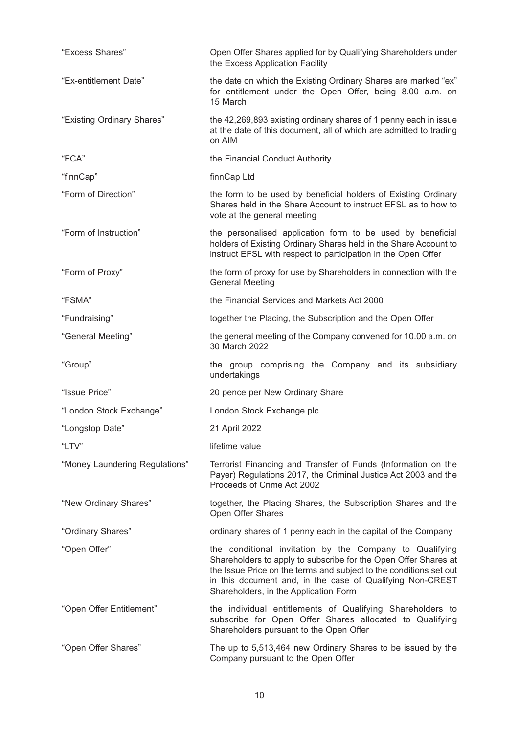| "Excess Shares"                | Open Offer Shares applied for by Qualifying Shareholders under<br>the Excess Application Facility                                                                                                                                                                                                      |
|--------------------------------|--------------------------------------------------------------------------------------------------------------------------------------------------------------------------------------------------------------------------------------------------------------------------------------------------------|
| "Ex-entitlement Date"          | the date on which the Existing Ordinary Shares are marked "ex"<br>for entitlement under the Open Offer, being 8.00 a.m. on<br>15 March                                                                                                                                                                 |
| "Existing Ordinary Shares"     | the 42,269,893 existing ordinary shares of 1 penny each in issue<br>at the date of this document, all of which are admitted to trading<br>on AIM                                                                                                                                                       |
| "FCA"                          | the Financial Conduct Authority                                                                                                                                                                                                                                                                        |
| "finnCap"                      | finnCap Ltd                                                                                                                                                                                                                                                                                            |
| "Form of Direction"            | the form to be used by beneficial holders of Existing Ordinary<br>Shares held in the Share Account to instruct EFSL as to how to<br>vote at the general meeting                                                                                                                                        |
| "Form of Instruction"          | the personalised application form to be used by beneficial<br>holders of Existing Ordinary Shares held in the Share Account to<br>instruct EFSL with respect to participation in the Open Offer                                                                                                        |
| "Form of Proxy"                | the form of proxy for use by Shareholders in connection with the<br><b>General Meeting</b>                                                                                                                                                                                                             |
| "FSMA"                         | the Financial Services and Markets Act 2000                                                                                                                                                                                                                                                            |
| "Fundraising"                  | together the Placing, the Subscription and the Open Offer                                                                                                                                                                                                                                              |
| "General Meeting"              | the general meeting of the Company convened for 10.00 a.m. on<br>30 March 2022                                                                                                                                                                                                                         |
| "Group"                        | the group comprising the Company and its subsidiary<br>undertakings                                                                                                                                                                                                                                    |
| "Issue Price"                  | 20 pence per New Ordinary Share                                                                                                                                                                                                                                                                        |
| "London Stock Exchange"        | London Stock Exchange plc                                                                                                                                                                                                                                                                              |
| "Longstop Date"                | 21 April 2022                                                                                                                                                                                                                                                                                          |
| "LTV"                          | lifetime value                                                                                                                                                                                                                                                                                         |
| "Money Laundering Regulations" | Terrorist Financing and Transfer of Funds (Information on the<br>Payer) Regulations 2017, the Criminal Justice Act 2003 and the<br>Proceeds of Crime Act 2002                                                                                                                                          |
| "New Ordinary Shares"          | together, the Placing Shares, the Subscription Shares and the<br>Open Offer Shares                                                                                                                                                                                                                     |
| "Ordinary Shares"              | ordinary shares of 1 penny each in the capital of the Company                                                                                                                                                                                                                                          |
| "Open Offer"                   | the conditional invitation by the Company to Qualifying<br>Shareholders to apply to subscribe for the Open Offer Shares at<br>the Issue Price on the terms and subject to the conditions set out<br>in this document and, in the case of Qualifying Non-CREST<br>Shareholders, in the Application Form |
|                                |                                                                                                                                                                                                                                                                                                        |
| "Open Offer Entitlement"       | the individual entitlements of Qualifying Shareholders to<br>subscribe for Open Offer Shares allocated to Qualifying<br>Shareholders pursuant to the Open Offer                                                                                                                                        |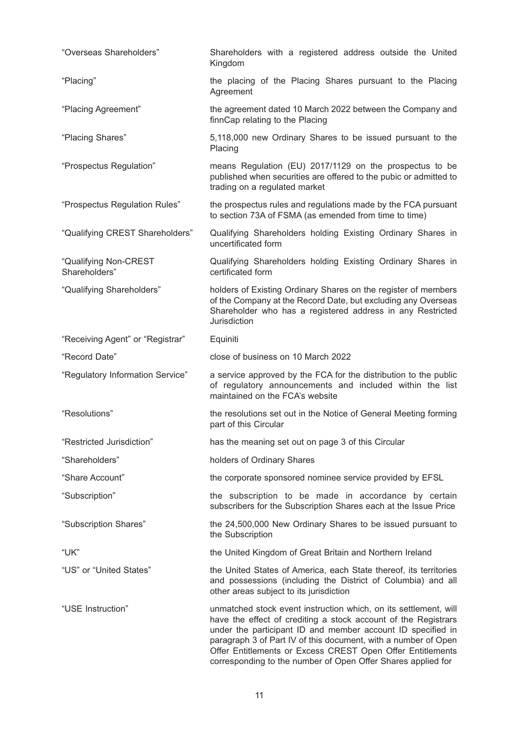| "Overseas Shareholders"                | Shareholders with a registered address outside the United<br>Kingdom                                                                                                                                                                                                                                                                                                                              |
|----------------------------------------|---------------------------------------------------------------------------------------------------------------------------------------------------------------------------------------------------------------------------------------------------------------------------------------------------------------------------------------------------------------------------------------------------|
| "Placing"                              | the placing of the Placing Shares pursuant to the Placing<br>Agreement                                                                                                                                                                                                                                                                                                                            |
| "Placing Agreement"                    | the agreement dated 10 March 2022 between the Company and<br>finnCap relating to the Placing                                                                                                                                                                                                                                                                                                      |
| "Placing Shares"                       | 5,118,000 new Ordinary Shares to be issued pursuant to the<br>Placing                                                                                                                                                                                                                                                                                                                             |
| "Prospectus Regulation"                | means Regulation (EU) 2017/1129 on the prospectus to be<br>published when securities are offered to the pubic or admitted to<br>trading on a regulated market                                                                                                                                                                                                                                     |
| "Prospectus Regulation Rules"          | the prospectus rules and regulations made by the FCA pursuant<br>to section 73A of FSMA (as emended from time to time)                                                                                                                                                                                                                                                                            |
| "Qualifying CREST Shareholders"        | Qualifying Shareholders holding Existing Ordinary Shares in<br>uncertificated form                                                                                                                                                                                                                                                                                                                |
| "Qualifying Non-CREST<br>Shareholders" | Qualifying Shareholders holding Existing Ordinary Shares in<br>certificated form                                                                                                                                                                                                                                                                                                                  |
| "Qualifying Shareholders"              | holders of Existing Ordinary Shares on the register of members<br>of the Company at the Record Date, but excluding any Overseas<br>Shareholder who has a registered address in any Restricted<br>Jurisdiction                                                                                                                                                                                     |
| "Receiving Agent" or "Registrar"       | Equiniti                                                                                                                                                                                                                                                                                                                                                                                          |
| "Record Date"                          | close of business on 10 March 2022                                                                                                                                                                                                                                                                                                                                                                |
| "Regulatory Information Service"       | a service approved by the FCA for the distribution to the public<br>of regulatory announcements and included within the list<br>maintained on the FCA's website                                                                                                                                                                                                                                   |
| "Resolutions"                          | the resolutions set out in the Notice of General Meeting forming<br>part of this Circular                                                                                                                                                                                                                                                                                                         |
| "Restricted Jurisdiction"              | has the meaning set out on page 3 of this Circular                                                                                                                                                                                                                                                                                                                                                |
| "Shareholders"                         | holders of Ordinary Shares                                                                                                                                                                                                                                                                                                                                                                        |
| "Share Account"                        | the corporate sponsored nominee service provided by EFSL                                                                                                                                                                                                                                                                                                                                          |
| "Subscription"                         | the subscription to be made in accordance by certain<br>subscribers for the Subscription Shares each at the Issue Price                                                                                                                                                                                                                                                                           |
| "Subscription Shares"                  | the 24,500,000 New Ordinary Shares to be issued pursuant to<br>the Subscription                                                                                                                                                                                                                                                                                                                   |
| "UK"                                   | the United Kingdom of Great Britain and Northern Ireland                                                                                                                                                                                                                                                                                                                                          |
| "US" or "United States"                | the United States of America, each State thereof, its territories<br>and possessions (including the District of Columbia) and all<br>other areas subject to its jurisdiction                                                                                                                                                                                                                      |
| "USE Instruction"                      | unmatched stock event instruction which, on its settlement, will<br>have the effect of crediting a stock account of the Registrars<br>under the participant ID and member account ID specified in<br>paragraph 3 of Part IV of this document, with a number of Open<br>Offer Entitlements or Excess CREST Open Offer Entitlements<br>corresponding to the number of Open Offer Shares applied for |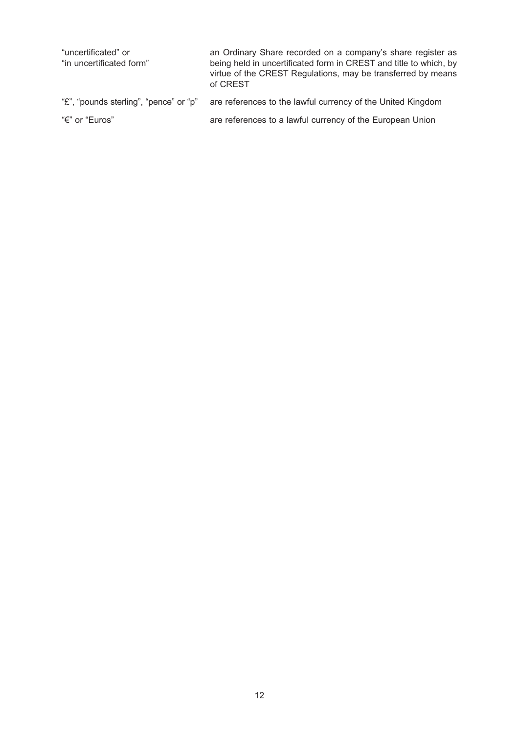| "uncertificated" or<br>"in uncertificated form" | an Ordinary Share recorded on a company's share register as<br>being held in uncertificated form in CREST and title to which, by<br>virtue of the CREST Regulations, may be transferred by means<br>of CREST |
|-------------------------------------------------|--------------------------------------------------------------------------------------------------------------------------------------------------------------------------------------------------------------|
| "£", "pounds sterling", "pence" or "p"          | are references to the lawful currency of the United Kingdom                                                                                                                                                  |
| "€" or "Euros"                                  | are references to a lawful currency of the European Union                                                                                                                                                    |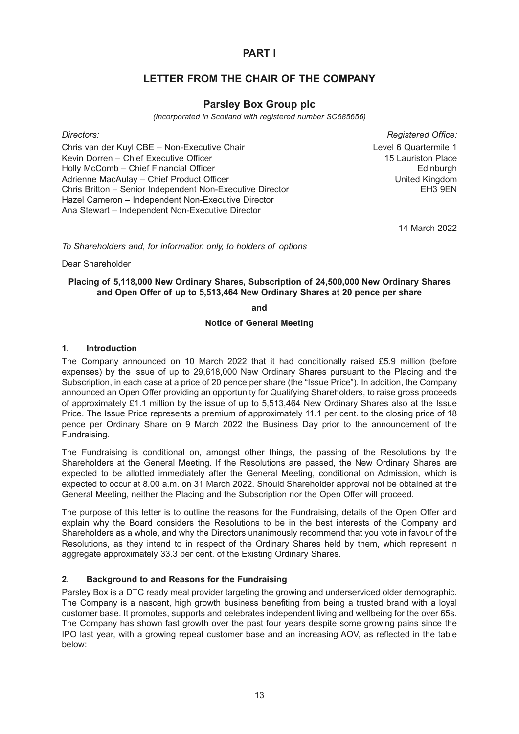# **PART I**

# **LETTER FROM THE CHAIR OF THE COMPANY**

# **Parsley Box Group plc**

*(Incorporated in Scotland with registered number SC685656)*

Chris van der Kuyl CBE – Non-Executive Chair **Level 6 Quartermile 1** Level 6 Quartermile 1 Kevin Dorren – Chief Executive Officer 15 Lauriston Place 15 Lauriston Place Holly McComb – Chief Financial Officer **Edinburgh** Chief Financial Officer **Edinburgh** Adrienne MacAulay – Chief Product Officer National Communication of the United Kingdom Chris Britton – Senior Independent Non-Executive Director **EXACTS** EH3 9EN Hazel Cameron – Independent Non-Executive Director Ana Stewart – Independent Non-Executive Director

*Directors: Registered Office:*

14 March 2022

*To Shareholders and, for information only, to holders of options*

Dear Shareholder

#### **Placing of 5,118,000 New Ordinary Shares, Subscription of 24,500,000 New Ordinary Shares and Open Offer of up to 5,513,464 New Ordinary Shares at 20 pence per share**

**and**

#### **Notice of General Meeting**

#### **1. Introduction**

The Company announced on 10 March 2022 that it had conditionally raised £5.9 million (before expenses) by the issue of up to 29,618,000 New Ordinary Shares pursuant to the Placing and the Subscription, in each case at a price of 20 pence per share (the "Issue Price"). In addition, the Company announced an Open Offer providing an opportunity for Qualifying Shareholders, to raise gross proceeds of approximately £1.1 million by the issue of up to 5,513,464 New Ordinary Shares also at the Issue Price. The Issue Price represents a premium of approximately 11.1 per cent. to the closing price of 18 pence per Ordinary Share on 9 March 2022 the Business Day prior to the announcement of the Fundraising.

The Fundraising is conditional on, amongst other things, the passing of the Resolutions by the Shareholders at the General Meeting. If the Resolutions are passed, the New Ordinary Shares are expected to be allotted immediately after the General Meeting, conditional on Admission, which is expected to occur at 8.00 a.m. on 31 March 2022. Should Shareholder approval not be obtained at the General Meeting, neither the Placing and the Subscription nor the Open Offer will proceed.

The purpose of this letter is to outline the reasons for the Fundraising, details of the Open Offer and explain why the Board considers the Resolutions to be in the best interests of the Company and Shareholders as a whole, and why the Directors unanimously recommend that you vote in favour of the Resolutions, as they intend to in respect of the Ordinary Shares held by them, which represent in aggregate approximately 33.3 per cent. of the Existing Ordinary Shares.

### **2. Background to and Reasons for the Fundraising**

Parsley Box is a DTC ready meal provider targeting the growing and underserviced older demographic. The Company is a nascent, high growth business benefiting from being a trusted brand with a loyal customer base. It promotes, supports and celebrates independent living and wellbeing for the over 65s. The Company has shown fast growth over the past four years despite some growing pains since the IPO last year, with a growing repeat customer base and an increasing AOV, as reflected in the table below: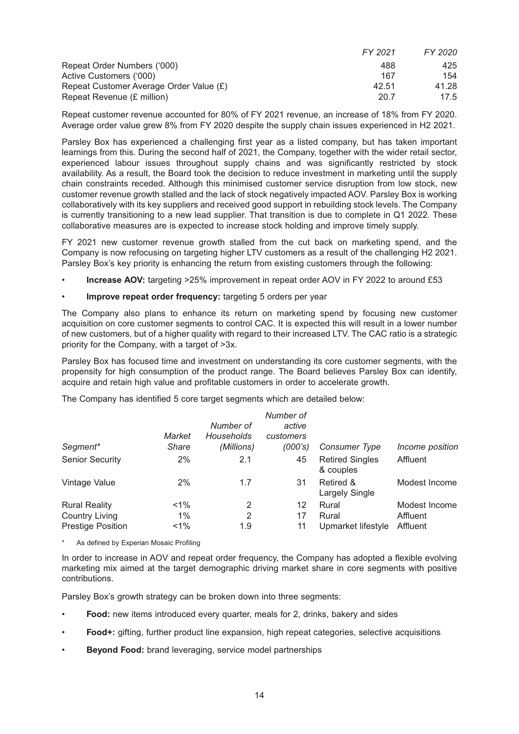|                                         | FY 2021 | FY 2020 |
|-----------------------------------------|---------|---------|
| Repeat Order Numbers ('000)             | 488     | 425     |
| Active Customers ('000)                 | 167     | 154     |
| Repeat Customer Average Order Value (£) | 42.51   | 41.28   |
| Repeat Revenue (£ million)              | 20.7    | 17.5    |

Repeat customer revenue accounted for 80% of FY 2021 revenue, an increase of 18% from FY 2020. Average order value grew 8% from FY 2020 despite the supply chain issues experienced in H2 2021.

Parsley Box has experienced a challenging first year as a listed company, but has taken important learnings from this. During the second half of 2021, the Company, together with the wider retail sector, experienced labour issues throughout supply chains and was significantly restricted by stock availability. As a result, the Board took the decision to reduce investment in marketing until the supply chain constraints receded. Although this minimised customer service disruption from low stock, new customer revenue growth stalled and the lack of stock negatively impacted AOV. Parsley Box is working collaboratively with its key suppliers and received good support in rebuilding stock levels. The Company is currently transitioning to a new lead supplier. That transition is due to complete in Q1 2022. These collaborative measures are is expected to increase stock holding and improve timely supply.

FY 2021 new customer revenue growth stalled from the cut back on marketing spend, and the Company is now refocusing on targeting higher LTV customers as a result of the challenging H2 2021. Parsley Box's key priority is enhancing the return from existing customers through the following:

- **Increase AOV:** targeting >25% improvement in repeat order AOV in FY 2022 to around £53
- **Improve repeat order frequency: targeting 5 orders per year**

The Company also plans to enhance its return on marketing spend by focusing new customer acquisition on core customer segments to control CAC. It is expected this will result in a lower number of new customers, but of a higher quality with regard to their increased LTV. The CAC ratio is a strategic priority for the Company, with a target of >3x.

Parsley Box has focused time and investment on understanding its core customer segments, with the propensity for high consumption of the product range. The Board believes Parsley Box can identify, acquire and retain high value and profitable customers in order to accelerate growth.

The Company has identified 5 core target segments which are detailed below:

| Segment*                 | Market<br>Share | Number of<br>Households<br>(Millions) | Number of<br>active<br>customers<br>(000's) | Consumer Type                       | Income position |
|--------------------------|-----------------|---------------------------------------|---------------------------------------------|-------------------------------------|-----------------|
| <b>Senior Security</b>   | 2%              | 2.1                                   | 45                                          | <b>Retired Singles</b><br>& couples | Affluent        |
| Vintage Value            | 2%              | 1.7                                   | 31                                          | Retired &<br>Largely Single         | Modest Income   |
| <b>Rural Reality</b>     | $1\%$           | 2                                     | 12                                          | Rural                               | Modest Income   |
| <b>Country Living</b>    | 1%              | 2                                     | 17                                          | Rural                               | Affluent        |
| <b>Prestige Position</b> | $< 1\%$         | 1.9                                   | 11                                          | Upmarket lifestyle                  | Affluent        |

As defined by Experian Mosaic Profiling

In order to increase in AOV and repeat order frequency, the Company has adopted a flexible evolving marketing mix aimed at the target demographic driving market share in core segments with positive contributions.

Parsley Box's growth strategy can be broken down into three segments:

- **Food:** new items introduced every quarter, meals for 2, drinks, bakery and sides
- **Food+:** gifting, further product line expansion, high repeat categories, selective acquisitions
- **Beyond Food:** brand leveraging, service model partnerships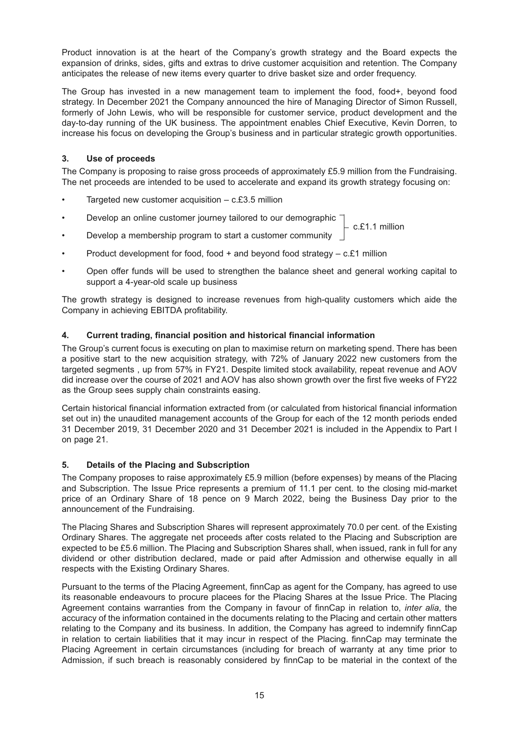Product innovation is at the heart of the Company's growth strategy and the Board expects the expansion of drinks, sides, gifts and extras to drive customer acquisition and retention. The Company anticipates the release of new items every quarter to drive basket size and order frequency.

The Group has invested in a new management team to implement the food, food+, beyond food strategy. In December 2021 the Company announced the hire of Managing Director of Simon Russell, formerly of John Lewis, who will be responsible for customer service, product development and the day-to-day running of the UK business. The appointment enables Chief Executive, Kevin Dorren, to increase his focus on developing the Group's business and in particular strategic growth opportunities.

# **3. Use of proceeds**

The Company is proposing to raise gross proceeds of approximately £5.9 million from the Fundraising. The net proceeds are intended to be used to accelerate and expand its growth strategy focusing on:

- Targeted new customer acquisition  $-$  c.£3.5 million
- Develop an online customer journey tailored to our demographic c.£1.1 million
- Develop a membership program to start a customer community
- Product development for food, food + and beyond food strategy c.£1 million
- Open offer funds will be used to strengthen the balance sheet and general working capital to support a 4-year-old scale up business

The growth strategy is designed to increase revenues from high-quality customers which aide the Company in achieving EBITDA profitability.

# **4. Current trading, financial position and historical financial information**

The Group's current focus is executing on plan to maximise return on marketing spend. There has been a positive start to the new acquisition strategy, with 72% of January 2022 new customers from the targeted segments , up from 57% in FY21. Despite limited stock availability, repeat revenue and AOV did increase over the course of 2021 and AOV has also shown growth over the first five weeks of FY22 as the Group sees supply chain constraints easing.

Certain historical financial information extracted from (or calculated from historical financial information set out in) the unaudited management accounts of the Group for each of the 12 month periods ended 31 December 2019, 31 December 2020 and 31 December 2021 is included in the Appendix to Part I on page 21.

### **5. Details of the Placing and Subscription**

The Company proposes to raise approximately £5.9 million (before expenses) by means of the Placing and Subscription. The Issue Price represents a premium of 11.1 per cent. to the closing mid-market price of an Ordinary Share of 18 pence on 9 March 2022, being the Business Day prior to the announcement of the Fundraising.

The Placing Shares and Subscription Shares will represent approximately 70.0 per cent. of the Existing Ordinary Shares. The aggregate net proceeds after costs related to the Placing and Subscription are expected to be £5.6 million. The Placing and Subscription Shares shall, when issued, rank in full for any dividend or other distribution declared, made or paid after Admission and otherwise equally in all respects with the Existing Ordinary Shares.

Pursuant to the terms of the Placing Agreement, finnCap as agent for the Company, has agreed to use its reasonable endeavours to procure placees for the Placing Shares at the Issue Price. The Placing Agreement contains warranties from the Company in favour of finnCap in relation to, *inter alia*, the accuracy of the information contained in the documents relating to the Placing and certain other matters relating to the Company and its business. In addition, the Company has agreed to indemnify finnCap in relation to certain liabilities that it may incur in respect of the Placing. finnCap may terminate the Placing Agreement in certain circumstances (including for breach of warranty at any time prior to Admission, if such breach is reasonably considered by finnCap to be material in the context of the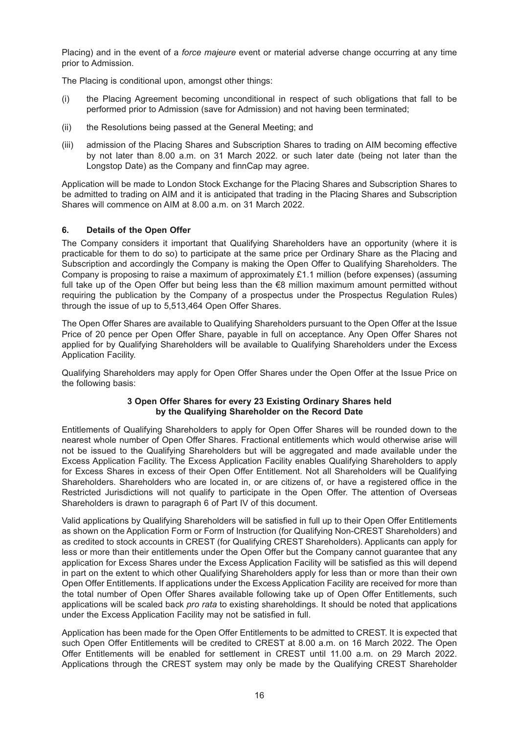Placing) and in the event of a *force majeure* event or material adverse change occurring at any time prior to Admission.

The Placing is conditional upon, amongst other things:

- (i) the Placing Agreement becoming unconditional in respect of such obligations that fall to be performed prior to Admission (save for Admission) and not having been terminated;
- (ii) the Resolutions being passed at the General Meeting; and
- (iii) admission of the Placing Shares and Subscription Shares to trading on AIM becoming effective by not later than 8.00 a.m. on 31 March 2022. or such later date (being not later than the Longstop Date) as the Company and finnCap may agree.

Application will be made to London Stock Exchange for the Placing Shares and Subscription Shares to be admitted to trading on AIM and it is anticipated that trading in the Placing Shares and Subscription Shares will commence on AIM at 8.00 a.m. on 31 March 2022.

#### **6. Details of the Open Offer**

The Company considers it important that Qualifying Shareholders have an opportunity (where it is practicable for them to do so) to participate at the same price per Ordinary Share as the Placing and Subscription and accordingly the Company is making the Open Offer to Qualifying Shareholders. The Company is proposing to raise a maximum of approximately £1.1 million (before expenses) (assuming full take up of the Open Offer but being less than the €8 million maximum amount permitted without requiring the publication by the Company of a prospectus under the Prospectus Regulation Rules) through the issue of up to 5,513,464 Open Offer Shares.

The Open Offer Shares are available to Qualifying Shareholders pursuant to the Open Offer at the Issue Price of 20 pence per Open Offer Share, payable in full on acceptance. Any Open Offer Shares not applied for by Qualifying Shareholders will be available to Qualifying Shareholders under the Excess Application Facility.

Qualifying Shareholders may apply for Open Offer Shares under the Open Offer at the Issue Price on the following basis:

#### **3 Open Offer Shares for every 23 Existing Ordinary Shares held by the Qualifying Shareholder on the Record Date**

Entitlements of Qualifying Shareholders to apply for Open Offer Shares will be rounded down to the nearest whole number of Open Offer Shares. Fractional entitlements which would otherwise arise will not be issued to the Qualifying Shareholders but will be aggregated and made available under the Excess Application Facility. The Excess Application Facility enables Qualifying Shareholders to apply for Excess Shares in excess of their Open Offer Entitlement. Not all Shareholders will be Qualifying Shareholders. Shareholders who are located in, or are citizens of, or have a registered office in the Restricted Jurisdictions will not qualify to participate in the Open Offer. The attention of Overseas Shareholders is drawn to paragraph 6 of Part IV of this document.

Valid applications by Qualifying Shareholders will be satisfied in full up to their Open Offer Entitlements as shown on the Application Form or Form of Instruction (for Qualifying Non-CREST Shareholders) and as credited to stock accounts in CREST (for Qualifying CREST Shareholders). Applicants can apply for less or more than their entitlements under the Open Offer but the Company cannot guarantee that any application for Excess Shares under the Excess Application Facility will be satisfied as this will depend in part on the extent to which other Qualifying Shareholders apply for less than or more than their own Open Offer Entitlements. If applications under the Excess Application Facility are received for more than the total number of Open Offer Shares available following take up of Open Offer Entitlements, such applications will be scaled back *pro rata* to existing shareholdings. It should be noted that applications under the Excess Application Facility may not be satisfied in full.

Application has been made for the Open Offer Entitlements to be admitted to CREST. It is expected that such Open Offer Entitlements will be credited to CREST at 8.00 a.m. on 16 March 2022. The Open Offer Entitlements will be enabled for settlement in CREST until 11.00 a.m. on 29 March 2022. Applications through the CREST system may only be made by the Qualifying CREST Shareholder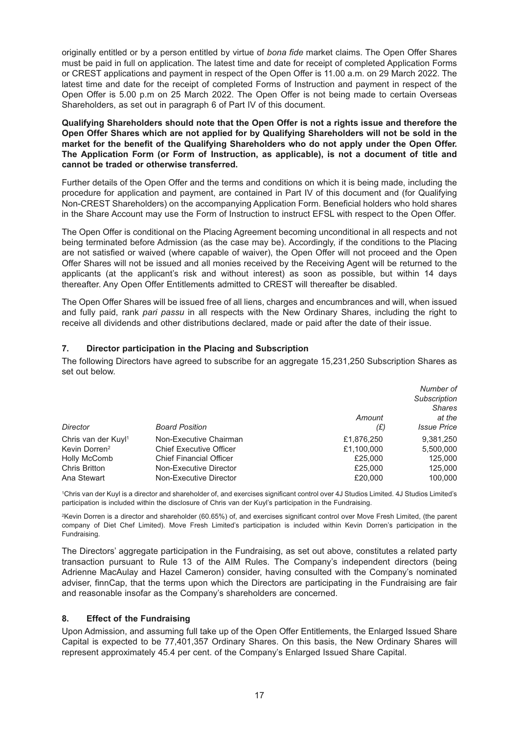originally entitled or by a person entitled by virtue of *bona fide* market claims. The Open Offer Shares must be paid in full on application. The latest time and date for receipt of completed Application Forms or CREST applications and payment in respect of the Open Offer is 11.00 a.m. on 29 March 2022. The latest time and date for the receipt of completed Forms of Instruction and payment in respect of the Open Offer is 5.00 p.m on 25 March 2022. The Open Offer is not being made to certain Overseas Shareholders, as set out in paragraph 6 of Part IV of this document.

**Qualifying Shareholders should note that the Open Offer is not a rights issue and therefore the Open Offer Shares which are not applied for by Qualifying Shareholders will not be sold in the market for the benefit of the Qualifying Shareholders who do not apply under the Open Offer. The Application Form (or Form of Instruction, as applicable), is not a document of title and cannot be traded or otherwise transferred.**

Further details of the Open Offer and the terms and conditions on which it is being made, including the procedure for application and payment, are contained in Part IV of this document and (for Qualifying Non-CREST Shareholders) on the accompanying Application Form. Beneficial holders who hold shares in the Share Account may use the Form of Instruction to instruct EFSL with respect to the Open Offer.

The Open Offer is conditional on the Placing Agreement becoming unconditional in all respects and not being terminated before Admission (as the case may be). Accordingly, if the conditions to the Placing are not satisfied or waived (where capable of waiver), the Open Offer will not proceed and the Open Offer Shares will not be issued and all monies received by the Receiving Agent will be returned to the applicants (at the applicant's risk and without interest) as soon as possible, but within 14 days thereafter. Any Open Offer Entitlements admitted to CREST will thereafter be disabled.

The Open Offer Shares will be issued free of all liens, charges and encumbrances and will, when issued and fully paid, rank *pari passu* in all respects with the New Ordinary Shares, including the right to receive all dividends and other distributions declared, made or paid after the date of their issue.

# **7. Director participation in the Placing and Subscription**

The following Directors have agreed to subscribe for an aggregate 15,231,250 Subscription Shares as set out below.

|                                 |                                |            | Number of          |
|---------------------------------|--------------------------------|------------|--------------------|
|                                 |                                |            | Subscription       |
|                                 |                                |            | <b>Shares</b>      |
|                                 |                                | Amount     | at the             |
| Director                        | <b>Board Position</b>          | (E)        | <b>Issue Price</b> |
| Chris van der Kuyl <sup>1</sup> | Non-Executive Chairman         | £1,876,250 | 9.381.250          |
| Kevin Dorren <sup>2</sup>       | <b>Chief Executive Officer</b> | £1,100,000 | 5,500,000          |
| <b>Holly McComb</b>             | <b>Chief Financial Officer</b> | £25,000    | 125,000            |
| <b>Chris Britton</b>            | Non-Executive Director         | £25,000    | 125,000            |
| Ana Stewart                     | Non-Executive Director         | £20,000    | 100.000            |

1Chris van der Kuyl is a director and shareholder of, and exercises significant control over 4J Studios Limited. 4J Studios Limited's participation is included within the disclosure of Chris van der Kuyl's participation in the Fundraising.

2Kevin Dorren is a director and shareholder (60.65%) of, and exercises significant control over Move Fresh Limited, (the parent company of Diet Chef Limited). Move Fresh Limited's participation is included within Kevin Dorren's participation in the Fundraising.

The Directors' aggregate participation in the Fundraising, as set out above, constitutes a related party transaction pursuant to Rule 13 of the AIM Rules. The Company's independent directors (being Adrienne MacAulay and Hazel Cameron) consider, having consulted with the Company's nominated adviser, finnCap, that the terms upon which the Directors are participating in the Fundraising are fair and reasonable insofar as the Company's shareholders are concerned.

### **8. Effect of the Fundraising**

Upon Admission, and assuming full take up of the Open Offer Entitlements, the Enlarged Issued Share Capital is expected to be 77,401,357 Ordinary Shares. On this basis, the New Ordinary Shares will represent approximately 45.4 per cent. of the Company's Enlarged Issued Share Capital.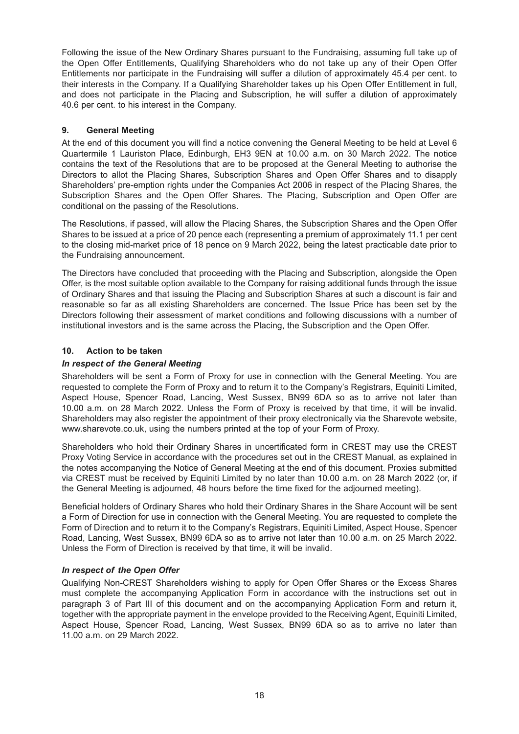Following the issue of the New Ordinary Shares pursuant to the Fundraising, assuming full take up of the Open Offer Entitlements, Qualifying Shareholders who do not take up any of their Open Offer Entitlements nor participate in the Fundraising will suffer a dilution of approximately 45.4 per cent. to their interests in the Company. If a Qualifying Shareholder takes up his Open Offer Entitlement in full, and does not participate in the Placing and Subscription, he will suffer a dilution of approximately 40.6 per cent. to his interest in the Company.

# **9. General Meeting**

At the end of this document you will find a notice convening the General Meeting to be held at Level 6 Quartermile 1 Lauriston Place, Edinburgh, EH3 9EN at 10.00 a.m. on 30 March 2022. The notice contains the text of the Resolutions that are to be proposed at the General Meeting to authorise the Directors to allot the Placing Shares, Subscription Shares and Open Offer Shares and to disapply Shareholders' pre-emption rights under the Companies Act 2006 in respect of the Placing Shares, the Subscription Shares and the Open Offer Shares. The Placing, Subscription and Open Offer are conditional on the passing of the Resolutions.

The Resolutions, if passed, will allow the Placing Shares, the Subscription Shares and the Open Offer Shares to be issued at a price of 20 pence each (representing a premium of approximately 11.1 per cent to the closing mid-market price of 18 pence on 9 March 2022, being the latest practicable date prior to the Fundraising announcement.

The Directors have concluded that proceeding with the Placing and Subscription, alongside the Open Offer, is the most suitable option available to the Company for raising additional funds through the issue of Ordinary Shares and that issuing the Placing and Subscription Shares at such a discount is fair and reasonable so far as all existing Shareholders are concerned. The Issue Price has been set by the Directors following their assessment of market conditions and following discussions with a number of institutional investors and is the same across the Placing, the Subscription and the Open Offer.

# **10. Action to be taken**

# *In respect of the General Meeting*

Shareholders will be sent a Form of Proxy for use in connection with the General Meeting. You are requested to complete the Form of Proxy and to return it to the Company's Registrars, Equiniti Limited, Aspect House, Spencer Road, Lancing, West Sussex, BN99 6DA so as to arrive not later than 10.00 a.m. on 28 March 2022. Unless the Form of Proxy is received by that time, it will be invalid. Shareholders may also register the appointment of their proxy electronically via the Sharevote website, www.sharevote.co.uk, using the numbers printed at the top of your Form of Proxy.

Shareholders who hold their Ordinary Shares in uncertificated form in CREST may use the CREST Proxy Voting Service in accordance with the procedures set out in the CREST Manual, as explained in the notes accompanying the Notice of General Meeting at the end of this document. Proxies submitted via CREST must be received by Equiniti Limited by no later than 10.00 a.m. on 28 March 2022 (or, if the General Meeting is adjourned, 48 hours before the time fixed for the adjourned meeting).

Beneficial holders of Ordinary Shares who hold their Ordinary Shares in the Share Account will be sent a Form of Direction for use in connection with the General Meeting. You are requested to complete the Form of Direction and to return it to the Company's Registrars, Equiniti Limited, Aspect House, Spencer Road, Lancing, West Sussex, BN99 6DA so as to arrive not later than 10.00 a.m. on 25 March 2022. Unless the Form of Direction is received by that time, it will be invalid.

### *In respect of the Open Offer*

Qualifying Non-CREST Shareholders wishing to apply for Open Offer Shares or the Excess Shares must complete the accompanying Application Form in accordance with the instructions set out in paragraph 3 of Part III of this document and on the accompanying Application Form and return it, together with the appropriate payment in the envelope provided to the Receiving Agent, Equiniti Limited, Aspect House, Spencer Road, Lancing, West Sussex, BN99 6DA so as to arrive no later than 11.00 a.m. on 29 March 2022.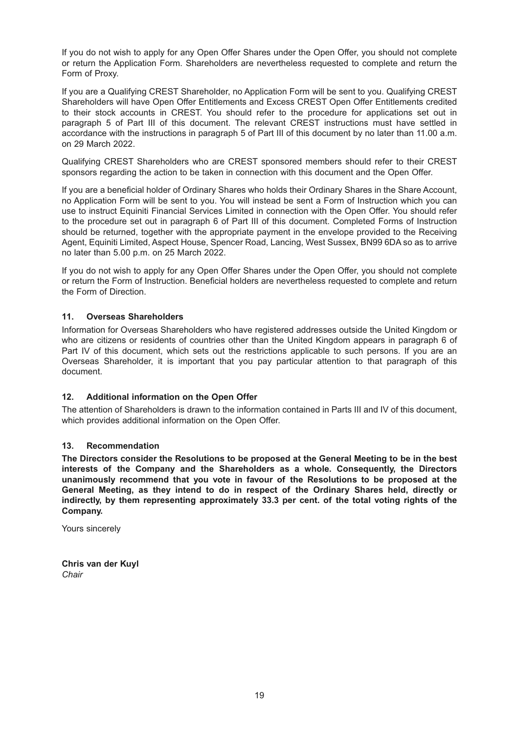If you do not wish to apply for any Open Offer Shares under the Open Offer, you should not complete or return the Application Form. Shareholders are nevertheless requested to complete and return the Form of Proxy.

If you are a Qualifying CREST Shareholder, no Application Form will be sent to you. Qualifying CREST Shareholders will have Open Offer Entitlements and Excess CREST Open Offer Entitlements credited to their stock accounts in CREST. You should refer to the procedure for applications set out in paragraph 5 of Part III of this document. The relevant CREST instructions must have settled in accordance with the instructions in paragraph 5 of Part III of this document by no later than 11.00 a.m. on 29 March 2022.

Qualifying CREST Shareholders who are CREST sponsored members should refer to their CREST sponsors regarding the action to be taken in connection with this document and the Open Offer.

If you are a beneficial holder of Ordinary Shares who holds their Ordinary Shares in the Share Account, no Application Form will be sent to you. You will instead be sent a Form of Instruction which you can use to instruct Equiniti Financial Services Limited in connection with the Open Offer. You should refer to the procedure set out in paragraph 6 of Part III of this document. Completed Forms of Instruction should be returned, together with the appropriate payment in the envelope provided to the Receiving Agent, Equiniti Limited, Aspect House, Spencer Road, Lancing, West Sussex, BN99 6DA so as to arrive no later than 5.00 p.m. on 25 March 2022.

If you do not wish to apply for any Open Offer Shares under the Open Offer, you should not complete or return the Form of Instruction. Beneficial holders are nevertheless requested to complete and return the Form of Direction.

# **11. Overseas Shareholders**

Information for Overseas Shareholders who have registered addresses outside the United Kingdom or who are citizens or residents of countries other than the United Kingdom appears in paragraph 6 of Part IV of this document, which sets out the restrictions applicable to such persons. If you are an Overseas Shareholder, it is important that you pay particular attention to that paragraph of this document.

### **12. Additional information on the Open Offer**

The attention of Shareholders is drawn to the information contained in Parts III and IV of this document, which provides additional information on the Open Offer.

### **13. Recommendation**

**The Directors consider the Resolutions to be proposed at the General Meeting to be in the best interests of the Company and the Shareholders as a whole. Consequently, the Directors unanimously recommend that you vote in favour of the Resolutions to be proposed at the General Meeting, as they intend to do in respect of the Ordinary Shares held, directly or indirectly, by them representing approximately 33.3 per cent. of the total voting rights of the Company.**

Yours sincerely

**Chris van der Kuyl** *Chair*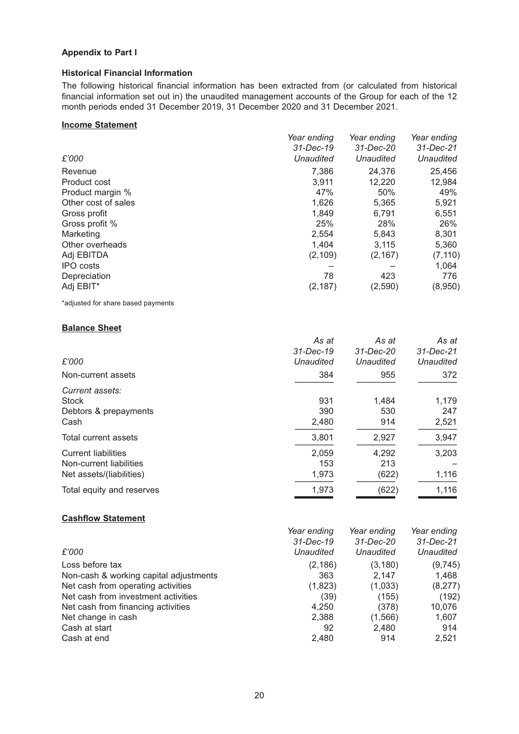# **Appendix to Part I**

### **Historical Financial Information**

The following historical financial information has been extracted from (or calculated from historical financial information set out in) the unaudited management accounts of the Group for each of the 12 month periods ended 31 December 2019, 31 December 2020 and 31 December 2021.

#### **Income Statement**

|                     | Year ending | Year ending | Year ending |
|---------------------|-------------|-------------|-------------|
|                     | 31-Dec-19   | 31-Dec-20   | 31-Dec-21   |
| £'000               | Unaudited   | Unaudited   | Unaudited   |
| Revenue             | 7.386       | 24,376      | 25,456      |
| Product cost        | 3,911       | 12,220      | 12,984      |
| Product margin %    | 47%         | 50%         | 49%         |
| Other cost of sales | 1,626       | 5,365       | 5,921       |
| Gross profit        | 1,849       | 6,791       | 6,551       |
| Gross profit %      | 25%         | 28%         | 26%         |
| Marketing           | 2,554       | 5,843       | 8,301       |
| Other overheads     | 1,404       | 3,115       | 5,360       |
| Adj EBITDA          | (2, 109)    | (2, 167)    | (7, 110)    |
| <b>IPO</b> costs    |             |             | 1,064       |
| Depreciation        | 78          | 423         | 776         |
| Adj EBIT*           | (2, 187)    | (2,590)     | (8,950)     |

\*adjusted for share based payments

#### **Balance Sheet**

|                            | As at     | As at     | As at     |
|----------------------------|-----------|-----------|-----------|
|                            | 31-Dec-19 | 31-Dec-20 | 31-Dec-21 |
| £'000                      | Unaudited | Unaudited | Unaudited |
| Non-current assets         | 384       | 955       | 372       |
| Current assets:            |           |           |           |
| <b>Stock</b>               | 931       | 1,484     | 1,179     |
| Debtors & prepayments      | 390       | 530       | 247       |
| Cash                       | 2,480     | 914       | 2,521     |
| Total current assets       | 3,801     | 2,927     | 3,947     |
| <b>Current liabilities</b> | 2,059     | 4,292     | 3,203     |
| Non-current liabilities    | 153       | 213       |           |
| Net assets/(liabilities)   | 1,973     | (622)     | 1,116     |
| Total equity and reserves  | 1,973     | (622)     | 1,116     |
|                            |           |           |           |

### **Cashflow Statement**

| Year ending | Year ending | Year ending |
|-------------|-------------|-------------|
| 31-Dec-19   | 31-Dec-20   | 31-Dec-21   |
| Unaudited   | Unaudited   | Unaudited   |
| (2, 186)    | (3, 180)    | (9,745)     |
| 363         | 2.147       | 1,468       |
| (1,823)     | (1,033)     | (8,277)     |
| (39)        | (155)       | (192)       |
| 4.250       | (378)       | 10,076      |
| 2,388       | (1,566)     | 1,607       |
| 92          | 2,480       | 914         |
| 2,480       | 914         | 2,521       |
|             |             |             |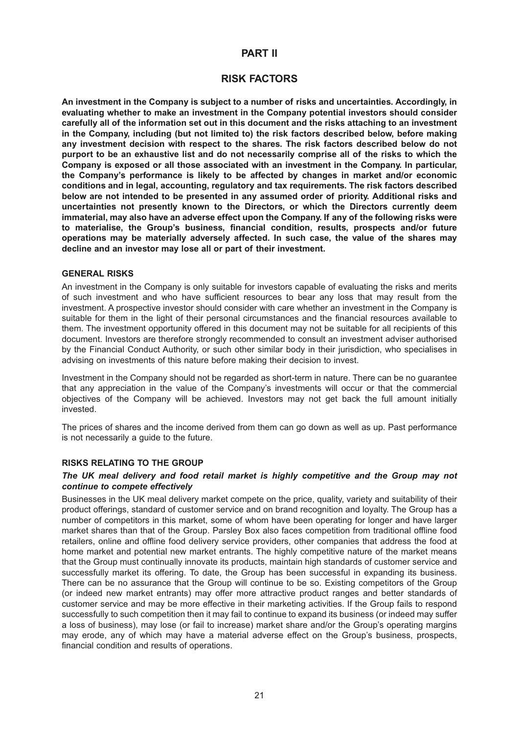# **PART II**

# **RISK FACTORS**

**An investment in the Company is subject to a number of risks and uncertainties. Accordingly, in evaluating whether to make an investment in the Company potential investors should consider carefully all of the information set out in this document and the risks attaching to an investment in the Company, including (but not limited to) the risk factors described below, before making any investment decision with respect to the shares. The risk factors described below do not purport to be an exhaustive list and do not necessarily comprise all of the risks to which the Company is exposed or all those associated with an investment in the Company. In particular, the Company's performance is likely to be affected by changes in market and/or economic conditions and in legal, accounting, regulatory and tax requirements. The risk factors described below are not intended to be presented in any assumed order of priority. Additional risks and uncertainties not presently known to the Directors, or which the Directors currently deem immaterial, may also have an adverse effect upon the Company. If any of the following risks were to materialise, the Group's business, financial condition, results, prospects and/or future operations may be materially adversely affected. In such case, the value of the shares may decline and an investor may lose all or part of their investment.**

#### **GENERAL RISKS**

An investment in the Company is only suitable for investors capable of evaluating the risks and merits of such investment and who have sufficient resources to bear any loss that may result from the investment. A prospective investor should consider with care whether an investment in the Company is suitable for them in the light of their personal circumstances and the financial resources available to them. The investment opportunity offered in this document may not be suitable for all recipients of this document. Investors are therefore strongly recommended to consult an investment adviser authorised by the Financial Conduct Authority, or such other similar body in their jurisdiction, who specialises in advising on investments of this nature before making their decision to invest.

Investment in the Company should not be regarded as short-term in nature. There can be no guarantee that any appreciation in the value of the Company's investments will occur or that the commercial objectives of the Company will be achieved. Investors may not get back the full amount initially invested.

The prices of shares and the income derived from them can go down as well as up. Past performance is not necessarily a guide to the future.

### **RISKS RELATING TO THE GROUP**

#### *The UK meal delivery and food retail market is highly competitive and the Group may not continue to compete effectively*

Businesses in the UK meal delivery market compete on the price, quality, variety and suitability of their product offerings, standard of customer service and on brand recognition and loyalty. The Group has a number of competitors in this market, some of whom have been operating for longer and have larger market shares than that of the Group. Parsley Box also faces competition from traditional offline food retailers, online and offline food delivery service providers, other companies that address the food at home market and potential new market entrants. The highly competitive nature of the market means that the Group must continually innovate its products, maintain high standards of customer service and successfully market its offering. To date, the Group has been successful in expanding its business. There can be no assurance that the Group will continue to be so. Existing competitors of the Group (or indeed new market entrants) may offer more attractive product ranges and better standards of customer service and may be more effective in their marketing activities. If the Group fails to respond successfully to such competition then it may fail to continue to expand its business (or indeed may suffer a loss of business), may lose (or fail to increase) market share and/or the Group's operating margins may erode, any of which may have a material adverse effect on the Group's business, prospects, financial condition and results of operations.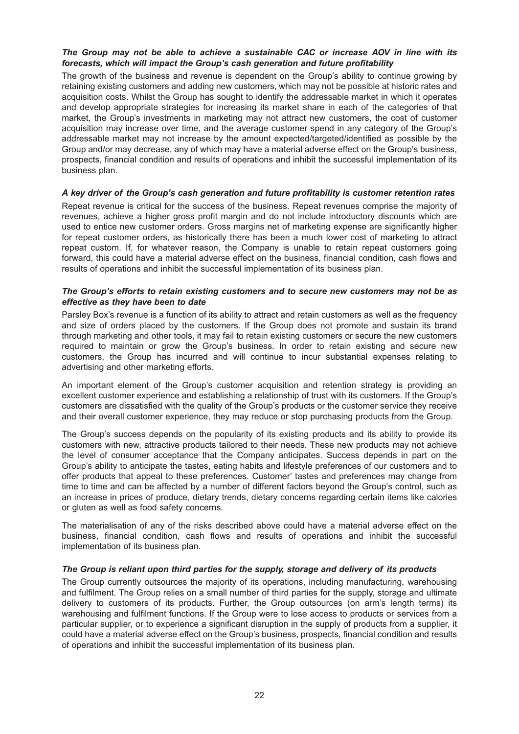### *The Group may not be able to achieve a sustainable CAC or increase AOV in line with its forecasts, which will impact the Group's cash generation and future profitability*

The growth of the business and revenue is dependent on the Group's ability to continue growing by retaining existing customers and adding new customers, which may not be possible at historic rates and acquisition costs. Whilst the Group has sought to identify the addressable market in which it operates and develop appropriate strategies for increasing its market share in each of the categories of that market, the Group's investments in marketing may not attract new customers, the cost of customer acquisition may increase over time, and the average customer spend in any category of the Group's addressable market may not increase by the amount expected/targeted/identified as possible by the Group and/or may decrease, any of which may have a material adverse effect on the Group's business, prospects, financial condition and results of operations and inhibit the successful implementation of its business plan.

#### *A key driver of the Group's cash generation and future profitability is customer retention rates*

Repeat revenue is critical for the success of the business. Repeat revenues comprise the majority of revenues, achieve a higher gross profit margin and do not include introductory discounts which are used to entice new customer orders. Gross margins net of marketing expense are significantly higher for repeat customer orders, as historically there has been a much lower cost of marketing to attract repeat custom. If, for whatever reason, the Company is unable to retain repeat customers going forward, this could have a material adverse effect on the business, financial condition, cash flows and results of operations and inhibit the successful implementation of its business plan.

#### *The Group's efforts to retain existing customers and to secure new customers may not be as effective as they have been to date*

Parsley Box's revenue is a function of its ability to attract and retain customers as well as the frequency and size of orders placed by the customers. If the Group does not promote and sustain its brand through marketing and other tools, it may fail to retain existing customers or secure the new customers required to maintain or grow the Group's business. In order to retain existing and secure new customers, the Group has incurred and will continue to incur substantial expenses relating to advertising and other marketing efforts.

An important element of the Group's customer acquisition and retention strategy is providing an excellent customer experience and establishing a relationship of trust with its customers. If the Group's customers are dissatisfied with the quality of the Group's products or the customer service they receive and their overall customer experience, they may reduce or stop purchasing products from the Group.

The Group's success depends on the popularity of its existing products and its ability to provide its customers with new, attractive products tailored to their needs. These new products may not achieve the level of consumer acceptance that the Company anticipates. Success depends in part on the Group's ability to anticipate the tastes, eating habits and lifestyle preferences of our customers and to offer products that appeal to these preferences. Customer' tastes and preferences may change from time to time and can be affected by a number of different factors beyond the Group's control, such as an increase in prices of produce, dietary trends, dietary concerns regarding certain items like calories or gluten as well as food safety concerns.

The materialisation of any of the risks described above could have a material adverse effect on the business, financial condition, cash flows and results of operations and inhibit the successful implementation of its business plan.

### *The Group is reliant upon third parties for the supply, storage and delivery of its products*

The Group currently outsources the majority of its operations, including manufacturing, warehousing and fulfilment. The Group relies on a small number of third parties for the supply, storage and ultimate delivery to customers of its products. Further, the Group outsources (on arm's length terms) its warehousing and fulfilment functions. If the Group were to lose access to products or services from a particular supplier, or to experience a significant disruption in the supply of products from a supplier, it could have a material adverse effect on the Group's business, prospects, financial condition and results of operations and inhibit the successful implementation of its business plan.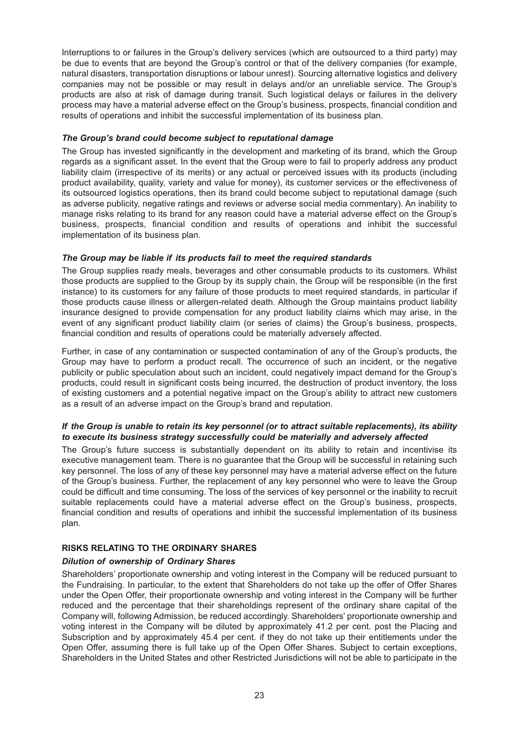Interruptions to or failures in the Group's delivery services (which are outsourced to a third party) may be due to events that are beyond the Group's control or that of the delivery companies (for example, natural disasters, transportation disruptions or labour unrest). Sourcing alternative logistics and delivery companies may not be possible or may result in delays and/or an unreliable service. The Group's products are also at risk of damage during transit. Such logistical delays or failures in the delivery process may have a material adverse effect on the Group's business, prospects, financial condition and results of operations and inhibit the successful implementation of its business plan.

### *The Group's brand could become subject to reputational damage*

The Group has invested significantly in the development and marketing of its brand, which the Group regards as a significant asset. In the event that the Group were to fail to properly address any product liability claim (irrespective of its merits) or any actual or perceived issues with its products (including product availability, quality, variety and value for money), its customer services or the effectiveness of its outsourced logistics operations, then its brand could become subject to reputational damage (such as adverse publicity, negative ratings and reviews or adverse social media commentary). An inability to manage risks relating to its brand for any reason could have a material adverse effect on the Group's business, prospects, financial condition and results of operations and inhibit the successful implementation of its business plan.

# *The Group may be liable if its products fail to meet the required standards*

The Group supplies ready meals, beverages and other consumable products to its customers. Whilst those products are supplied to the Group by its supply chain, the Group will be responsible (in the first instance) to its customers for any failure of those products to meet required standards, in particular if those products cause illness or allergen-related death. Although the Group maintains product liability insurance designed to provide compensation for any product liability claims which may arise, in the event of any significant product liability claim (or series of claims) the Group's business, prospects, financial condition and results of operations could be materially adversely affected.

Further, in case of any contamination or suspected contamination of any of the Group's products, the Group may have to perform a product recall. The occurrence of such an incident, or the negative publicity or public speculation about such an incident, could negatively impact demand for the Group's products, could result in significant costs being incurred, the destruction of product inventory, the loss of existing customers and a potential negative impact on the Group's ability to attract new customers as a result of an adverse impact on the Group's brand and reputation.

### *If the Group is unable to retain its key personnel (or to attract suitable replacements), its ability to execute its business strategy successfully could be materially and adversely affected*

The Group's future success is substantially dependent on its ability to retain and incentivise its executive management team. There is no guarantee that the Group will be successful in retaining such key personnel. The loss of any of these key personnel may have a material adverse effect on the future of the Group's business. Further, the replacement of any key personnel who were to leave the Group could be difficult and time consuming. The loss of the services of key personnel or the inability to recruit suitable replacements could have a material adverse effect on the Group's business, prospects, financial condition and results of operations and inhibit the successful implementation of its business plan.

# **RISKS RELATING TO THE ORDINARY SHARES**

### *Dilution of ownership of Ordinary Shares*

Shareholders' proportionate ownership and voting interest in the Company will be reduced pursuant to the Fundraising. In particular, to the extent that Shareholders do not take up the offer of Offer Shares under the Open Offer, their proportionate ownership and voting interest in the Company will be further reduced and the percentage that their shareholdings represent of the ordinary share capital of the Company will, following Admission, be reduced accordingly. Shareholders' proportionate ownership and voting interest in the Company will be diluted by approximately 41.2 per cent. post the Placing and Subscription and by approximately 45.4 per cent. if they do not take up their entitlements under the Open Offer, assuming there is full take up of the Open Offer Shares. Subject to certain exceptions, Shareholders in the United States and other Restricted Jurisdictions will not be able to participate in the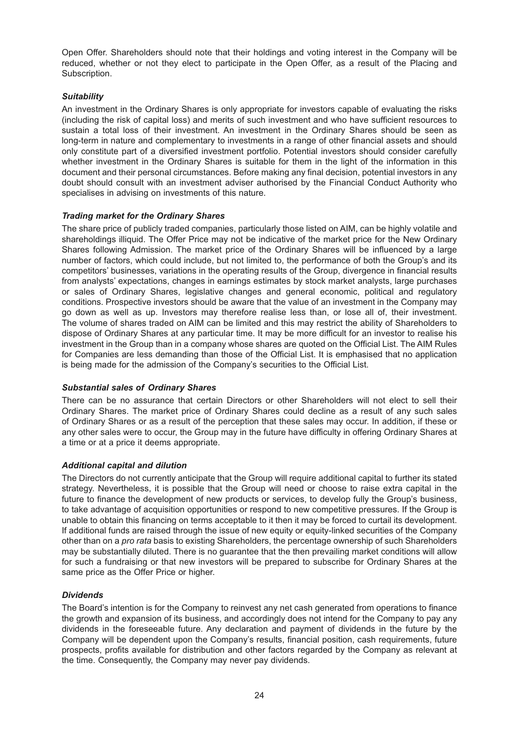Open Offer. Shareholders should note that their holdings and voting interest in the Company will be reduced, whether or not they elect to participate in the Open Offer, as a result of the Placing and Subscription.

# *Suitability*

An investment in the Ordinary Shares is only appropriate for investors capable of evaluating the risks (including the risk of capital loss) and merits of such investment and who have sufficient resources to sustain a total loss of their investment. An investment in the Ordinary Shares should be seen as long-term in nature and complementary to investments in a range of other financial assets and should only constitute part of a diversified investment portfolio. Potential investors should consider carefully whether investment in the Ordinary Shares is suitable for them in the light of the information in this document and their personal circumstances. Before making any final decision, potential investors in any doubt should consult with an investment adviser authorised by the Financial Conduct Authority who specialises in advising on investments of this nature.

### *Trading market for the Ordinary Shares*

The share price of publicly traded companies, particularly those listed on AIM, can be highly volatile and shareholdings illiquid. The Offer Price may not be indicative of the market price for the New Ordinary Shares following Admission. The market price of the Ordinary Shares will be influenced by a large number of factors, which could include, but not limited to, the performance of both the Group's and its competitors' businesses, variations in the operating results of the Group, divergence in financial results from analysts' expectations, changes in earnings estimates by stock market analysts, large purchases or sales of Ordinary Shares, legislative changes and general economic, political and regulatory conditions. Prospective investors should be aware that the value of an investment in the Company may go down as well as up. Investors may therefore realise less than, or lose all of, their investment. The volume of shares traded on AIM can be limited and this may restrict the ability of Shareholders to dispose of Ordinary Shares at any particular time. It may be more difficult for an investor to realise his investment in the Group than in a company whose shares are quoted on the Official List. The AIM Rules for Companies are less demanding than those of the Official List. It is emphasised that no application is being made for the admission of the Company's securities to the Official List.

### *Substantial sales of Ordinary Shares*

There can be no assurance that certain Directors or other Shareholders will not elect to sell their Ordinary Shares. The market price of Ordinary Shares could decline as a result of any such sales of Ordinary Shares or as a result of the perception that these sales may occur. In addition, if these or any other sales were to occur, the Group may in the future have difficulty in offering Ordinary Shares at a time or at a price it deems appropriate.

### *Additional capital and dilution*

The Directors do not currently anticipate that the Group will require additional capital to further its stated strategy. Nevertheless, it is possible that the Group will need or choose to raise extra capital in the future to finance the development of new products or services, to develop fully the Group's business, to take advantage of acquisition opportunities or respond to new competitive pressures. If the Group is unable to obtain this financing on terms acceptable to it then it may be forced to curtail its development. If additional funds are raised through the issue of new equity or equity-linked securities of the Company other than on a *pro rata* basis to existing Shareholders, the percentage ownership of such Shareholders may be substantially diluted. There is no guarantee that the then prevailing market conditions will allow for such a fundraising or that new investors will be prepared to subscribe for Ordinary Shares at the same price as the Offer Price or higher.

### *Dividends*

The Board's intention is for the Company to reinvest any net cash generated from operations to finance the growth and expansion of its business, and accordingly does not intend for the Company to pay any dividends in the foreseeable future. Any declaration and payment of dividends in the future by the Company will be dependent upon the Company's results, financial position, cash requirements, future prospects, profits available for distribution and other factors regarded by the Company as relevant at the time. Consequently, the Company may never pay dividends.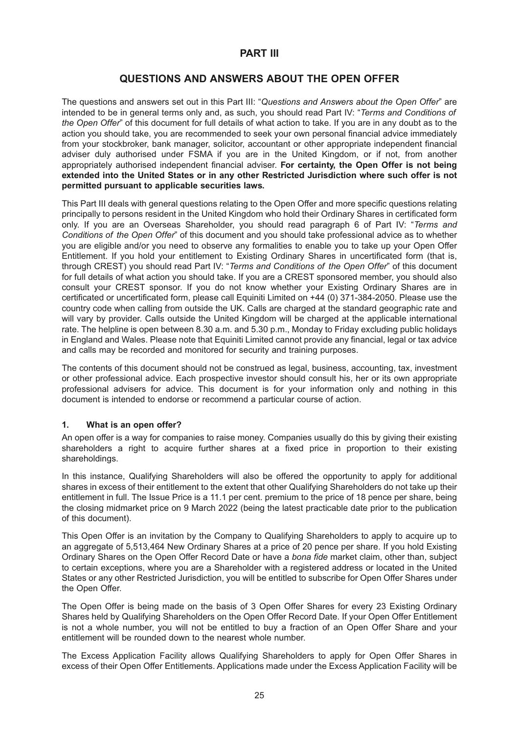# **PART III**

# **QUESTIONS AND ANSWERS ABOUT THE OPEN OFFER**

The questions and answers set out in this Part III: "*Questions and Answers about the Open Offer*" are intended to be in general terms only and, as such, you should read Part IV: "*Terms and Conditions of the Open Offer*" of this document for full details of what action to take. If you are in any doubt as to the action you should take, you are recommended to seek your own personal financial advice immediately from your stockbroker, bank manager, solicitor, accountant or other appropriate independent financial adviser duly authorised under FSMA if you are in the United Kingdom, or if not, from another appropriately authorised independent financial adviser. **For certainty, the Open Offer is not being extended into the United States or in any other Restricted Jurisdiction where such offer is not permitted pursuant to applicable securities laws.**

This Part III deals with general questions relating to the Open Offer and more specific questions relating principally to persons resident in the United Kingdom who hold their Ordinary Shares in certificated form only. If you are an Overseas Shareholder, you should read paragraph 6 of Part IV: "*Terms and Conditions of the Open Offer*" of this document and you should take professional advice as to whether you are eligible and/or you need to observe any formalities to enable you to take up your Open Offer Entitlement. If you hold your entitlement to Existing Ordinary Shares in uncertificated form (that is, through CREST) you should read Part IV: "*Terms and Conditions of the Open Offer*" of this document for full details of what action you should take. If you are a CREST sponsored member, you should also consult your CREST sponsor. If you do not know whether your Existing Ordinary Shares are in certificated or uncertificated form, please call Equiniti Limited on +44 (0) 371-384-2050. Please use the country code when calling from outside the UK. Calls are charged at the standard geographic rate and will vary by provider. Calls outside the United Kingdom will be charged at the applicable international rate. The helpline is open between 8.30 a.m. and 5.30 p.m., Monday to Friday excluding public holidays in England and Wales. Please note that Equiniti Limited cannot provide any financial, legal or tax advice and calls may be recorded and monitored for security and training purposes.

The contents of this document should not be construed as legal, business, accounting, tax, investment or other professional advice. Each prospective investor should consult his, her or its own appropriate professional advisers for advice. This document is for your information only and nothing in this document is intended to endorse or recommend a particular course of action.

### **1. What is an open offer?**

An open offer is a way for companies to raise money. Companies usually do this by giving their existing shareholders a right to acquire further shares at a fixed price in proportion to their existing shareholdings.

In this instance, Qualifying Shareholders will also be offered the opportunity to apply for additional shares in excess of their entitlement to the extent that other Qualifying Shareholders do not take up their entitlement in full. The Issue Price is a 11.1 per cent. premium to the price of 18 pence per share, being the closing midmarket price on 9 March 2022 (being the latest practicable date prior to the publication of this document).

This Open Offer is an invitation by the Company to Qualifying Shareholders to apply to acquire up to an aggregate of 5,513,464 New Ordinary Shares at a price of 20 pence per share. If you hold Existing Ordinary Shares on the Open Offer Record Date or have a *bona fide* market claim, other than, subject to certain exceptions, where you are a Shareholder with a registered address or located in the United States or any other Restricted Jurisdiction, you will be entitled to subscribe for Open Offer Shares under the Open Offer.

The Open Offer is being made on the basis of 3 Open Offer Shares for every 23 Existing Ordinary Shares held by Qualifying Shareholders on the Open Offer Record Date. If your Open Offer Entitlement is not a whole number, you will not be entitled to buy a fraction of an Open Offer Share and your entitlement will be rounded down to the nearest whole number.

The Excess Application Facility allows Qualifying Shareholders to apply for Open Offer Shares in excess of their Open Offer Entitlements. Applications made under the Excess Application Facility will be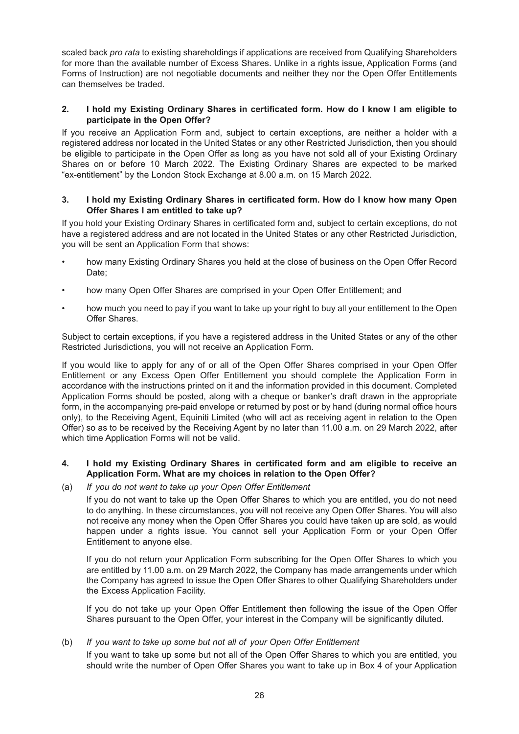scaled back *pro rata* to existing shareholdings if applications are received from Qualifying Shareholders for more than the available number of Excess Shares. Unlike in a rights issue, Application Forms (and Forms of Instruction) are not negotiable documents and neither they nor the Open Offer Entitlements can themselves be traded.

### **2. I hold my Existing Ordinary Shares in certificated form. How do I know I am eligible to participate in the Open Offer?**

If you receive an Application Form and, subject to certain exceptions, are neither a holder with a registered address nor located in the United States or any other Restricted Jurisdiction, then you should be eligible to participate in the Open Offer as long as you have not sold all of your Existing Ordinary Shares on or before 10 March 2022. The Existing Ordinary Shares are expected to be marked "ex-entitlement" by the London Stock Exchange at 8.00 a.m. on 15 March 2022.

#### **3. I hold my Existing Ordinary Shares in certificated form. How do I know how many Open Offer Shares I am entitled to take up?**

If you hold your Existing Ordinary Shares in certificated form and, subject to certain exceptions, do not have a registered address and are not located in the United States or any other Restricted Jurisdiction, you will be sent an Application Form that shows:

- how many Existing Ordinary Shares you held at the close of business on the Open Offer Record Date;
- how many Open Offer Shares are comprised in your Open Offer Entitlement; and
- how much you need to pay if you want to take up your right to buy all your entitlement to the Open Offer Shares.

Subject to certain exceptions, if you have a registered address in the United States or any of the other Restricted Jurisdictions, you will not receive an Application Form.

If you would like to apply for any of or all of the Open Offer Shares comprised in your Open Offer Entitlement or any Excess Open Offer Entitlement you should complete the Application Form in accordance with the instructions printed on it and the information provided in this document. Completed Application Forms should be posted, along with a cheque or banker's draft drawn in the appropriate form, in the accompanying pre-paid envelope or returned by post or by hand (during normal office hours only), to the Receiving Agent, Equiniti Limited (who will act as receiving agent in relation to the Open Offer) so as to be received by the Receiving Agent by no later than 11.00 a.m. on 29 March 2022, after which time Application Forms will not be valid.

### **4. I hold my Existing Ordinary Shares in certificated form and am eligible to receive an Application Form. What are my choices in relation to the Open Offer?**

### (a) *If you do not want to take up your Open Offer Entitlement*

If you do not want to take up the Open Offer Shares to which you are entitled, you do not need to do anything. In these circumstances, you will not receive any Open Offer Shares. You will also not receive any money when the Open Offer Shares you could have taken up are sold, as would happen under a rights issue. You cannot sell your Application Form or your Open Offer Entitlement to anyone else.

If you do not return your Application Form subscribing for the Open Offer Shares to which you are entitled by 11.00 a.m. on 29 March 2022, the Company has made arrangements under which the Company has agreed to issue the Open Offer Shares to other Qualifying Shareholders under the Excess Application Facility.

If you do not take up your Open Offer Entitlement then following the issue of the Open Offer Shares pursuant to the Open Offer, your interest in the Company will be significantly diluted.

### (b) *If you want to take up some but not all of your Open Offer Entitlement*

If you want to take up some but not all of the Open Offer Shares to which you are entitled, you should write the number of Open Offer Shares you want to take up in Box 4 of your Application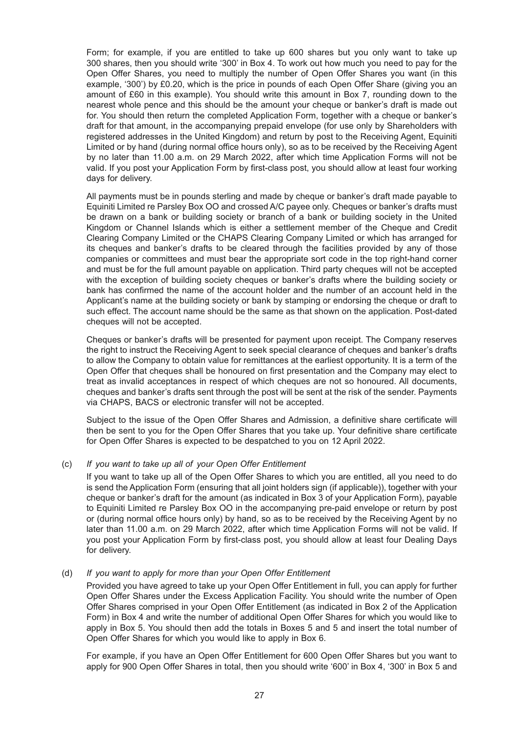Form; for example, if you are entitled to take up 600 shares but you only want to take up 300 shares, then you should write '300' in Box 4. To work out how much you need to pay for the Open Offer Shares, you need to multiply the number of Open Offer Shares you want (in this example, '300') by £0.20, which is the price in pounds of each Open Offer Share (giving you an amount of £60 in this example). You should write this amount in Box 7, rounding down to the nearest whole pence and this should be the amount your cheque or banker's draft is made out for. You should then return the completed Application Form, together with a cheque or banker's draft for that amount, in the accompanying prepaid envelope (for use only by Shareholders with registered addresses in the United Kingdom) and return by post to the Receiving Agent, Equiniti Limited or by hand (during normal office hours only), so as to be received by the Receiving Agent by no later than 11.00 a.m. on 29 March 2022, after which time Application Forms will not be valid. If you post your Application Form by first-class post, you should allow at least four working days for delivery.

All payments must be in pounds sterling and made by cheque or banker's draft made payable to Equiniti Limited re Parsley Box OO and crossed A/C payee only. Cheques or banker's drafts must be drawn on a bank or building society or branch of a bank or building society in the United Kingdom or Channel Islands which is either a settlement member of the Cheque and Credit Clearing Company Limited or the CHAPS Clearing Company Limited or which has arranged for its cheques and banker's drafts to be cleared through the facilities provided by any of those companies or committees and must bear the appropriate sort code in the top right-hand corner and must be for the full amount payable on application. Third party cheques will not be accepted with the exception of building society cheques or banker's drafts where the building society or bank has confirmed the name of the account holder and the number of an account held in the Applicant's name at the building society or bank by stamping or endorsing the cheque or draft to such effect. The account name should be the same as that shown on the application. Post-dated cheques will not be accepted.

Cheques or banker's drafts will be presented for payment upon receipt. The Company reserves the right to instruct the Receiving Agent to seek special clearance of cheques and banker's drafts to allow the Company to obtain value for remittances at the earliest opportunity. It is a term of the Open Offer that cheques shall be honoured on first presentation and the Company may elect to treat as invalid acceptances in respect of which cheques are not so honoured. All documents, cheques and banker's drafts sent through the post will be sent at the risk of the sender. Payments via CHAPS, BACS or electronic transfer will not be accepted.

Subject to the issue of the Open Offer Shares and Admission, a definitive share certificate will then be sent to you for the Open Offer Shares that you take up. Your definitive share certificate for Open Offer Shares is expected to be despatched to you on 12 April 2022.

#### (c) *If you want to take up all of your Open Offer Entitlement*

If you want to take up all of the Open Offer Shares to which you are entitled, all you need to do is send the Application Form (ensuring that all joint holders sign (if applicable)), together with your cheque or banker's draft for the amount (as indicated in Box 3 of your Application Form), payable to Equiniti Limited re Parsley Box OO in the accompanying pre-paid envelope or return by post or (during normal office hours only) by hand, so as to be received by the Receiving Agent by no later than 11.00 a.m. on 29 March 2022, after which time Application Forms will not be valid. If you post your Application Form by first-class post, you should allow at least four Dealing Days for delivery.

#### (d) *If you want to apply for more than your Open Offer Entitlement*

Provided you have agreed to take up your Open Offer Entitlement in full, you can apply for further Open Offer Shares under the Excess Application Facility. You should write the number of Open Offer Shares comprised in your Open Offer Entitlement (as indicated in Box 2 of the Application Form) in Box 4 and write the number of additional Open Offer Shares for which you would like to apply in Box 5. You should then add the totals in Boxes 5 and 5 and insert the total number of Open Offer Shares for which you would like to apply in Box 6.

For example, if you have an Open Offer Entitlement for 600 Open Offer Shares but you want to apply for 900 Open Offer Shares in total, then you should write '600' in Box 4, '300' in Box 5 and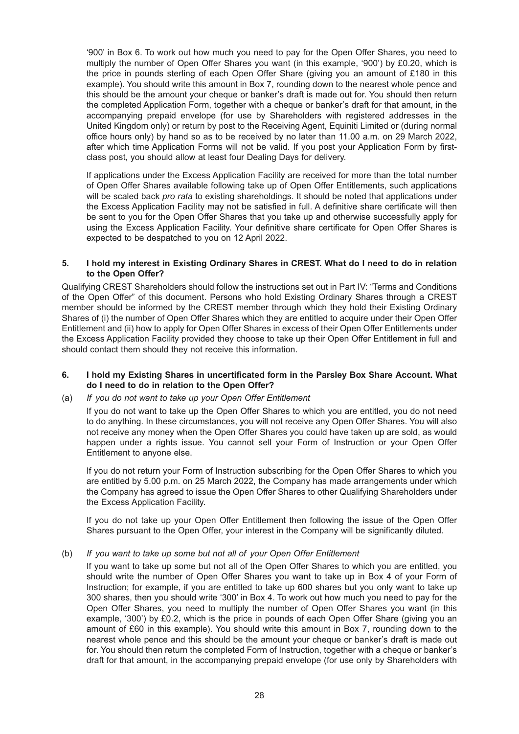'900' in Box 6. To work out how much you need to pay for the Open Offer Shares, you need to multiply the number of Open Offer Shares you want (in this example, '900') by £0.20, which is the price in pounds sterling of each Open Offer Share (giving you an amount of £180 in this example). You should write this amount in Box 7, rounding down to the nearest whole pence and this should be the amount your cheque or banker's draft is made out for. You should then return the completed Application Form, together with a cheque or banker's draft for that amount, in the accompanying prepaid envelope (for use by Shareholders with registered addresses in the United Kingdom only) or return by post to the Receiving Agent, Equiniti Limited or (during normal office hours only) by hand so as to be received by no later than 11.00 a.m. on 29 March 2022, after which time Application Forms will not be valid. If you post your Application Form by firstclass post, you should allow at least four Dealing Days for delivery.

If applications under the Excess Application Facility are received for more than the total number of Open Offer Shares available following take up of Open Offer Entitlements, such applications will be scaled back *pro rata* to existing shareholdings. It should be noted that applications under the Excess Application Facility may not be satisfied in full. A definitive share certificate will then be sent to you for the Open Offer Shares that you take up and otherwise successfully apply for using the Excess Application Facility. Your definitive share certificate for Open Offer Shares is expected to be despatched to you on 12 April 2022.

#### **5. I hold my interest in Existing Ordinary Shares in CREST. What do I need to do in relation to the Open Offer?**

Qualifying CREST Shareholders should follow the instructions set out in Part IV: "Terms and Conditions of the Open Offer" of this document. Persons who hold Existing Ordinary Shares through a CREST member should be informed by the CREST member through which they hold their Existing Ordinary Shares of (i) the number of Open Offer Shares which they are entitled to acquire under their Open Offer Entitlement and (ii) how to apply for Open Offer Shares in excess of their Open Offer Entitlements under the Excess Application Facility provided they choose to take up their Open Offer Entitlement in full and should contact them should they not receive this information.

#### **6. I hold my Existing Shares in uncertificated form in the Parsley Box Share Account. What do I need to do in relation to the Open Offer?**

### (a) *If you do not want to take up your Open Offer Entitlement*

If you do not want to take up the Open Offer Shares to which you are entitled, you do not need to do anything. In these circumstances, you will not receive any Open Offer Shares. You will also not receive any money when the Open Offer Shares you could have taken up are sold, as would happen under a rights issue. You cannot sell your Form of Instruction or your Open Offer Entitlement to anyone else.

If you do not return your Form of Instruction subscribing for the Open Offer Shares to which you are entitled by 5.00 p.m. on 25 March 2022, the Company has made arrangements under which the Company has agreed to issue the Open Offer Shares to other Qualifying Shareholders under the Excess Application Facility.

If you do not take up your Open Offer Entitlement then following the issue of the Open Offer Shares pursuant to the Open Offer, your interest in the Company will be significantly diluted.

### (b) *If you want to take up some but not all of your Open Offer Entitlement*

If you want to take up some but not all of the Open Offer Shares to which you are entitled, you should write the number of Open Offer Shares you want to take up in Box 4 of your Form of Instruction; for example, if you are entitled to take up 600 shares but you only want to take up 300 shares, then you should write '300' in Box 4. To work out how much you need to pay for the Open Offer Shares, you need to multiply the number of Open Offer Shares you want (in this example, '300') by £0.2, which is the price in pounds of each Open Offer Share (giving you an amount of £60 in this example). You should write this amount in Box 7, rounding down to the nearest whole pence and this should be the amount your cheque or banker's draft is made out for. You should then return the completed Form of Instruction, together with a cheque or banker's draft for that amount, in the accompanying prepaid envelope (for use only by Shareholders with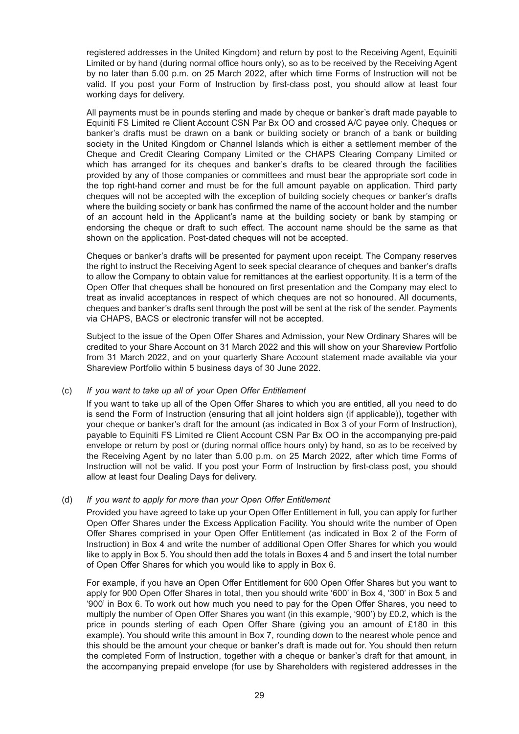registered addresses in the United Kingdom) and return by post to the Receiving Agent, Equiniti Limited or by hand (during normal office hours only), so as to be received by the Receiving Agent by no later than 5.00 p.m. on 25 March 2022, after which time Forms of Instruction will not be valid. If you post your Form of Instruction by first-class post, you should allow at least four working days for delivery.

All payments must be in pounds sterling and made by cheque or banker's draft made payable to Equiniti FS Limited re Client Account CSN Par Bx OO and crossed A/C payee only. Cheques or banker's drafts must be drawn on a bank or building society or branch of a bank or building society in the United Kingdom or Channel Islands which is either a settlement member of the Cheque and Credit Clearing Company Limited or the CHAPS Clearing Company Limited or which has arranged for its cheques and banker's drafts to be cleared through the facilities provided by any of those companies or committees and must bear the appropriate sort code in the top right-hand corner and must be for the full amount payable on application. Third party cheques will not be accepted with the exception of building society cheques or banker's drafts where the building society or bank has confirmed the name of the account holder and the number of an account held in the Applicant's name at the building society or bank by stamping or endorsing the cheque or draft to such effect. The account name should be the same as that shown on the application. Post-dated cheques will not be accepted.

Cheques or banker's drafts will be presented for payment upon receipt. The Company reserves the right to instruct the Receiving Agent to seek special clearance of cheques and banker's drafts to allow the Company to obtain value for remittances at the earliest opportunity. It is a term of the Open Offer that cheques shall be honoured on first presentation and the Company may elect to treat as invalid acceptances in respect of which cheques are not so honoured. All documents, cheques and banker's drafts sent through the post will be sent at the risk of the sender. Payments via CHAPS, BACS or electronic transfer will not be accepted.

Subject to the issue of the Open Offer Shares and Admission, your New Ordinary Shares will be credited to your Share Account on 31 March 2022 and this will show on your Shareview Portfolio from 31 March 2022, and on your quarterly Share Account statement made available via your Shareview Portfolio within 5 business days of 30 June 2022.

### (c) *If you want to take up all of your Open Offer Entitlement*

If you want to take up all of the Open Offer Shares to which you are entitled, all you need to do is send the Form of Instruction (ensuring that all joint holders sign (if applicable)), together with your cheque or banker's draft for the amount (as indicated in Box 3 of your Form of Instruction), payable to Equiniti FS Limited re Client Account CSN Par Bx OO in the accompanying pre-paid envelope or return by post or (during normal office hours only) by hand, so as to be received by the Receiving Agent by no later than 5.00 p.m. on 25 March 2022, after which time Forms of Instruction will not be valid. If you post your Form of Instruction by first-class post, you should allow at least four Dealing Days for delivery.

### (d) *If you want to apply for more than your Open Offer Entitlement*

Provided you have agreed to take up your Open Offer Entitlement in full, you can apply for further Open Offer Shares under the Excess Application Facility. You should write the number of Open Offer Shares comprised in your Open Offer Entitlement (as indicated in Box 2 of the Form of Instruction) in Box 4 and write the number of additional Open Offer Shares for which you would like to apply in Box 5. You should then add the totals in Boxes 4 and 5 and insert the total number of Open Offer Shares for which you would like to apply in Box 6.

For example, if you have an Open Offer Entitlement for 600 Open Offer Shares but you want to apply for 900 Open Offer Shares in total, then you should write '600' in Box 4, '300' in Box 5 and '900' in Box 6. To work out how much you need to pay for the Open Offer Shares, you need to multiply the number of Open Offer Shares you want (in this example, '900') by £0.2, which is the price in pounds sterling of each Open Offer Share (giving you an amount of £180 in this example). You should write this amount in Box 7, rounding down to the nearest whole pence and this should be the amount your cheque or banker's draft is made out for. You should then return the completed Form of Instruction, together with a cheque or banker's draft for that amount, in the accompanying prepaid envelope (for use by Shareholders with registered addresses in the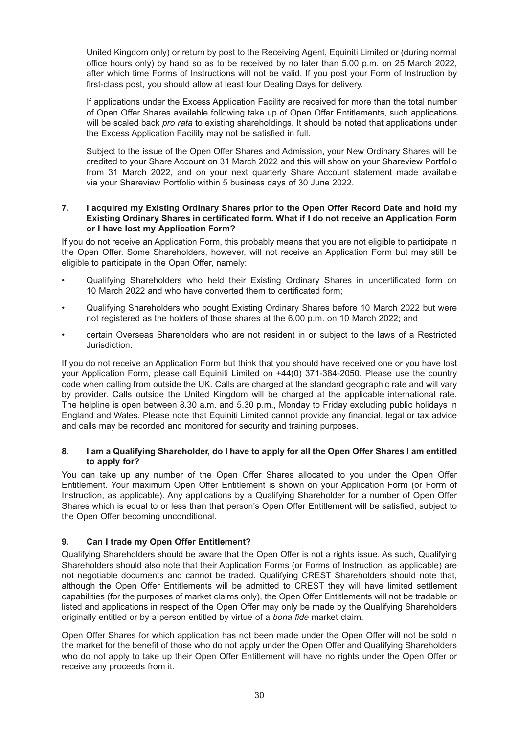United Kingdom only) or return by post to the Receiving Agent, Equiniti Limited or (during normal office hours only) by hand so as to be received by no later than 5.00 p.m. on 25 March 2022, after which time Forms of Instructions will not be valid. If you post your Form of Instruction by first-class post, you should allow at least four Dealing Days for delivery.

If applications under the Excess Application Facility are received for more than the total number of Open Offer Shares available following take up of Open Offer Entitlements, such applications will be scaled back *pro rata* to existing shareholdings. It should be noted that applications under the Excess Application Facility may not be satisfied in full.

Subject to the issue of the Open Offer Shares and Admission, your New Ordinary Shares will be credited to your Share Account on 31 March 2022 and this will show on your Shareview Portfolio from 31 March 2022, and on your next quarterly Share Account statement made available via your Shareview Portfolio within 5 business days of 30 June 2022.

#### **7. I acquired my Existing Ordinary Shares prior to the Open Offer Record Date and hold my Existing Ordinary Shares in certificated form. What if I do not receive an Application Form or I have lost my Application Form?**

If you do not receive an Application Form, this probably means that you are not eligible to participate in the Open Offer. Some Shareholders, however, will not receive an Application Form but may still be eligible to participate in the Open Offer, namely:

- Qualifying Shareholders who held their Existing Ordinary Shares in uncertificated form on 10 March 2022 and who have converted them to certificated form;
- Qualifying Shareholders who bought Existing Ordinary Shares before 10 March 2022 but were not registered as the holders of those shares at the 6.00 p.m. on 10 March 2022; and
- certain Overseas Shareholders who are not resident in or subject to the laws of a Restricted Jurisdiction.

If you do not receive an Application Form but think that you should have received one or you have lost your Application Form, please call Equiniti Limited on +44(0) 371-384-2050. Please use the country code when calling from outside the UK. Calls are charged at the standard geographic rate and will vary by provider. Calls outside the United Kingdom will be charged at the applicable international rate. The helpline is open between 8.30 a.m. and 5.30 p.m., Monday to Friday excluding public holidays in England and Wales. Please note that Equiniti Limited cannot provide any financial, legal or tax advice and calls may be recorded and monitored for security and training purposes.

### **8. I am a Qualifying Shareholder, do I have to apply for all the Open Offer Shares I am entitled to apply for?**

You can take up any number of the Open Offer Shares allocated to you under the Open Offer Entitlement. Your maximum Open Offer Entitlement is shown on your Application Form (or Form of Instruction, as applicable). Any applications by a Qualifying Shareholder for a number of Open Offer Shares which is equal to or less than that person's Open Offer Entitlement will be satisfied, subject to the Open Offer becoming unconditional.

# **9. Can I trade my Open Offer Entitlement?**

Qualifying Shareholders should be aware that the Open Offer is not a rights issue. As such, Qualifying Shareholders should also note that their Application Forms (or Forms of Instruction, as applicable) are not negotiable documents and cannot be traded. Qualifying CREST Shareholders should note that, although the Open Offer Entitlements will be admitted to CREST they will have limited settlement capabilities (for the purposes of market claims only), the Open Offer Entitlements will not be tradable or listed and applications in respect of the Open Offer may only be made by the Qualifying Shareholders originally entitled or by a person entitled by virtue of a *bona fide* market claim.

Open Offer Shares for which application has not been made under the Open Offer will not be sold in the market for the benefit of those who do not apply under the Open Offer and Qualifying Shareholders who do not apply to take up their Open Offer Entitlement will have no rights under the Open Offer or receive any proceeds from it.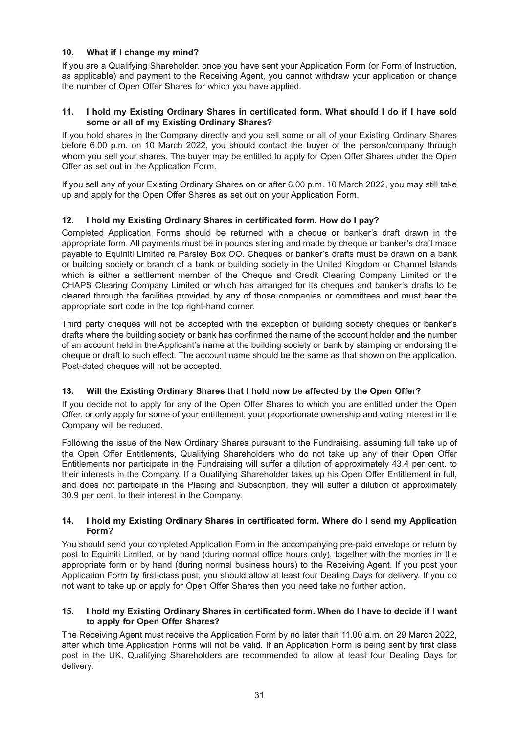# **10. What if I change my mind?**

If you are a Qualifying Shareholder, once you have sent your Application Form (or Form of Instruction, as applicable) and payment to the Receiving Agent, you cannot withdraw your application or change the number of Open Offer Shares for which you have applied.

#### **11. I hold my Existing Ordinary Shares in certificated form. What should I do if I have sold some or all of my Existing Ordinary Shares?**

If you hold shares in the Company directly and you sell some or all of your Existing Ordinary Shares before 6.00 p.m. on 10 March 2022, you should contact the buyer or the person/company through whom you sell your shares. The buyer may be entitled to apply for Open Offer Shares under the Open Offer as set out in the Application Form.

If you sell any of your Existing Ordinary Shares on or after 6.00 p.m. 10 March 2022, you may still take up and apply for the Open Offer Shares as set out on your Application Form.

# **12. I hold my Existing Ordinary Shares in certificated form. How do I pay?**

Completed Application Forms should be returned with a cheque or banker's draft drawn in the appropriate form. All payments must be in pounds sterling and made by cheque or banker's draft made payable to Equiniti Limited re Parsley Box OO. Cheques or banker's drafts must be drawn on a bank or building society or branch of a bank or building society in the United Kingdom or Channel Islands which is either a settlement member of the Cheque and Credit Clearing Company Limited or the CHAPS Clearing Company Limited or which has arranged for its cheques and banker's drafts to be cleared through the facilities provided by any of those companies or committees and must bear the appropriate sort code in the top right-hand corner.

Third party cheques will not be accepted with the exception of building society cheques or banker's drafts where the building society or bank has confirmed the name of the account holder and the number of an account held in the Applicant's name at the building society or bank by stamping or endorsing the cheque or draft to such effect. The account name should be the same as that shown on the application. Post-dated cheques will not be accepted.

### **13. Will the Existing Ordinary Shares that I hold now be affected by the Open Offer?**

If you decide not to apply for any of the Open Offer Shares to which you are entitled under the Open Offer, or only apply for some of your entitlement, your proportionate ownership and voting interest in the Company will be reduced.

Following the issue of the New Ordinary Shares pursuant to the Fundraising, assuming full take up of the Open Offer Entitlements, Qualifying Shareholders who do not take up any of their Open Offer Entitlements nor participate in the Fundraising will suffer a dilution of approximately 43.4 per cent. to their interests in the Company. If a Qualifying Shareholder takes up his Open Offer Entitlement in full, and does not participate in the Placing and Subscription, they will suffer a dilution of approximately 30.9 per cent. to their interest in the Company.

#### **14. I hold my Existing Ordinary Shares in certificated form. Where do I send my Application Form?**

You should send your completed Application Form in the accompanying pre-paid envelope or return by post to Equiniti Limited, or by hand (during normal office hours only), together with the monies in the appropriate form or by hand (during normal business hours) to the Receiving Agent. If you post your Application Form by first-class post, you should allow at least four Dealing Days for delivery. If you do not want to take up or apply for Open Offer Shares then you need take no further action.

### **15. I hold my Existing Ordinary Shares in certificated form. When do I have to decide if I want to apply for Open Offer Shares?**

The Receiving Agent must receive the Application Form by no later than 11.00 a.m. on 29 March 2022, after which time Application Forms will not be valid. If an Application Form is being sent by first class post in the UK, Qualifying Shareholders are recommended to allow at least four Dealing Days for delivery.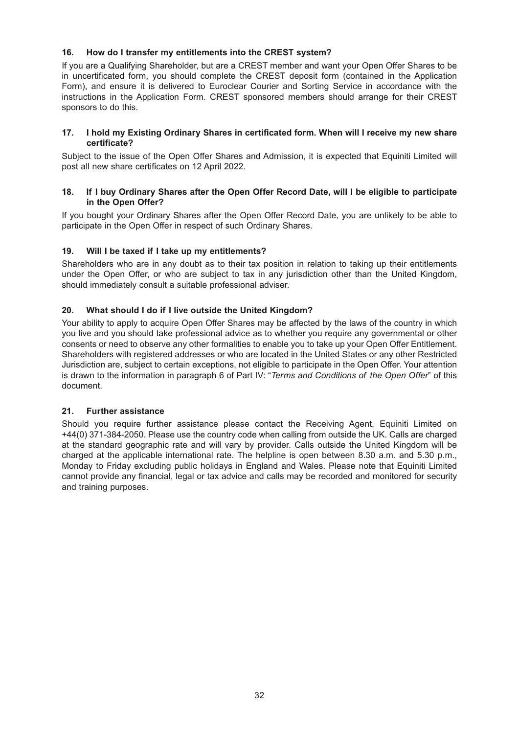# **16. How do I transfer my entitlements into the CREST system?**

If you are a Qualifying Shareholder, but are a CREST member and want your Open Offer Shares to be in uncertificated form, you should complete the CREST deposit form (contained in the Application Form), and ensure it is delivered to Euroclear Courier and Sorting Service in accordance with the instructions in the Application Form. CREST sponsored members should arrange for their CREST sponsors to do this.

#### **17. I hold my Existing Ordinary Shares in certificated form. When will I receive my new share certificate?**

Subject to the issue of the Open Offer Shares and Admission, it is expected that Equiniti Limited will post all new share certificates on 12 April 2022.

### **18. If I buy Ordinary Shares after the Open Offer Record Date, will I be eligible to participate in the Open Offer?**

If you bought your Ordinary Shares after the Open Offer Record Date, you are unlikely to be able to participate in the Open Offer in respect of such Ordinary Shares.

# **19. Will I be taxed if I take up my entitlements?**

Shareholders who are in any doubt as to their tax position in relation to taking up their entitlements under the Open Offer, or who are subject to tax in any jurisdiction other than the United Kingdom, should immediately consult a suitable professional adviser.

# **20. What should I do if I live outside the United Kingdom?**

Your ability to apply to acquire Open Offer Shares may be affected by the laws of the country in which you live and you should take professional advice as to whether you require any governmental or other consents or need to observe any other formalities to enable you to take up your Open Offer Entitlement. Shareholders with registered addresses or who are located in the United States or any other Restricted Jurisdiction are, subject to certain exceptions, not eligible to participate in the Open Offer. Your attention is drawn to the information in paragraph 6 of Part IV: "*Terms and Conditions of the Open Offer*" of this document.

### **21. Further assistance**

Should you require further assistance please contact the Receiving Agent, Equiniti Limited on +44(0) 371-384-2050. Please use the country code when calling from outside the UK. Calls are charged at the standard geographic rate and will vary by provider. Calls outside the United Kingdom will be charged at the applicable international rate. The helpline is open between 8.30 a.m. and 5.30 p.m., Monday to Friday excluding public holidays in England and Wales. Please note that Equiniti Limited cannot provide any financial, legal or tax advice and calls may be recorded and monitored for security and training purposes.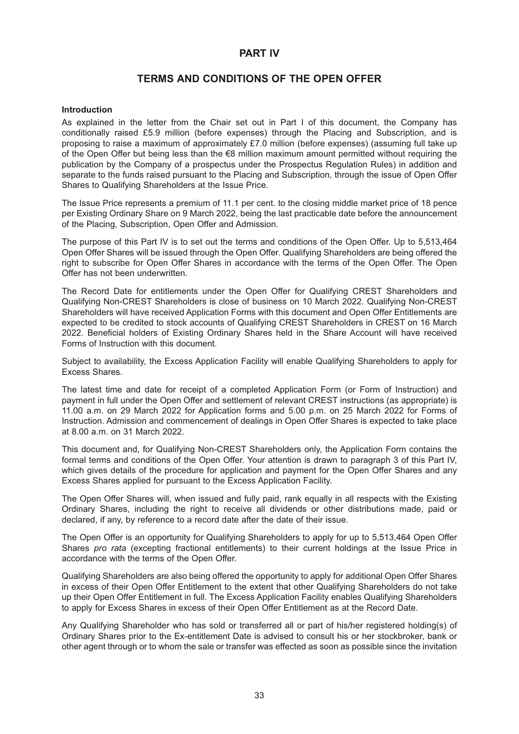# **PART IV**

# **TERMS AND CONDITIONS OF THE OPEN OFFER**

#### **Introduction**

As explained in the letter from the Chair set out in Part I of this document, the Company has conditionally raised £5.9 million (before expenses) through the Placing and Subscription, and is proposing to raise a maximum of approximately £7.0 million (before expenses) (assuming full take up of the Open Offer but being less than the €8 million maximum amount permitted without requiring the publication by the Company of a prospectus under the Prospectus Regulation Rules) in addition and separate to the funds raised pursuant to the Placing and Subscription, through the issue of Open Offer Shares to Qualifying Shareholders at the Issue Price.

The Issue Price represents a premium of 11.1 per cent. to the closing middle market price of 18 pence per Existing Ordinary Share on 9 March 2022, being the last practicable date before the announcement of the Placing, Subscription, Open Offer and Admission.

The purpose of this Part IV is to set out the terms and conditions of the Open Offer. Up to 5,513,464 Open Offer Shares will be issued through the Open Offer. Qualifying Shareholders are being offered the right to subscribe for Open Offer Shares in accordance with the terms of the Open Offer. The Open Offer has not been underwritten.

The Record Date for entitlements under the Open Offer for Qualifying CREST Shareholders and Qualifying Non-CREST Shareholders is close of business on 10 March 2022. Qualifying Non-CREST Shareholders will have received Application Forms with this document and Open Offer Entitlements are expected to be credited to stock accounts of Qualifying CREST Shareholders in CREST on 16 March 2022. Beneficial holders of Existing Ordinary Shares held in the Share Account will have received Forms of Instruction with this document.

Subject to availability, the Excess Application Facility will enable Qualifying Shareholders to apply for Excess Shares.

The latest time and date for receipt of a completed Application Form (or Form of Instruction) and payment in full under the Open Offer and settlement of relevant CREST instructions (as appropriate) is 11.00 a.m. on 29 March 2022 for Application forms and 5.00 p.m. on 25 March 2022 for Forms of Instruction. Admission and commencement of dealings in Open Offer Shares is expected to take place at 8.00 a.m. on 31 March 2022.

This document and, for Qualifying Non-CREST Shareholders only, the Application Form contains the formal terms and conditions of the Open Offer. Your attention is drawn to paragraph 3 of this Part IV, which gives details of the procedure for application and payment for the Open Offer Shares and any Excess Shares applied for pursuant to the Excess Application Facility.

The Open Offer Shares will, when issued and fully paid, rank equally in all respects with the Existing Ordinary Shares, including the right to receive all dividends or other distributions made, paid or declared, if any, by reference to a record date after the date of their issue.

The Open Offer is an opportunity for Qualifying Shareholders to apply for up to 5,513,464 Open Offer Shares *pro rata* (excepting fractional entitlements) to their current holdings at the Issue Price in accordance with the terms of the Open Offer.

Qualifying Shareholders are also being offered the opportunity to apply for additional Open Offer Shares in excess of their Open Offer Entitlement to the extent that other Qualifying Shareholders do not take up their Open Offer Entitlement in full. The Excess Application Facility enables Qualifying Shareholders to apply for Excess Shares in excess of their Open Offer Entitlement as at the Record Date.

Any Qualifying Shareholder who has sold or transferred all or part of his/her registered holding(s) of Ordinary Shares prior to the Ex-entitlement Date is advised to consult his or her stockbroker, bank or other agent through or to whom the sale or transfer was effected as soon as possible since the invitation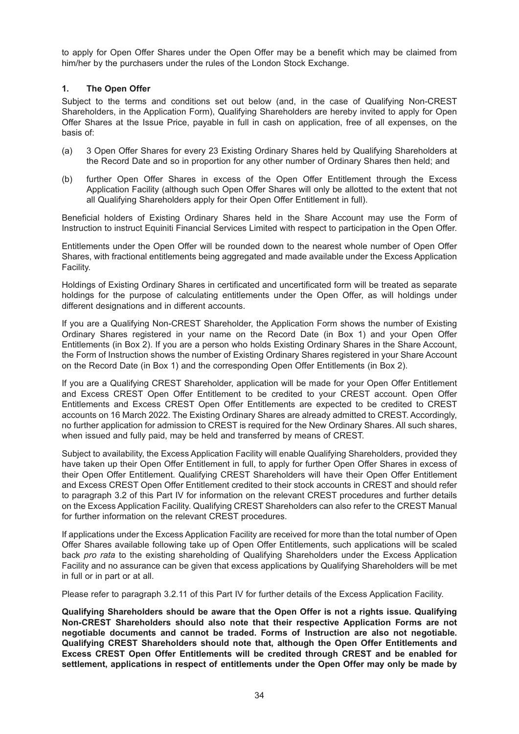to apply for Open Offer Shares under the Open Offer may be a benefit which may be claimed from him/her by the purchasers under the rules of the London Stock Exchange.

### **1. The Open Offer**

Subject to the terms and conditions set out below (and, in the case of Qualifying Non-CREST Shareholders, in the Application Form), Qualifying Shareholders are hereby invited to apply for Open Offer Shares at the Issue Price, payable in full in cash on application, free of all expenses, on the basis of:

- (a) 3 Open Offer Shares for every 23 Existing Ordinary Shares held by Qualifying Shareholders at the Record Date and so in proportion for any other number of Ordinary Shares then held; and
- (b) further Open Offer Shares in excess of the Open Offer Entitlement through the Excess Application Facility (although such Open Offer Shares will only be allotted to the extent that not all Qualifying Shareholders apply for their Open Offer Entitlement in full).

Beneficial holders of Existing Ordinary Shares held in the Share Account may use the Form of Instruction to instruct Equiniti Financial Services Limited with respect to participation in the Open Offer.

Entitlements under the Open Offer will be rounded down to the nearest whole number of Open Offer Shares, with fractional entitlements being aggregated and made available under the Excess Application Facility.

Holdings of Existing Ordinary Shares in certificated and uncertificated form will be treated as separate holdings for the purpose of calculating entitlements under the Open Offer, as will holdings under different designations and in different accounts.

If you are a Qualifying Non-CREST Shareholder, the Application Form shows the number of Existing Ordinary Shares registered in your name on the Record Date (in Box 1) and your Open Offer Entitlements (in Box 2). If you are a person who holds Existing Ordinary Shares in the Share Account, the Form of Instruction shows the number of Existing Ordinary Shares registered in your Share Account on the Record Date (in Box 1) and the corresponding Open Offer Entitlements (in Box 2).

If you are a Qualifying CREST Shareholder, application will be made for your Open Offer Entitlement and Excess CREST Open Offer Entitlement to be credited to your CREST account. Open Offer Entitlements and Excess CREST Open Offer Entitlements are expected to be credited to CREST accounts on 16 March 2022. The Existing Ordinary Shares are already admitted to CREST. Accordingly, no further application for admission to CREST is required for the New Ordinary Shares. All such shares, when issued and fully paid, may be held and transferred by means of CREST.

Subject to availability, the Excess Application Facility will enable Qualifying Shareholders, provided they have taken up their Open Offer Entitlement in full, to apply for further Open Offer Shares in excess of their Open Offer Entitlement. Qualifying CREST Shareholders will have their Open Offer Entitlement and Excess CREST Open Offer Entitlement credited to their stock accounts in CREST and should refer to paragraph 3.2 of this Part IV for information on the relevant CREST procedures and further details on the Excess Application Facility. Qualifying CREST Shareholders can also refer to the CREST Manual for further information on the relevant CREST procedures.

If applications under the Excess Application Facility are received for more than the total number of Open Offer Shares available following take up of Open Offer Entitlements, such applications will be scaled back *pro rata* to the existing shareholding of Qualifying Shareholders under the Excess Application Facility and no assurance can be given that excess applications by Qualifying Shareholders will be met in full or in part or at all.

Please refer to paragraph 3.2.11 of this Part IV for further details of the Excess Application Facility.

**Qualifying Shareholders should be aware that the Open Offer is not a rights issue. Qualifying Non-CREST Shareholders should also note that their respective Application Forms are not negotiable documents and cannot be traded. Forms of Instruction are also not negotiable. Qualifying CREST Shareholders should note that, although the Open Offer Entitlements and Excess CREST Open Offer Entitlements will be credited through CREST and be enabled for settlement, applications in respect of entitlements under the Open Offer may only be made by**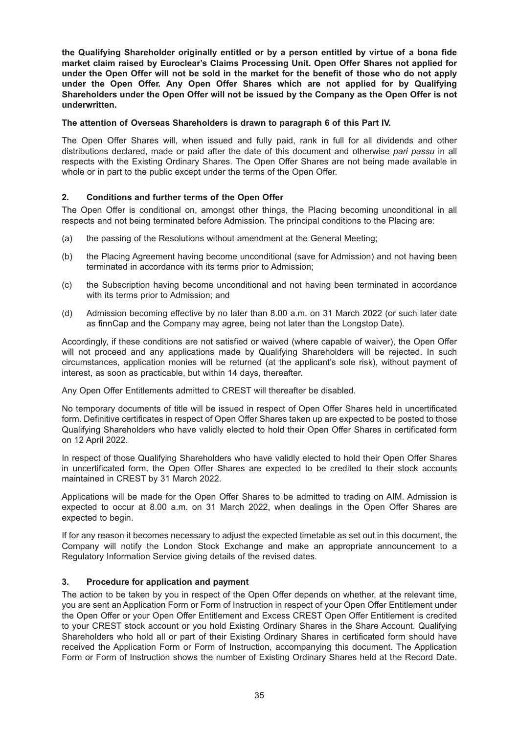**the Qualifying Shareholder originally entitled or by a person entitled by virtue of a bona fide market claim raised by Euroclear's Claims Processing Unit. Open Offer Shares not applied for under the Open Offer will not be sold in the market for the benefit of those who do not apply under the Open Offer. Any Open Offer Shares which are not applied for by Qualifying Shareholders under the Open Offer will not be issued by the Company as the Open Offer is not underwritten.**

#### **The attention of Overseas Shareholders is drawn to paragraph 6 of this Part IV.**

The Open Offer Shares will, when issued and fully paid, rank in full for all dividends and other distributions declared, made or paid after the date of this document and otherwise *pari passu* in all respects with the Existing Ordinary Shares. The Open Offer Shares are not being made available in whole or in part to the public except under the terms of the Open Offer.

### **2. Conditions and further terms of the Open Offer**

The Open Offer is conditional on, amongst other things, the Placing becoming unconditional in all respects and not being terminated before Admission. The principal conditions to the Placing are:

- (a) the passing of the Resolutions without amendment at the General Meeting;
- (b) the Placing Agreement having become unconditional (save for Admission) and not having been terminated in accordance with its terms prior to Admission;
- (c) the Subscription having become unconditional and not having been terminated in accordance with its terms prior to Admission; and
- (d) Admission becoming effective by no later than 8.00 a.m. on 31 March 2022 (or such later date as finnCap and the Company may agree, being not later than the Longstop Date).

Accordingly, if these conditions are not satisfied or waived (where capable of waiver), the Open Offer will not proceed and any applications made by Qualifying Shareholders will be rejected. In such circumstances, application monies will be returned (at the applicant's sole risk), without payment of interest, as soon as practicable, but within 14 days, thereafter.

Any Open Offer Entitlements admitted to CREST will thereafter be disabled.

No temporary documents of title will be issued in respect of Open Offer Shares held in uncertificated form. Definitive certificates in respect of Open Offer Shares taken up are expected to be posted to those Qualifying Shareholders who have validly elected to hold their Open Offer Shares in certificated form on 12 April 2022.

In respect of those Qualifying Shareholders who have validly elected to hold their Open Offer Shares in uncertificated form, the Open Offer Shares are expected to be credited to their stock accounts maintained in CREST by 31 March 2022.

Applications will be made for the Open Offer Shares to be admitted to trading on AIM. Admission is expected to occur at 8.00 a.m. on 31 March 2022, when dealings in the Open Offer Shares are expected to begin.

If for any reason it becomes necessary to adjust the expected timetable as set out in this document, the Company will notify the London Stock Exchange and make an appropriate announcement to a Regulatory Information Service giving details of the revised dates.

### **3. Procedure for application and payment**

The action to be taken by you in respect of the Open Offer depends on whether, at the relevant time, you are sent an Application Form or Form of Instruction in respect of your Open Offer Entitlement under the Open Offer or your Open Offer Entitlement and Excess CREST Open Offer Entitlement is credited to your CREST stock account or you hold Existing Ordinary Shares in the Share Account. Qualifying Shareholders who hold all or part of their Existing Ordinary Shares in certificated form should have received the Application Form or Form of Instruction, accompanying this document. The Application Form or Form of Instruction shows the number of Existing Ordinary Shares held at the Record Date.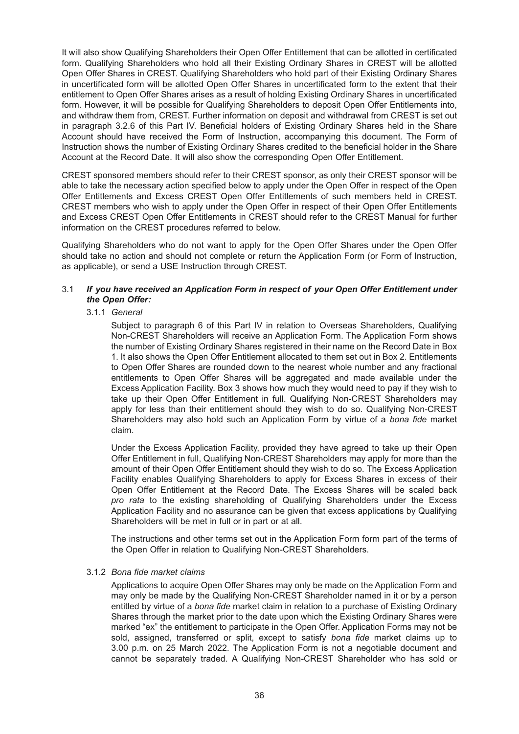It will also show Qualifying Shareholders their Open Offer Entitlement that can be allotted in certificated form. Qualifying Shareholders who hold all their Existing Ordinary Shares in CREST will be allotted Open Offer Shares in CREST. Qualifying Shareholders who hold part of their Existing Ordinary Shares in uncertificated form will be allotted Open Offer Shares in uncertificated form to the extent that their entitlement to Open Offer Shares arises as a result of holding Existing Ordinary Shares in uncertificated form. However, it will be possible for Qualifying Shareholders to deposit Open Offer Entitlements into, and withdraw them from, CREST. Further information on deposit and withdrawal from CREST is set out in paragraph 3.2.6 of this Part IV. Beneficial holders of Existing Ordinary Shares held in the Share Account should have received the Form of Instruction, accompanying this document. The Form of Instruction shows the number of Existing Ordinary Shares credited to the beneficial holder in the Share Account at the Record Date. It will also show the corresponding Open Offer Entitlement.

CREST sponsored members should refer to their CREST sponsor, as only their CREST sponsor will be able to take the necessary action specified below to apply under the Open Offer in respect of the Open Offer Entitlements and Excess CREST Open Offer Entitlements of such members held in CREST. CREST members who wish to apply under the Open Offer in respect of their Open Offer Entitlements and Excess CREST Open Offer Entitlements in CREST should refer to the CREST Manual for further information on the CREST procedures referred to below.

Qualifying Shareholders who do not want to apply for the Open Offer Shares under the Open Offer should take no action and should not complete or return the Application Form (or Form of Instruction, as applicable), or send a USE Instruction through CREST.

### 3.1 *If you have received an Application Form in respect of your Open Offer Entitlement under the Open Offer:*

#### 3.1.1 *General*

Subject to paragraph 6 of this Part IV in relation to Overseas Shareholders, Qualifying Non-CREST Shareholders will receive an Application Form. The Application Form shows the number of Existing Ordinary Shares registered in their name on the Record Date in Box 1. It also shows the Open Offer Entitlement allocated to them set out in Box 2. Entitlements to Open Offer Shares are rounded down to the nearest whole number and any fractional entitlements to Open Offer Shares will be aggregated and made available under the Excess Application Facility. Box 3 shows how much they would need to pay if they wish to take up their Open Offer Entitlement in full. Qualifying Non-CREST Shareholders may apply for less than their entitlement should they wish to do so. Qualifying Non-CREST Shareholders may also hold such an Application Form by virtue of a *bona fide* market claim.

Under the Excess Application Facility, provided they have agreed to take up their Open Offer Entitlement in full, Qualifying Non-CREST Shareholders may apply for more than the amount of their Open Offer Entitlement should they wish to do so. The Excess Application Facility enables Qualifying Shareholders to apply for Excess Shares in excess of their Open Offer Entitlement at the Record Date. The Excess Shares will be scaled back *pro rata* to the existing shareholding of Qualifying Shareholders under the Excess Application Facility and no assurance can be given that excess applications by Qualifying Shareholders will be met in full or in part or at all.

The instructions and other terms set out in the Application Form form part of the terms of the Open Offer in relation to Qualifying Non-CREST Shareholders.

#### 3.1.2 *Bona fide market claims*

Applications to acquire Open Offer Shares may only be made on the Application Form and may only be made by the Qualifying Non-CREST Shareholder named in it or by a person entitled by virtue of a *bona fide* market claim in relation to a purchase of Existing Ordinary Shares through the market prior to the date upon which the Existing Ordinary Shares were marked "ex" the entitlement to participate in the Open Offer. Application Forms may not be sold, assigned, transferred or split, except to satisfy *bona fide* market claims up to 3.00 p.m. on 25 March 2022. The Application Form is not a negotiable document and cannot be separately traded. A Qualifying Non-CREST Shareholder who has sold or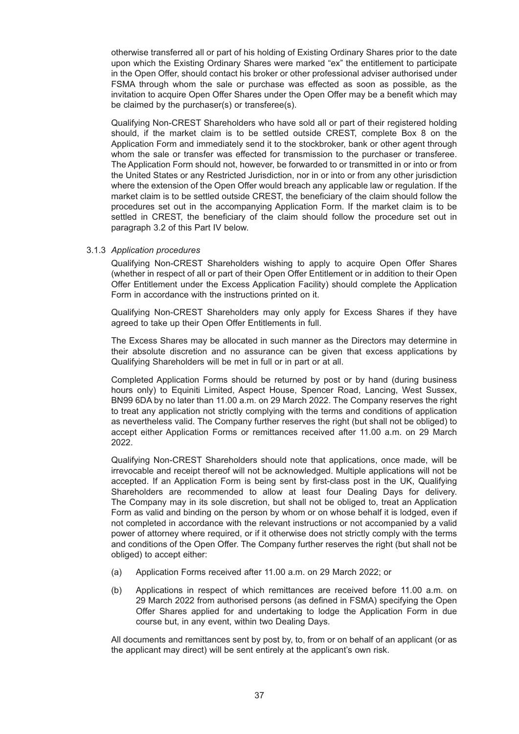otherwise transferred all or part of his holding of Existing Ordinary Shares prior to the date upon which the Existing Ordinary Shares were marked "ex" the entitlement to participate in the Open Offer, should contact his broker or other professional adviser authorised under FSMA through whom the sale or purchase was effected as soon as possible, as the invitation to acquire Open Offer Shares under the Open Offer may be a benefit which may be claimed by the purchaser(s) or transferee(s).

Qualifying Non-CREST Shareholders who have sold all or part of their registered holding should, if the market claim is to be settled outside CREST, complete Box 8 on the Application Form and immediately send it to the stockbroker, bank or other agent through whom the sale or transfer was effected for transmission to the purchaser or transferee. The Application Form should not, however, be forwarded to or transmitted in or into or from the United States or any Restricted Jurisdiction, nor in or into or from any other jurisdiction where the extension of the Open Offer would breach any applicable law or regulation. If the market claim is to be settled outside CREST, the beneficiary of the claim should follow the procedures set out in the accompanying Application Form. If the market claim is to be settled in CREST, the beneficiary of the claim should follow the procedure set out in paragraph 3.2 of this Part IV below.

#### 3.1.3 *Application procedures*

Qualifying Non-CREST Shareholders wishing to apply to acquire Open Offer Shares (whether in respect of all or part of their Open Offer Entitlement or in addition to their Open Offer Entitlement under the Excess Application Facility) should complete the Application Form in accordance with the instructions printed on it.

Qualifying Non-CREST Shareholders may only apply for Excess Shares if they have agreed to take up their Open Offer Entitlements in full.

The Excess Shares may be allocated in such manner as the Directors may determine in their absolute discretion and no assurance can be given that excess applications by Qualifying Shareholders will be met in full or in part or at all.

Completed Application Forms should be returned by post or by hand (during business hours only) to Equiniti Limited, Aspect House, Spencer Road, Lancing, West Sussex, BN99 6DA by no later than 11.00 a.m. on 29 March 2022. The Company reserves the right to treat any application not strictly complying with the terms and conditions of application as nevertheless valid. The Company further reserves the right (but shall not be obliged) to accept either Application Forms or remittances received after 11.00 a.m. on 29 March 2022.

Qualifying Non-CREST Shareholders should note that applications, once made, will be irrevocable and receipt thereof will not be acknowledged. Multiple applications will not be accepted. If an Application Form is being sent by first-class post in the UK, Qualifying Shareholders are recommended to allow at least four Dealing Days for delivery. The Company may in its sole discretion, but shall not be obliged to, treat an Application Form as valid and binding on the person by whom or on whose behalf it is lodged, even if not completed in accordance with the relevant instructions or not accompanied by a valid power of attorney where required, or if it otherwise does not strictly comply with the terms and conditions of the Open Offer. The Company further reserves the right (but shall not be obliged) to accept either:

- (a) Application Forms received after 11.00 a.m. on 29 March 2022; or
- (b) Applications in respect of which remittances are received before 11.00 a.m. on 29 March 2022 from authorised persons (as defined in FSMA) specifying the Open Offer Shares applied for and undertaking to lodge the Application Form in due course but, in any event, within two Dealing Days.

All documents and remittances sent by post by, to, from or on behalf of an applicant (or as the applicant may direct) will be sent entirely at the applicant's own risk.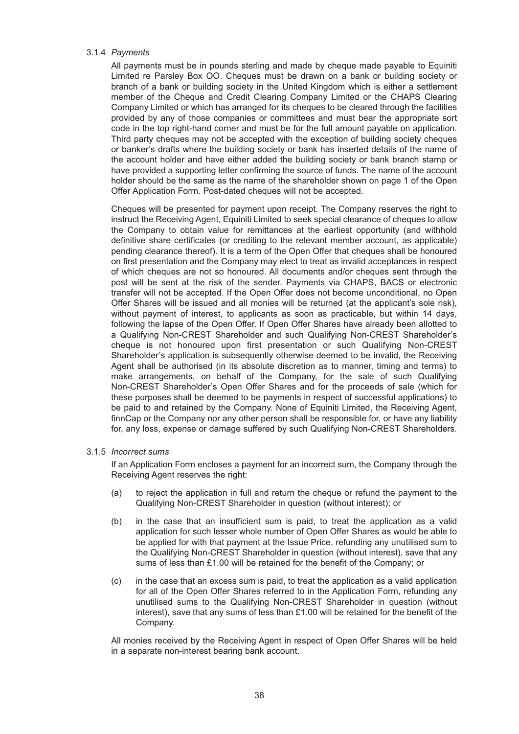#### 3.1.4 *Payments*

All payments must be in pounds sterling and made by cheque made payable to Equiniti Limited re Parsley Box OO. Cheques must be drawn on a bank or building society or branch of a bank or building society in the United Kingdom which is either a settlement member of the Cheque and Credit Clearing Company Limited or the CHAPS Clearing Company Limited or which has arranged for its cheques to be cleared through the facilities provided by any of those companies or committees and must bear the appropriate sort code in the top right-hand corner and must be for the full amount payable on application. Third party cheques may not be accepted with the exception of building society cheques or banker's drafts where the building society or bank has inserted details of the name of the account holder and have either added the building society or bank branch stamp or have provided a supporting letter confirming the source of funds. The name of the account holder should be the same as the name of the shareholder shown on page 1 of the Open Offer Application Form. Post-dated cheques will not be accepted.

Cheques will be presented for payment upon receipt. The Company reserves the right to instruct the Receiving Agent, Equiniti Limited to seek special clearance of cheques to allow the Company to obtain value for remittances at the earliest opportunity (and withhold definitive share certificates (or crediting to the relevant member account, as applicable) pending clearance thereof). It is a term of the Open Offer that cheques shall be honoured on first presentation and the Company may elect to treat as invalid acceptances in respect of which cheques are not so honoured. All documents and/or cheques sent through the post will be sent at the risk of the sender. Payments via CHAPS, BACS or electronic transfer will not be accepted. If the Open Offer does not become unconditional, no Open Offer Shares will be issued and all monies will be returned (at the applicant's sole risk), without payment of interest, to applicants as soon as practicable, but within 14 days, following the lapse of the Open Offer. If Open Offer Shares have already been allotted to a Qualifying Non-CREST Shareholder and such Qualifying Non-CREST Shareholder's cheque is not honoured upon first presentation or such Qualifying Non-CREST Shareholder's application is subsequently otherwise deemed to be invalid, the Receiving Agent shall be authorised (in its absolute discretion as to manner, timing and terms) to make arrangements, on behalf of the Company, for the sale of such Qualifying Non-CREST Shareholder's Open Offer Shares and for the proceeds of sale (which for these purposes shall be deemed to be payments in respect of successful applications) to be paid to and retained by the Company. None of Equiniti Limited, the Receiving Agent, finnCap or the Company nor any other person shall be responsible for, or have any liability for, any loss, expense or damage suffered by such Qualifying Non-CREST Shareholders.

#### 3.1.5 *Incorrect sums*

If an Application Form encloses a payment for an incorrect sum, the Company through the Receiving Agent reserves the right:

- (a) to reject the application in full and return the cheque or refund the payment to the Qualifying Non-CREST Shareholder in question (without interest); or
- (b) in the case that an insufficient sum is paid, to treat the application as a valid application for such lesser whole number of Open Offer Shares as would be able to be applied for with that payment at the Issue Price, refunding any unutilised sum to the Qualifying Non-CREST Shareholder in question (without interest), save that any sums of less than £1.00 will be retained for the benefit of the Company; or
- (c) in the case that an excess sum is paid, to treat the application as a valid application for all of the Open Offer Shares referred to in the Application Form, refunding any unutilised sums to the Qualifying Non-CREST Shareholder in question (without interest), save that any sums of less than £1.00 will be retained for the benefit of the Company.

All monies received by the Receiving Agent in respect of Open Offer Shares will be held in a separate non-interest bearing bank account.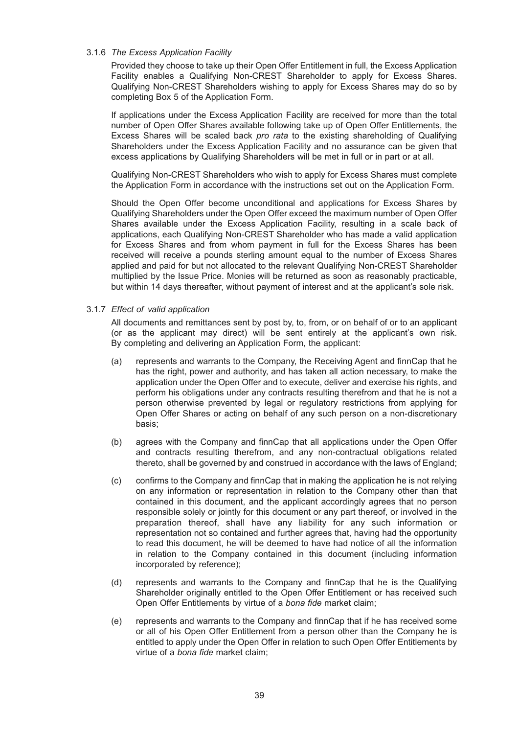#### 3.1.6 *The Excess Application Facility*

Provided they choose to take up their Open Offer Entitlement in full, the Excess Application Facility enables a Qualifying Non-CREST Shareholder to apply for Excess Shares. Qualifying Non-CREST Shareholders wishing to apply for Excess Shares may do so by completing Box 5 of the Application Form.

If applications under the Excess Application Facility are received for more than the total number of Open Offer Shares available following take up of Open Offer Entitlements, the Excess Shares will be scaled back *pro rata* to the existing shareholding of Qualifying Shareholders under the Excess Application Facility and no assurance can be given that excess applications by Qualifying Shareholders will be met in full or in part or at all.

Qualifying Non-CREST Shareholders who wish to apply for Excess Shares must complete the Application Form in accordance with the instructions set out on the Application Form.

Should the Open Offer become unconditional and applications for Excess Shares by Qualifying Shareholders under the Open Offer exceed the maximum number of Open Offer Shares available under the Excess Application Facility, resulting in a scale back of applications, each Qualifying Non-CREST Shareholder who has made a valid application for Excess Shares and from whom payment in full for the Excess Shares has been received will receive a pounds sterling amount equal to the number of Excess Shares applied and paid for but not allocated to the relevant Qualifying Non-CREST Shareholder multiplied by the Issue Price. Monies will be returned as soon as reasonably practicable, but within 14 days thereafter, without payment of interest and at the applicant's sole risk.

### 3.1.7 *Effect of valid application*

All documents and remittances sent by post by, to, from, or on behalf of or to an applicant (or as the applicant may direct) will be sent entirely at the applicant's own risk. By completing and delivering an Application Form, the applicant:

- (a) represents and warrants to the Company, the Receiving Agent and finnCap that he has the right, power and authority, and has taken all action necessary, to make the application under the Open Offer and to execute, deliver and exercise his rights, and perform his obligations under any contracts resulting therefrom and that he is not a person otherwise prevented by legal or regulatory restrictions from applying for Open Offer Shares or acting on behalf of any such person on a non-discretionary basis;
- (b) agrees with the Company and finnCap that all applications under the Open Offer and contracts resulting therefrom, and any non-contractual obligations related thereto, shall be governed by and construed in accordance with the laws of England;
- (c) confirms to the Company and finnCap that in making the application he is not relying on any information or representation in relation to the Company other than that contained in this document, and the applicant accordingly agrees that no person responsible solely or jointly for this document or any part thereof, or involved in the preparation thereof, shall have any liability for any such information or representation not so contained and further agrees that, having had the opportunity to read this document, he will be deemed to have had notice of all the information in relation to the Company contained in this document (including information incorporated by reference);
- (d) represents and warrants to the Company and finnCap that he is the Qualifying Shareholder originally entitled to the Open Offer Entitlement or has received such Open Offer Entitlements by virtue of a *bona fide* market claim;
- (e) represents and warrants to the Company and finnCap that if he has received some or all of his Open Offer Entitlement from a person other than the Company he is entitled to apply under the Open Offer in relation to such Open Offer Entitlements by virtue of a *bona fide* market claim;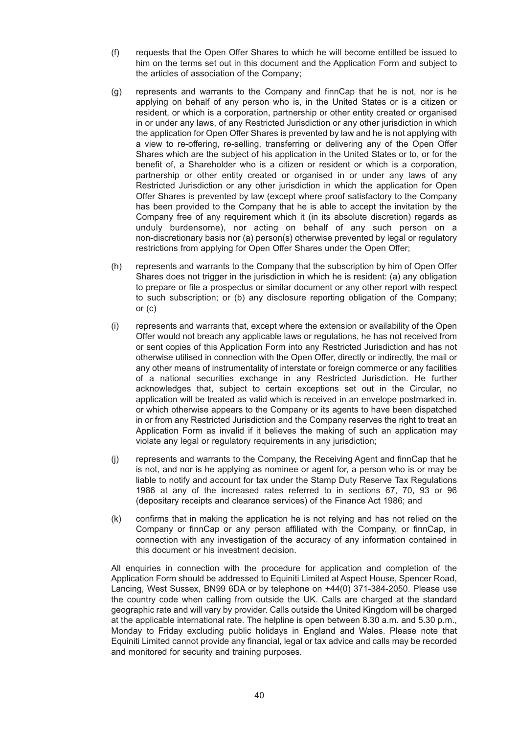- (f) requests that the Open Offer Shares to which he will become entitled be issued to him on the terms set out in this document and the Application Form and subject to the articles of association of the Company;
- (g) represents and warrants to the Company and finnCap that he is not, nor is he applying on behalf of any person who is, in the United States or is a citizen or resident, or which is a corporation, partnership or other entity created or organised in or under any laws, of any Restricted Jurisdiction or any other jurisdiction in which the application for Open Offer Shares is prevented by law and he is not applying with a view to re-offering, re-selling, transferring or delivering any of the Open Offer Shares which are the subject of his application in the United States or to, or for the benefit of, a Shareholder who is a citizen or resident or which is a corporation, partnership or other entity created or organised in or under any laws of any Restricted Jurisdiction or any other jurisdiction in which the application for Open Offer Shares is prevented by law (except where proof satisfactory to the Company has been provided to the Company that he is able to accept the invitation by the Company free of any requirement which it (in its absolute discretion) regards as unduly burdensome), nor acting on behalf of any such person on a non-discretionary basis nor (a) person(s) otherwise prevented by legal or regulatory restrictions from applying for Open Offer Shares under the Open Offer;
- (h) represents and warrants to the Company that the subscription by him of Open Offer Shares does not trigger in the jurisdiction in which he is resident: (a) any obligation to prepare or file a prospectus or similar document or any other report with respect to such subscription; or (b) any disclosure reporting obligation of the Company; or (c)
- (i) represents and warrants that, except where the extension or availability of the Open Offer would not breach any applicable laws or regulations, he has not received from or sent copies of this Application Form into any Restricted Jurisdiction and has not otherwise utilised in connection with the Open Offer, directly or indirectly, the mail or any other means of instrumentality of interstate or foreign commerce or any facilities of a national securities exchange in any Restricted Jurisdiction. He further acknowledges that, subject to certain exceptions set out in the Circular, no application will be treated as valid which is received in an envelope postmarked in. or which otherwise appears to the Company or its agents to have been dispatched in or from any Restricted Jurisdiction and the Company reserves the right to treat an Application Form as invalid if it believes the making of such an application may violate any legal or regulatory requirements in any jurisdiction;
- (j) represents and warrants to the Company, the Receiving Agent and finnCap that he is not, and nor is he applying as nominee or agent for, a person who is or may be liable to notify and account for tax under the Stamp Duty Reserve Tax Regulations 1986 at any of the increased rates referred to in sections 67, 70, 93 or 96 (depositary receipts and clearance services) of the Finance Act 1986; and
- (k) confirms that in making the application he is not relying and has not relied on the Company or finnCap or any person affiliated with the Company, or finnCap, in connection with any investigation of the accuracy of any information contained in this document or his investment decision.

All enquiries in connection with the procedure for application and completion of the Application Form should be addressed to Equiniti Limited at Aspect House, Spencer Road, Lancing, West Sussex, BN99 6DA or by telephone on +44(0) 371-384-2050. Please use the country code when calling from outside the UK. Calls are charged at the standard geographic rate and will vary by provider. Calls outside the United Kingdom will be charged at the applicable international rate. The helpline is open between 8.30 a.m. and 5.30 p.m., Monday to Friday excluding public holidays in England and Wales. Please note that Equiniti Limited cannot provide any financial, legal or tax advice and calls may be recorded and monitored for security and training purposes.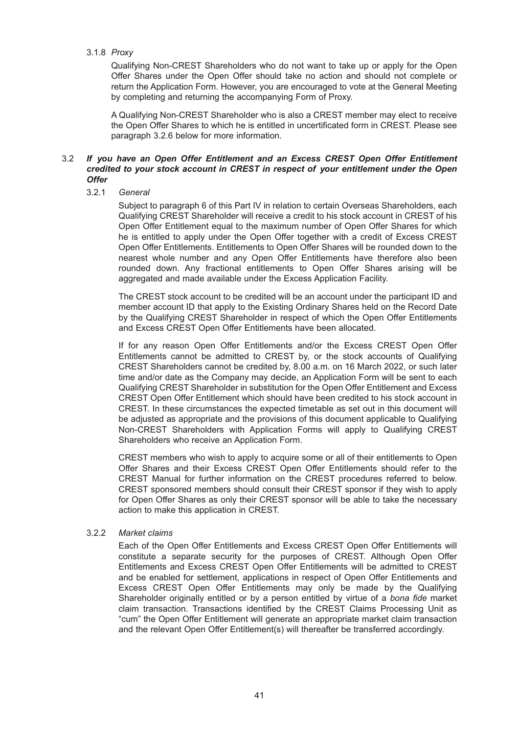#### 3.1.8 *Proxy*

Qualifying Non-CREST Shareholders who do not want to take up or apply for the Open Offer Shares under the Open Offer should take no action and should not complete or return the Application Form. However, you are encouraged to vote at the General Meeting by completing and returning the accompanying Form of Proxy.

A Qualifying Non-CREST Shareholder who is also a CREST member may elect to receive the Open Offer Shares to which he is entitled in uncertificated form in CREST. Please see paragraph 3.2.6 below for more information.

#### 3.2 *If you have an Open Offer Entitlement and an Excess CREST Open Offer Entitlement credited to your stock account in CREST in respect of your entitlement under the Open Offer*

#### 3.2.1 *General*

Subject to paragraph 6 of this Part IV in relation to certain Overseas Shareholders, each Qualifying CREST Shareholder will receive a credit to his stock account in CREST of his Open Offer Entitlement equal to the maximum number of Open Offer Shares for which he is entitled to apply under the Open Offer together with a credit of Excess CREST Open Offer Entitlements. Entitlements to Open Offer Shares will be rounded down to the nearest whole number and any Open Offer Entitlements have therefore also been rounded down. Any fractional entitlements to Open Offer Shares arising will be aggregated and made available under the Excess Application Facility.

The CREST stock account to be credited will be an account under the participant ID and member account ID that apply to the Existing Ordinary Shares held on the Record Date by the Qualifying CREST Shareholder in respect of which the Open Offer Entitlements and Excess CREST Open Offer Entitlements have been allocated.

If for any reason Open Offer Entitlements and/or the Excess CREST Open Offer Entitlements cannot be admitted to CREST by, or the stock accounts of Qualifying CREST Shareholders cannot be credited by, 8.00 a.m. on 16 March 2022, or such later time and/or date as the Company may decide, an Application Form will be sent to each Qualifying CREST Shareholder in substitution for the Open Offer Entitlement and Excess CREST Open Offer Entitlement which should have been credited to his stock account in CREST. In these circumstances the expected timetable as set out in this document will be adjusted as appropriate and the provisions of this document applicable to Qualifying Non-CREST Shareholders with Application Forms will apply to Qualifying CREST Shareholders who receive an Application Form.

CREST members who wish to apply to acquire some or all of their entitlements to Open Offer Shares and their Excess CREST Open Offer Entitlements should refer to the CREST Manual for further information on the CREST procedures referred to below. CREST sponsored members should consult their CREST sponsor if they wish to apply for Open Offer Shares as only their CREST sponsor will be able to take the necessary action to make this application in CREST.

### 3.2.2 *Market claims*

Each of the Open Offer Entitlements and Excess CREST Open Offer Entitlements will constitute a separate security for the purposes of CREST. Although Open Offer Entitlements and Excess CREST Open Offer Entitlements will be admitted to CREST and be enabled for settlement, applications in respect of Open Offer Entitlements and Excess CREST Open Offer Entitlements may only be made by the Qualifying Shareholder originally entitled or by a person entitled by virtue of a *bona fide* market claim transaction. Transactions identified by the CREST Claims Processing Unit as "cum" the Open Offer Entitlement will generate an appropriate market claim transaction and the relevant Open Offer Entitlement(s) will thereafter be transferred accordingly.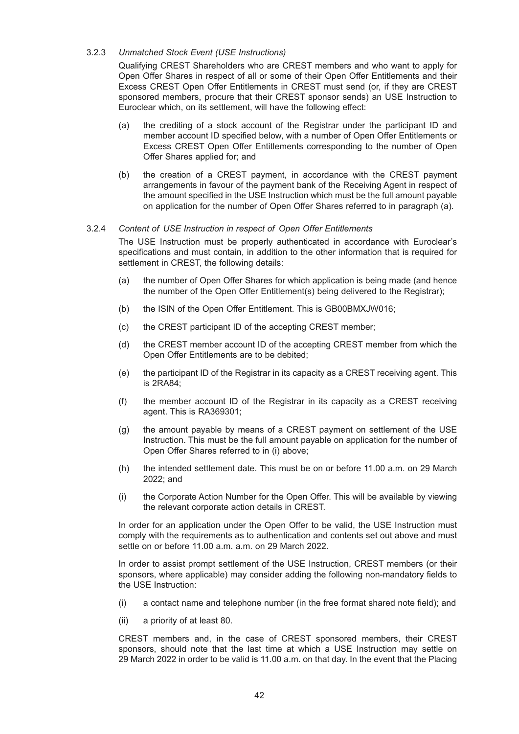#### 3.2.3 *Unmatched Stock Event (USE Instructions)*

Qualifying CREST Shareholders who are CREST members and who want to apply for Open Offer Shares in respect of all or some of their Open Offer Entitlements and their Excess CREST Open Offer Entitlements in CREST must send (or, if they are CREST sponsored members, procure that their CREST sponsor sends) an USE Instruction to Euroclear which, on its settlement, will have the following effect:

- (a) the crediting of a stock account of the Registrar under the participant ID and member account ID specified below, with a number of Open Offer Entitlements or Excess CREST Open Offer Entitlements corresponding to the number of Open Offer Shares applied for; and
- (b) the creation of a CREST payment, in accordance with the CREST payment arrangements in favour of the payment bank of the Receiving Agent in respect of the amount specified in the USE Instruction which must be the full amount payable on application for the number of Open Offer Shares referred to in paragraph (a).

#### 3.2.4 *Content of USE Instruction in respect of Open Offer Entitlements*

The USE Instruction must be properly authenticated in accordance with Euroclear's specifications and must contain, in addition to the other information that is required for settlement in CREST, the following details:

- (a) the number of Open Offer Shares for which application is being made (and hence the number of the Open Offer Entitlement(s) being delivered to the Registrar);
- (b) the ISIN of the Open Offer Entitlement. This is GB00BMXJW016;
- (c) the CREST participant ID of the accepting CREST member;
- (d) the CREST member account ID of the accepting CREST member from which the Open Offer Entitlements are to be debited;
- (e) the participant ID of the Registrar in its capacity as a CREST receiving agent. This is 2RA84;
- (f) the member account ID of the Registrar in its capacity as a CREST receiving agent. This is RA369301;
- (g) the amount payable by means of a CREST payment on settlement of the USE Instruction. This must be the full amount payable on application for the number of Open Offer Shares referred to in (i) above;
- (h) the intended settlement date. This must be on or before 11.00 a.m. on 29 March 2022; and
- (i) the Corporate Action Number for the Open Offer. This will be available by viewing the relevant corporate action details in CREST.

In order for an application under the Open Offer to be valid, the USE Instruction must comply with the requirements as to authentication and contents set out above and must settle on or before 11.00 a.m. a.m. on 29 March 2022.

In order to assist prompt settlement of the USE Instruction, CREST members (or their sponsors, where applicable) may consider adding the following non-mandatory fields to the USE Instruction:

- (i) a contact name and telephone number (in the free format shared note field); and
- (ii) a priority of at least 80.

CREST members and, in the case of CREST sponsored members, their CREST sponsors, should note that the last time at which a USE Instruction may settle on 29 March 2022 in order to be valid is 11.00 a.m. on that day. In the event that the Placing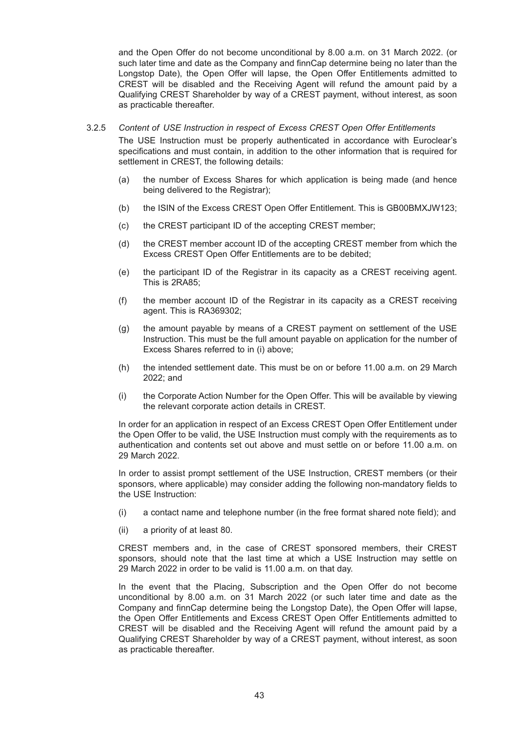and the Open Offer do not become unconditional by 8.00 a.m. on 31 March 2022. (or such later time and date as the Company and finnCap determine being no later than the Longstop Date), the Open Offer will lapse, the Open Offer Entitlements admitted to CREST will be disabled and the Receiving Agent will refund the amount paid by a Qualifying CREST Shareholder by way of a CREST payment, without interest, as soon as practicable thereafter.

#### 3.2.5 *Content of USE Instruction in respect of Excess CREST Open Offer Entitlements*

The USE Instruction must be properly authenticated in accordance with Euroclear's specifications and must contain, in addition to the other information that is required for settlement in CREST, the following details:

- (a) the number of Excess Shares for which application is being made (and hence being delivered to the Registrar);
- (b) the ISIN of the Excess CREST Open Offer Entitlement. This is GB00BMXJW123;
- (c) the CREST participant ID of the accepting CREST member;
- (d) the CREST member account ID of the accepting CREST member from which the Excess CREST Open Offer Entitlements are to be debited;
- (e) the participant ID of the Registrar in its capacity as a CREST receiving agent. This is 2RA85;
- (f) the member account ID of the Registrar in its capacity as a CREST receiving agent. This is RA369302;
- (g) the amount payable by means of a CREST payment on settlement of the USE Instruction. This must be the full amount payable on application for the number of Excess Shares referred to in (i) above;
- (h) the intended settlement date. This must be on or before 11.00 a.m. on 29 March 2022; and
- (i) the Corporate Action Number for the Open Offer. This will be available by viewing the relevant corporate action details in CREST.

In order for an application in respect of an Excess CREST Open Offer Entitlement under the Open Offer to be valid, the USE Instruction must comply with the requirements as to authentication and contents set out above and must settle on or before 11.00 a.m. on 29 March 2022.

In order to assist prompt settlement of the USE Instruction, CREST members (or their sponsors, where applicable) may consider adding the following non-mandatory fields to the USE Instruction:

- (i) a contact name and telephone number (in the free format shared note field); and
- (ii) a priority of at least 80.

CREST members and, in the case of CREST sponsored members, their CREST sponsors, should note that the last time at which a USE Instruction may settle on 29 March 2022 in order to be valid is 11.00 a.m. on that day.

In the event that the Placing, Subscription and the Open Offer do not become unconditional by 8.00 a.m. on 31 March 2022 (or such later time and date as the Company and finnCap determine being the Longstop Date), the Open Offer will lapse, the Open Offer Entitlements and Excess CREST Open Offer Entitlements admitted to CREST will be disabled and the Receiving Agent will refund the amount paid by a Qualifying CREST Shareholder by way of a CREST payment, without interest, as soon as practicable thereafter.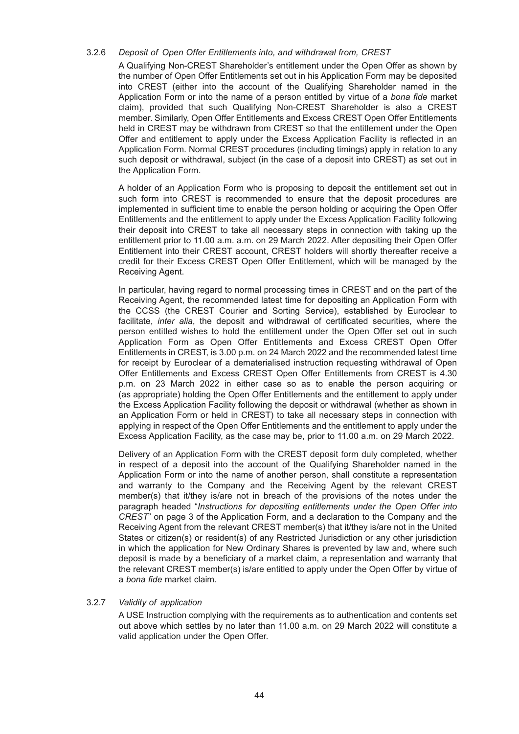#### 3.2.6 *Deposit of Open Offer Entitlements into, and withdrawal from, CREST*

A Qualifying Non-CREST Shareholder's entitlement under the Open Offer as shown by the number of Open Offer Entitlements set out in his Application Form may be deposited into CREST (either into the account of the Qualifying Shareholder named in the Application Form or into the name of a person entitled by virtue of a *bona fide* market claim), provided that such Qualifying Non-CREST Shareholder is also a CREST member. Similarly, Open Offer Entitlements and Excess CREST Open Offer Entitlements held in CREST may be withdrawn from CREST so that the entitlement under the Open Offer and entitlement to apply under the Excess Application Facility is reflected in an Application Form. Normal CREST procedures (including timings) apply in relation to any such deposit or withdrawal, subject (in the case of a deposit into CREST) as set out in the Application Form.

A holder of an Application Form who is proposing to deposit the entitlement set out in such form into CREST is recommended to ensure that the deposit procedures are implemented in sufficient time to enable the person holding or acquiring the Open Offer Entitlements and the entitlement to apply under the Excess Application Facility following their deposit into CREST to take all necessary steps in connection with taking up the entitlement prior to 11.00 a.m. a.m. on 29 March 2022. After depositing their Open Offer Entitlement into their CREST account, CREST holders will shortly thereafter receive a credit for their Excess CREST Open Offer Entitlement, which will be managed by the Receiving Agent.

In particular, having regard to normal processing times in CREST and on the part of the Receiving Agent, the recommended latest time for depositing an Application Form with the CCSS (the CREST Courier and Sorting Service), established by Euroclear to facilitate, *inter alia*, the deposit and withdrawal of certificated securities, where the person entitled wishes to hold the entitlement under the Open Offer set out in such Application Form as Open Offer Entitlements and Excess CREST Open Offer Entitlements in CREST, is 3.00 p.m. on 24 March 2022 and the recommended latest time for receipt by Euroclear of a dematerialised instruction requesting withdrawal of Open Offer Entitlements and Excess CREST Open Offer Entitlements from CREST is 4.30 p.m. on 23 March 2022 in either case so as to enable the person acquiring or (as appropriate) holding the Open Offer Entitlements and the entitlement to apply under the Excess Application Facility following the deposit or withdrawal (whether as shown in an Application Form or held in CREST) to take all necessary steps in connection with applying in respect of the Open Offer Entitlements and the entitlement to apply under the Excess Application Facility, as the case may be, prior to 11.00 a.m. on 29 March 2022.

Delivery of an Application Form with the CREST deposit form duly completed, whether in respect of a deposit into the account of the Qualifying Shareholder named in the Application Form or into the name of another person, shall constitute a representation and warranty to the Company and the Receiving Agent by the relevant CREST member(s) that it/they is/are not in breach of the provisions of the notes under the paragraph headed "*Instructions for depositing entitlements under the Open Offer into CREST*" on page 3 of the Application Form, and a declaration to the Company and the Receiving Agent from the relevant CREST member(s) that it/they is/are not in the United States or citizen(s) or resident(s) of any Restricted Jurisdiction or any other jurisdiction in which the application for New Ordinary Shares is prevented by law and, where such deposit is made by a beneficiary of a market claim, a representation and warranty that the relevant CREST member(s) is/are entitled to apply under the Open Offer by virtue of a *bona fide* market claim.

#### 3.2.7 *Validity of application*

A USE Instruction complying with the requirements as to authentication and contents set out above which settles by no later than 11.00 a.m. on 29 March 2022 will constitute a valid application under the Open Offer.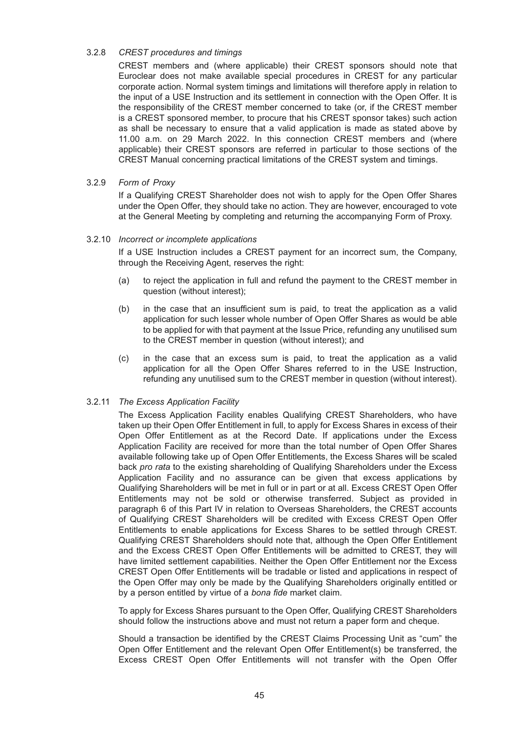#### 3.2.8 *CREST procedures and timings*

CREST members and (where applicable) their CREST sponsors should note that Euroclear does not make available special procedures in CREST for any particular corporate action. Normal system timings and limitations will therefore apply in relation to the input of a USE Instruction and its settlement in connection with the Open Offer. It is the responsibility of the CREST member concerned to take (or, if the CREST member is a CREST sponsored member, to procure that his CREST sponsor takes) such action as shall be necessary to ensure that a valid application is made as stated above by 11.00 a.m. on 29 March 2022. In this connection CREST members and (where applicable) their CREST sponsors are referred in particular to those sections of the CREST Manual concerning practical limitations of the CREST system and timings.

#### 3.2.9 *Form of Proxy*

If a Qualifying CREST Shareholder does not wish to apply for the Open Offer Shares under the Open Offer, they should take no action. They are however, encouraged to vote at the General Meeting by completing and returning the accompanying Form of Proxy.

#### 3.2.10 *Incorrect or incomplete applications*

If a USE Instruction includes a CREST payment for an incorrect sum, the Company, through the Receiving Agent, reserves the right:

- (a) to reject the application in full and refund the payment to the CREST member in question (without interest);
- (b) in the case that an insufficient sum is paid, to treat the application as a valid application for such lesser whole number of Open Offer Shares as would be able to be applied for with that payment at the Issue Price, refunding any unutilised sum to the CREST member in question (without interest); and
- (c) in the case that an excess sum is paid, to treat the application as a valid application for all the Open Offer Shares referred to in the USE Instruction, refunding any unutilised sum to the CREST member in question (without interest).

### 3.2.11 *The Excess Application Facility*

The Excess Application Facility enables Qualifying CREST Shareholders, who have taken up their Open Offer Entitlement in full, to apply for Excess Shares in excess of their Open Offer Entitlement as at the Record Date. If applications under the Excess Application Facility are received for more than the total number of Open Offer Shares available following take up of Open Offer Entitlements, the Excess Shares will be scaled back *pro rata* to the existing shareholding of Qualifying Shareholders under the Excess Application Facility and no assurance can be given that excess applications by Qualifying Shareholders will be met in full or in part or at all. Excess CREST Open Offer Entitlements may not be sold or otherwise transferred. Subject as provided in paragraph 6 of this Part IV in relation to Overseas Shareholders, the CREST accounts of Qualifying CREST Shareholders will be credited with Excess CREST Open Offer Entitlements to enable applications for Excess Shares to be settled through CREST. Qualifying CREST Shareholders should note that, although the Open Offer Entitlement and the Excess CREST Open Offer Entitlements will be admitted to CREST, they will have limited settlement capabilities. Neither the Open Offer Entitlement nor the Excess CREST Open Offer Entitlements will be tradable or listed and applications in respect of the Open Offer may only be made by the Qualifying Shareholders originally entitled or by a person entitled by virtue of a *bona fide* market claim.

To apply for Excess Shares pursuant to the Open Offer, Qualifying CREST Shareholders should follow the instructions above and must not return a paper form and cheque.

Should a transaction be identified by the CREST Claims Processing Unit as "cum" the Open Offer Entitlement and the relevant Open Offer Entitlement(s) be transferred, the Excess CREST Open Offer Entitlements will not transfer with the Open Offer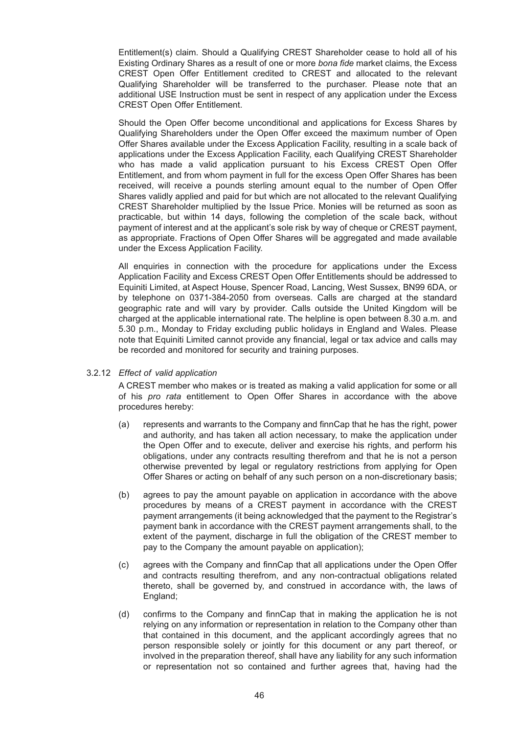Entitlement(s) claim. Should a Qualifying CREST Shareholder cease to hold all of his Existing Ordinary Shares as a result of one or more *bona fide* market claims, the Excess CREST Open Offer Entitlement credited to CREST and allocated to the relevant Qualifying Shareholder will be transferred to the purchaser. Please note that an additional USE Instruction must be sent in respect of any application under the Excess CREST Open Offer Entitlement.

Should the Open Offer become unconditional and applications for Excess Shares by Qualifying Shareholders under the Open Offer exceed the maximum number of Open Offer Shares available under the Excess Application Facility, resulting in a scale back of applications under the Excess Application Facility, each Qualifying CREST Shareholder who has made a valid application pursuant to his Excess CREST Open Offer Entitlement, and from whom payment in full for the excess Open Offer Shares has been received, will receive a pounds sterling amount equal to the number of Open Offer Shares validly applied and paid for but which are not allocated to the relevant Qualifying CREST Shareholder multiplied by the Issue Price. Monies will be returned as soon as practicable, but within 14 days, following the completion of the scale back, without payment of interest and at the applicant's sole risk by way of cheque or CREST payment, as appropriate. Fractions of Open Offer Shares will be aggregated and made available under the Excess Application Facility.

All enquiries in connection with the procedure for applications under the Excess Application Facility and Excess CREST Open Offer Entitlements should be addressed to Equiniti Limited, at Aspect House, Spencer Road, Lancing, West Sussex, BN99 6DA, or by telephone on 0371-384-2050 from overseas. Calls are charged at the standard geographic rate and will vary by provider. Calls outside the United Kingdom will be charged at the applicable international rate. The helpline is open between 8.30 a.m. and 5.30 p.m., Monday to Friday excluding public holidays in England and Wales. Please note that Equiniti Limited cannot provide any financial, legal or tax advice and calls may be recorded and monitored for security and training purposes.

#### 3.2.12 *Effect of valid application*

A CREST member who makes or is treated as making a valid application for some or all of his *pro rata* entitlement to Open Offer Shares in accordance with the above procedures hereby:

- (a) represents and warrants to the Company and finnCap that he has the right, power and authority, and has taken all action necessary, to make the application under the Open Offer and to execute, deliver and exercise his rights, and perform his obligations, under any contracts resulting therefrom and that he is not a person otherwise prevented by legal or regulatory restrictions from applying for Open Offer Shares or acting on behalf of any such person on a non-discretionary basis;
- (b) agrees to pay the amount payable on application in accordance with the above procedures by means of a CREST payment in accordance with the CREST payment arrangements (it being acknowledged that the payment to the Registrar's payment bank in accordance with the CREST payment arrangements shall, to the extent of the payment, discharge in full the obligation of the CREST member to pay to the Company the amount payable on application);
- (c) agrees with the Company and finnCap that all applications under the Open Offer and contracts resulting therefrom, and any non-contractual obligations related thereto, shall be governed by, and construed in accordance with, the laws of England;
- (d) confirms to the Company and finnCap that in making the application he is not relying on any information or representation in relation to the Company other than that contained in this document, and the applicant accordingly agrees that no person responsible solely or jointly for this document or any part thereof, or involved in the preparation thereof, shall have any liability for any such information or representation not so contained and further agrees that, having had the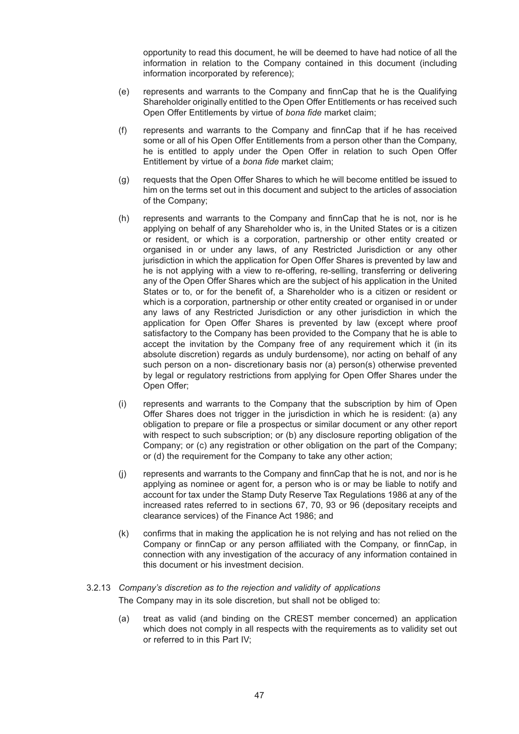opportunity to read this document, he will be deemed to have had notice of all the information in relation to the Company contained in this document (including information incorporated by reference);

- (e) represents and warrants to the Company and finnCap that he is the Qualifying Shareholder originally entitled to the Open Offer Entitlements or has received such Open Offer Entitlements by virtue of *bona fide* market claim;
- (f) represents and warrants to the Company and finnCap that if he has received some or all of his Open Offer Entitlements from a person other than the Company, he is entitled to apply under the Open Offer in relation to such Open Offer Entitlement by virtue of a *bona fide* market claim;
- (g) requests that the Open Offer Shares to which he will become entitled be issued to him on the terms set out in this document and subject to the articles of association of the Company;
- (h) represents and warrants to the Company and finnCap that he is not, nor is he applying on behalf of any Shareholder who is, in the United States or is a citizen or resident, or which is a corporation, partnership or other entity created or organised in or under any laws, of any Restricted Jurisdiction or any other jurisdiction in which the application for Open Offer Shares is prevented by law and he is not applying with a view to re-offering, re-selling, transferring or delivering any of the Open Offer Shares which are the subject of his application in the United States or to, or for the benefit of, a Shareholder who is a citizen or resident or which is a corporation, partnership or other entity created or organised in or under any laws of any Restricted Jurisdiction or any other jurisdiction in which the application for Open Offer Shares is prevented by law (except where proof satisfactory to the Company has been provided to the Company that he is able to accept the invitation by the Company free of any requirement which it (in its absolute discretion) regards as unduly burdensome), nor acting on behalf of any such person on a non- discretionary basis nor (a) person(s) otherwise prevented by legal or regulatory restrictions from applying for Open Offer Shares under the Open Offer;
- (i) represents and warrants to the Company that the subscription by him of Open Offer Shares does not trigger in the jurisdiction in which he is resident: (a) any obligation to prepare or file a prospectus or similar document or any other report with respect to such subscription; or (b) any disclosure reporting obligation of the Company; or (c) any registration or other obligation on the part of the Company; or (d) the requirement for the Company to take any other action;
- (j) represents and warrants to the Company and finnCap that he is not, and nor is he applying as nominee or agent for, a person who is or may be liable to notify and account for tax under the Stamp Duty Reserve Tax Regulations 1986 at any of the increased rates referred to in sections 67, 70, 93 or 96 (depositary receipts and clearance services) of the Finance Act 1986; and
- (k) confirms that in making the application he is not relying and has not relied on the Company or finnCap or any person affiliated with the Company, or finnCap, in connection with any investigation of the accuracy of any information contained in this document or his investment decision.

# 3.2.13 *Company's discretion as to the rejection and validity of applications* The Company may in its sole discretion, but shall not be obliged to:

(a) treat as valid (and binding on the CREST member concerned) an application which does not comply in all respects with the requirements as to validity set out or referred to in this Part IV;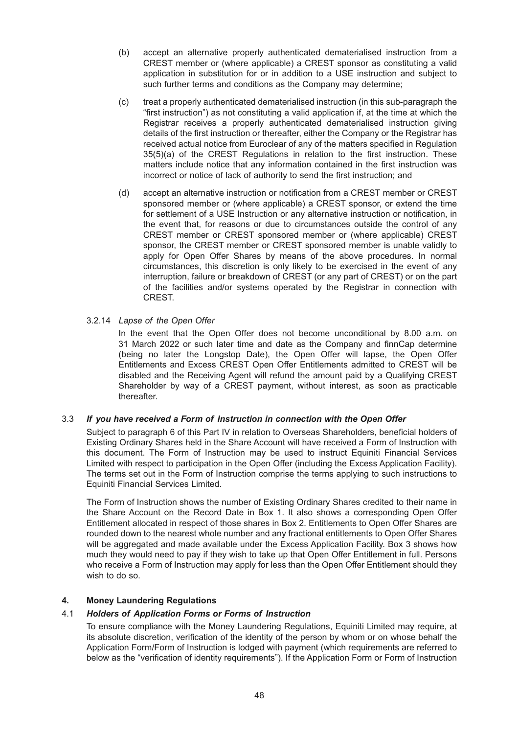- (b) accept an alternative properly authenticated dematerialised instruction from a CREST member or (where applicable) a CREST sponsor as constituting a valid application in substitution for or in addition to a USE instruction and subject to such further terms and conditions as the Company may determine;
- (c) treat a properly authenticated dematerialised instruction (in this sub-paragraph the "first instruction") as not constituting a valid application if, at the time at which the Registrar receives a properly authenticated dematerialised instruction giving details of the first instruction or thereafter, either the Company or the Registrar has received actual notice from Euroclear of any of the matters specified in Regulation 35(5)(a) of the CREST Regulations in relation to the first instruction. These matters include notice that any information contained in the first instruction was incorrect or notice of lack of authority to send the first instruction; and
- (d) accept an alternative instruction or notification from a CREST member or CREST sponsored member or (where applicable) a CREST sponsor, or extend the time for settlement of a USE Instruction or any alternative instruction or notification, in the event that, for reasons or due to circumstances outside the control of any CREST member or CREST sponsored member or (where applicable) CREST sponsor, the CREST member or CREST sponsored member is unable validly to apply for Open Offer Shares by means of the above procedures. In normal circumstances, this discretion is only likely to be exercised in the event of any interruption, failure or breakdown of CREST (or any part of CREST) or on the part of the facilities and/or systems operated by the Registrar in connection with CREST.
- 3.2.14 *Lapse of the Open Offer*

In the event that the Open Offer does not become unconditional by 8.00 a.m. on 31 March 2022 or such later time and date as the Company and finnCap determine (being no later the Longstop Date), the Open Offer will lapse, the Open Offer Entitlements and Excess CREST Open Offer Entitlements admitted to CREST will be disabled and the Receiving Agent will refund the amount paid by a Qualifying CREST Shareholder by way of a CREST payment, without interest, as soon as practicable thereafter.

### 3.3 *If you have received a Form of Instruction in connection with the Open Offer*

Subject to paragraph 6 of this Part IV in relation to Overseas Shareholders, beneficial holders of Existing Ordinary Shares held in the Share Account will have received a Form of Instruction with this document. The Form of Instruction may be used to instruct Equiniti Financial Services Limited with respect to participation in the Open Offer (including the Excess Application Facility). The terms set out in the Form of Instruction comprise the terms applying to such instructions to Equiniti Financial Services Limited.

The Form of Instruction shows the number of Existing Ordinary Shares credited to their name in the Share Account on the Record Date in Box 1. It also shows a corresponding Open Offer Entitlement allocated in respect of those shares in Box 2. Entitlements to Open Offer Shares are rounded down to the nearest whole number and any fractional entitlements to Open Offer Shares will be aggregated and made available under the Excess Application Facility. Box 3 shows how much they would need to pay if they wish to take up that Open Offer Entitlement in full. Persons who receive a Form of Instruction may apply for less than the Open Offer Entitlement should they wish to do so.

#### **4. Money Laundering Regulations**

#### 4.1 *Holders of Application Forms or Forms of Instruction*

To ensure compliance with the Money Laundering Regulations, Equiniti Limited may require, at its absolute discretion, verification of the identity of the person by whom or on whose behalf the Application Form/Form of Instruction is lodged with payment (which requirements are referred to below as the "verification of identity requirements"). If the Application Form or Form of Instruction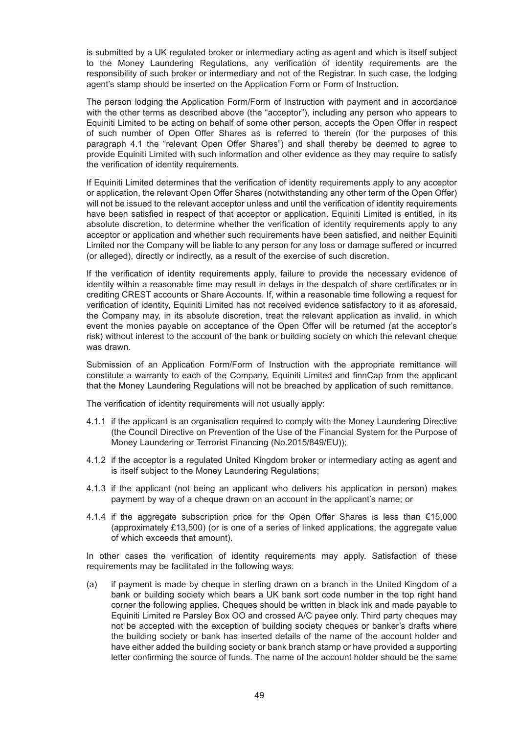is submitted by a UK regulated broker or intermediary acting as agent and which is itself subject to the Money Laundering Regulations, any verification of identity requirements are the responsibility of such broker or intermediary and not of the Registrar. In such case, the lodging agent's stamp should be inserted on the Application Form or Form of Instruction.

The person lodging the Application Form/Form of Instruction with payment and in accordance with the other terms as described above (the "acceptor"), including any person who appears to Equiniti Limited to be acting on behalf of some other person, accepts the Open Offer in respect of such number of Open Offer Shares as is referred to therein (for the purposes of this paragraph 4.1 the "relevant Open Offer Shares") and shall thereby be deemed to agree to provide Equiniti Limited with such information and other evidence as they may require to satisfy the verification of identity requirements.

If Equiniti Limited determines that the verification of identity requirements apply to any acceptor or application, the relevant Open Offer Shares (notwithstanding any other term of the Open Offer) will not be issued to the relevant acceptor unless and until the verification of identity requirements have been satisfied in respect of that acceptor or application. Equiniti Limited is entitled, in its absolute discretion, to determine whether the verification of identity requirements apply to any acceptor or application and whether such requirements have been satisfied, and neither Equiniti Limited nor the Company will be liable to any person for any loss or damage suffered or incurred (or alleged), directly or indirectly, as a result of the exercise of such discretion.

If the verification of identity requirements apply, failure to provide the necessary evidence of identity within a reasonable time may result in delays in the despatch of share certificates or in crediting CREST accounts or Share Accounts. If, within a reasonable time following a request for verification of identity, Equiniti Limited has not received evidence satisfactory to it as aforesaid, the Company may, in its absolute discretion, treat the relevant application as invalid, in which event the monies payable on acceptance of the Open Offer will be returned (at the acceptor's risk) without interest to the account of the bank or building society on which the relevant cheque was drawn.

Submission of an Application Form/Form of Instruction with the appropriate remittance will constitute a warranty to each of the Company, Equiniti Limited and finnCap from the applicant that the Money Laundering Regulations will not be breached by application of such remittance.

The verification of identity requirements will not usually apply:

- 4.1.1 if the applicant is an organisation required to comply with the Money Laundering Directive (the Council Directive on Prevention of the Use of the Financial System for the Purpose of Money Laundering or Terrorist Financing (No.2015/849/EU));
- 4.1.2 if the acceptor is a regulated United Kingdom broker or intermediary acting as agent and is itself subject to the Money Laundering Regulations;
- 4.1.3 if the applicant (not being an applicant who delivers his application in person) makes payment by way of a cheque drawn on an account in the applicant's name; or
- 4.1.4 if the aggregate subscription price for the Open Offer Shares is less than €15,000 (approximately £13,500) (or is one of a series of linked applications, the aggregate value of which exceeds that amount).

In other cases the verification of identity requirements may apply. Satisfaction of these requirements may be facilitated in the following ways:

(a) if payment is made by cheque in sterling drawn on a branch in the United Kingdom of a bank or building society which bears a UK bank sort code number in the top right hand corner the following applies. Cheques should be written in black ink and made payable to Equiniti Limited re Parsley Box OO and crossed A/C payee only. Third party cheques may not be accepted with the exception of building society cheques or banker's drafts where the building society or bank has inserted details of the name of the account holder and have either added the building society or bank branch stamp or have provided a supporting letter confirming the source of funds. The name of the account holder should be the same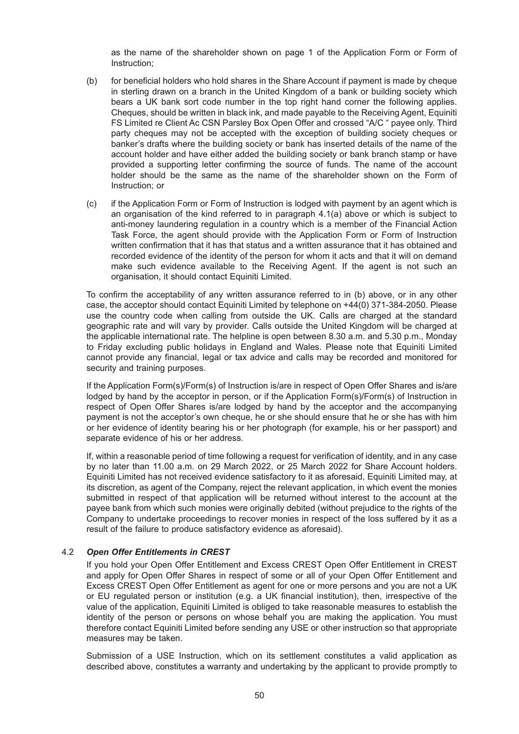as the name of the shareholder shown on page 1 of the Application Form or Form of Instruction;

- (b) for beneficial holders who hold shares in the Share Account if payment is made by cheque in sterling drawn on a branch in the United Kingdom of a bank or building society which bears a UK bank sort code number in the top right hand corner the following applies. Cheques, should be written in black ink, and made payable to the Receiving Agent, Equiniti FS Limited re Client Ac CSN Parsley Box Open Offer and crossed "A/C " payee only. Third party cheques may not be accepted with the exception of building society cheques or banker's drafts where the building society or bank has inserted details of the name of the account holder and have either added the building society or bank branch stamp or have provided a supporting letter confirming the source of funds. The name of the account holder should be the same as the name of the shareholder shown on the Form of Instruction; or
- (c) if the Application Form or Form of Instruction is lodged with payment by an agent which is an organisation of the kind referred to in paragraph 4.1(a) above or which is subject to anti-money laundering regulation in a country which is a member of the Financial Action Task Force, the agent should provide with the Application Form or Form of Instruction written confirmation that it has that status and a written assurance that it has obtained and recorded evidence of the identity of the person for whom it acts and that it will on demand make such evidence available to the Receiving Agent. If the agent is not such an organisation, it should contact Equiniti Limited.

To confirm the acceptability of any written assurance referred to in (b) above, or in any other case, the acceptor should contact Equiniti Limited by telephone on +44(0) 371-384-2050. Please use the country code when calling from outside the UK. Calls are charged at the standard geographic rate and will vary by provider. Calls outside the United Kingdom will be charged at the applicable international rate. The helpline is open between 8.30 a.m. and 5.30 p.m., Monday to Friday excluding public holidays in England and Wales. Please note that Equiniti Limited cannot provide any financial, legal or tax advice and calls may be recorded and monitored for security and training purposes.

If the Application Form(s)/Form(s) of Instruction is/are in respect of Open Offer Shares and is/are lodged by hand by the acceptor in person, or if the Application Form(s)/Form(s) of Instruction in respect of Open Offer Shares is/are lodged by hand by the acceptor and the accompanying payment is not the acceptor's own cheque, he or she should ensure that he or she has with him or her evidence of identity bearing his or her photograph (for example, his or her passport) and separate evidence of his or her address.

If, within a reasonable period of time following a request for verification of identity, and in any case by no later than 11.00 a.m. on 29 March 2022, or 25 March 2022 for Share Account holders. Equiniti Limited has not received evidence satisfactory to it as aforesaid, Equiniti Limited may, at its discretion, as agent of the Company, reject the relevant application, in which event the monies submitted in respect of that application will be returned without interest to the account at the payee bank from which such monies were originally debited (without prejudice to the rights of the Company to undertake proceedings to recover monies in respect of the loss suffered by it as a result of the failure to produce satisfactory evidence as aforesaid).

### 4.2 *Open Offer Entitlements in CREST*

If you hold your Open Offer Entitlement and Excess CREST Open Offer Entitlement in CREST and apply for Open Offer Shares in respect of some or all of your Open Offer Entitlement and Excess CREST Open Offer Entitlement as agent for one or more persons and you are not a UK or EU regulated person or institution (e.g. a UK financial institution), then, irrespective of the value of the application, Equiniti Limited is obliged to take reasonable measures to establish the identity of the person or persons on whose behalf you are making the application. You must therefore contact Equiniti Limited before sending any USE or other instruction so that appropriate measures may be taken.

Submission of a USE Instruction, which on its settlement constitutes a valid application as described above, constitutes a warranty and undertaking by the applicant to provide promptly to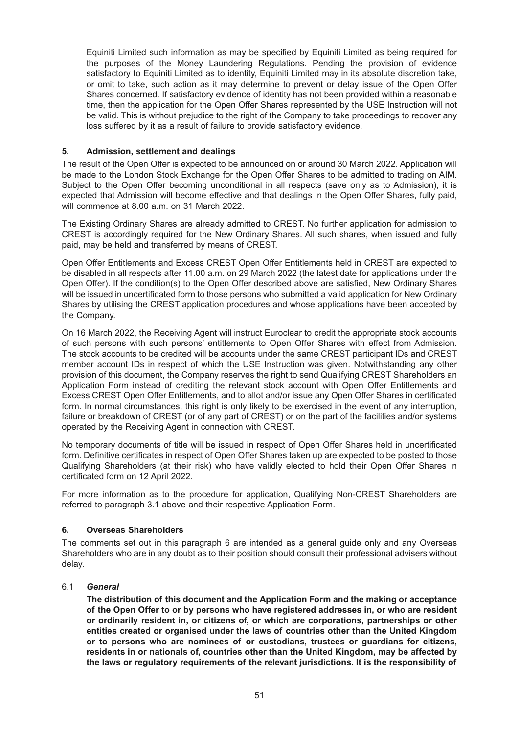Equiniti Limited such information as may be specified by Equiniti Limited as being required for the purposes of the Money Laundering Regulations. Pending the provision of evidence satisfactory to Equiniti Limited as to identity. Equiniti Limited may in its absolute discretion take, or omit to take, such action as it may determine to prevent or delay issue of the Open Offer Shares concerned. If satisfactory evidence of identity has not been provided within a reasonable time, then the application for the Open Offer Shares represented by the USE Instruction will not be valid. This is without prejudice to the right of the Company to take proceedings to recover any loss suffered by it as a result of failure to provide satisfactory evidence.

### **5. Admission, settlement and dealings**

The result of the Open Offer is expected to be announced on or around 30 March 2022. Application will be made to the London Stock Exchange for the Open Offer Shares to be admitted to trading on AIM. Subject to the Open Offer becoming unconditional in all respects (save only as to Admission), it is expected that Admission will become effective and that dealings in the Open Offer Shares, fully paid, will commence at 8.00 a.m. on 31 March 2022.

The Existing Ordinary Shares are already admitted to CREST. No further application for admission to CREST is accordingly required for the New Ordinary Shares. All such shares, when issued and fully paid, may be held and transferred by means of CREST.

Open Offer Entitlements and Excess CREST Open Offer Entitlements held in CREST are expected to be disabled in all respects after 11.00 a.m. on 29 March 2022 (the latest date for applications under the Open Offer). If the condition(s) to the Open Offer described above are satisfied, New Ordinary Shares will be issued in uncertificated form to those persons who submitted a valid application for New Ordinary Shares by utilising the CREST application procedures and whose applications have been accepted by the Company.

On 16 March 2022, the Receiving Agent will instruct Euroclear to credit the appropriate stock accounts of such persons with such persons' entitlements to Open Offer Shares with effect from Admission. The stock accounts to be credited will be accounts under the same CREST participant IDs and CREST member account IDs in respect of which the USE Instruction was given. Notwithstanding any other provision of this document, the Company reserves the right to send Qualifying CREST Shareholders an Application Form instead of crediting the relevant stock account with Open Offer Entitlements and Excess CREST Open Offer Entitlements, and to allot and/or issue any Open Offer Shares in certificated form. In normal circumstances, this right is only likely to be exercised in the event of any interruption, failure or breakdown of CREST (or of any part of CREST) or on the part of the facilities and/or systems operated by the Receiving Agent in connection with CREST.

No temporary documents of title will be issued in respect of Open Offer Shares held in uncertificated form. Definitive certificates in respect of Open Offer Shares taken up are expected to be posted to those Qualifying Shareholders (at their risk) who have validly elected to hold their Open Offer Shares in certificated form on 12 April 2022.

For more information as to the procedure for application, Qualifying Non-CREST Shareholders are referred to paragraph 3.1 above and their respective Application Form.

### **6. Overseas Shareholders**

The comments set out in this paragraph 6 are intended as a general guide only and any Overseas Shareholders who are in any doubt as to their position should consult their professional advisers without delay.

# 6.1 *General*

**The distribution of this document and the Application Form and the making or acceptance of the Open Offer to or by persons who have registered addresses in, or who are resident or ordinarily resident in, or citizens of, or which are corporations, partnerships or other entities created or organised under the laws of countries other than the United Kingdom or to persons who are nominees of or custodians, trustees or guardians for citizens, residents in or nationals of, countries other than the United Kingdom, may be affected by the laws or regulatory requirements of the relevant jurisdictions. It is the responsibility of**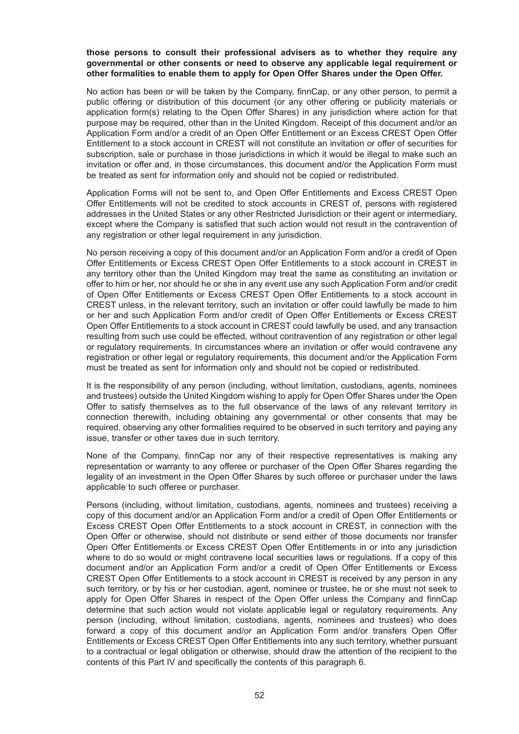#### **those persons to consult their professional advisers as to whether they require any governmental or other consents or need to observe any applicable legal requirement or other formalities to enable them to apply for Open Offer Shares under the Open Offer.**

No action has been or will be taken by the Company, finnCap, or any other person, to permit a public offering or distribution of this document (or any other offering or publicity materials or application form(s) relating to the Open Offer Shares) in any jurisdiction where action for that purpose may be required, other than in the United Kingdom. Receipt of this document and/or an Application Form and/or a credit of an Open Offer Entitlement or an Excess CREST Open Offer Entitlement to a stock account in CREST will not constitute an invitation or offer of securities for subscription, sale or purchase in those jurisdictions in which it would be illegal to make such an invitation or offer and, in those circumstances, this document and/or the Application Form must be treated as sent for information only and should not be copied or redistributed.

Application Forms will not be sent to, and Open Offer Entitlements and Excess CREST Open Offer Entitlements will not be credited to stock accounts in CREST of, persons with registered addresses in the United States or any other Restricted Jurisdiction or their agent or intermediary, except where the Company is satisfied that such action would not result in the contravention of any registration or other legal requirement in any jurisdiction.

No person receiving a copy of this document and/or an Application Form and/or a credit of Open Offer Entitlements or Excess CREST Open Offer Entitlements to a stock account in CREST in any territory other than the United Kingdom may treat the same as constituting an invitation or offer to him or her, nor should he or she in any event use any such Application Form and/or credit of Open Offer Entitlements or Excess CREST Open Offer Entitlements to a stock account in CREST unless, in the relevant territory, such an invitation or offer could lawfully be made to him or her and such Application Form and/or credit of Open Offer Entitlements or Excess CREST Open Offer Entitlements to a stock account in CREST could lawfully be used, and any transaction resulting from such use could be effected, without contravention of any registration or other legal or regulatory requirements. In circumstances where an invitation or offer would contravene any registration or other legal or regulatory requirements, this document and/or the Application Form must be treated as sent for information only and should not be copied or redistributed.

It is the responsibility of any person (including, without limitation, custodians, agents, nominees and trustees) outside the United Kingdom wishing to apply for Open Offer Shares under the Open Offer to satisfy themselves as to the full observance of the laws of any relevant territory in connection therewith, including obtaining any governmental or other consents that may be required, observing any other formalities required to be observed in such territory and paying any issue, transfer or other taxes due in such territory.

None of the Company, finnCap nor any of their respective representatives is making any representation or warranty to any offeree or purchaser of the Open Offer Shares regarding the legality of an investment in the Open Offer Shares by such offeree or purchaser under the laws applicable to such offeree or purchaser.

Persons (including, without limitation, custodians, agents, nominees and trustees) receiving a copy of this document and/or an Application Form and/or a credit of Open Offer Entitlements or Excess CREST Open Offer Entitlements to a stock account in CREST, in connection with the Open Offer or otherwise, should not distribute or send either of those documents nor transfer Open Offer Entitlements or Excess CREST Open Offer Entitlements in or into any jurisdiction where to do so would or might contravene local securities laws or regulations. If a copy of this document and/or an Application Form and/or a credit of Open Offer Entitlements or Excess CREST Open Offer Entitlements to a stock account in CREST is received by any person in any such territory, or by his or her custodian, agent, nominee or trustee, he or she must not seek to apply for Open Offer Shares in respect of the Open Offer unless the Company and finnCap determine that such action would not violate applicable legal or regulatory requirements. Any person (including, without limitation, custodians, agents, nominees and trustees) who does forward a copy of this document and/or an Application Form and/or transfers Open Offer Entitlements or Excess CREST Open Offer Entitlements into any such territory, whether pursuant to a contractual or legal obligation or otherwise, should draw the attention of the recipient to the contents of this Part IV and specifically the contents of this paragraph 6.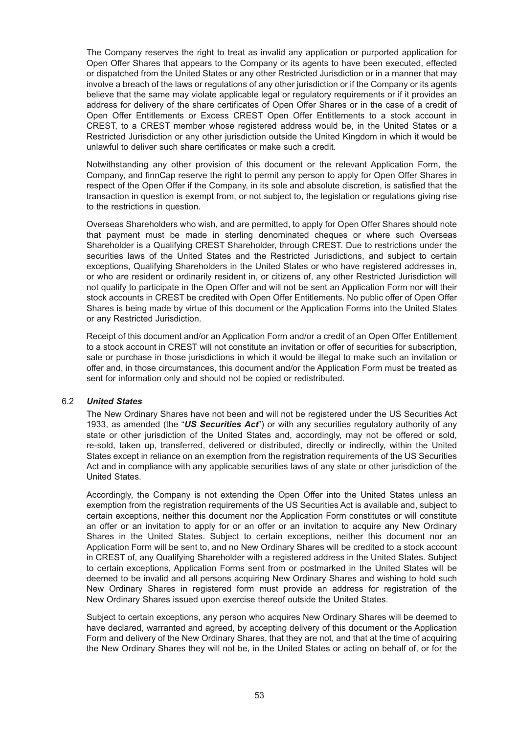The Company reserves the right to treat as invalid any application or purported application for Open Offer Shares that appears to the Company or its agents to have been executed, effected or dispatched from the United States or any other Restricted Jurisdiction or in a manner that may involve a breach of the laws or regulations of any other jurisdiction or if the Company or its agents believe that the same may violate applicable legal or regulatory requirements or if it provides an address for delivery of the share certificates of Open Offer Shares or in the case of a credit of Open Offer Entitlements or Excess CREST Open Offer Entitlements to a stock account in CREST, to a CREST member whose registered address would be, in the United States or a Restricted Jurisdiction or any other jurisdiction outside the United Kingdom in which it would be unlawful to deliver such share certificates or make such a credit.

Notwithstanding any other provision of this document or the relevant Application Form, the Company, and finnCap reserve the right to permit any person to apply for Open Offer Shares in respect of the Open Offer if the Company, in its sole and absolute discretion, is satisfied that the transaction in question is exempt from, or not subject to, the legislation or regulations giving rise to the restrictions in question.

Overseas Shareholders who wish, and are permitted, to apply for Open Offer Shares should note that payment must be made in sterling denominated cheques or where such Overseas Shareholder is a Qualifying CREST Shareholder, through CREST. Due to restrictions under the securities laws of the United States and the Restricted Jurisdictions, and subject to certain exceptions, Qualifying Shareholders in the United States or who have registered addresses in, or who are resident or ordinarily resident in, or citizens of, any other Restricted Jurisdiction will not qualify to participate in the Open Offer and will not be sent an Application Form nor will their stock accounts in CREST be credited with Open Offer Entitlements. No public offer of Open Offer Shares is being made by virtue of this document or the Application Forms into the United States or any Restricted Jurisdiction.

Receipt of this document and/or an Application Form and/or a credit of an Open Offer Entitlement to a stock account in CREST will not constitute an invitation or offer of securities for subscription, sale or purchase in those jurisdictions in which it would be illegal to make such an invitation or offer and, in those circumstances, this document and/or the Application Form must be treated as sent for information only and should not be copied or redistributed.

#### 6.2 *United States*

The New Ordinary Shares have not been and will not be registered under the US Securities Act 1933, as amended (the "*US Securities Act*") or with any securities regulatory authority of any state or other jurisdiction of the United States and, accordingly, may not be offered or sold, re-sold, taken up, transferred, delivered or distributed, directly or indirectly, within the United States except in reliance on an exemption from the registration requirements of the US Securities Act and in compliance with any applicable securities laws of any state or other jurisdiction of the United States.

Accordingly, the Company is not extending the Open Offer into the United States unless an exemption from the registration requirements of the US Securities Act is available and, subject to certain exceptions, neither this document nor the Application Form constitutes or will constitute an offer or an invitation to apply for or an offer or an invitation to acquire any New Ordinary Shares in the United States. Subject to certain exceptions, neither this document nor an Application Form will be sent to, and no New Ordinary Shares will be credited to a stock account in CREST of, any Qualifying Shareholder with a registered address in the United States. Subject to certain exceptions, Application Forms sent from or postmarked in the United States will be deemed to be invalid and all persons acquiring New Ordinary Shares and wishing to hold such New Ordinary Shares in registered form must provide an address for registration of the New Ordinary Shares issued upon exercise thereof outside the United States.

Subject to certain exceptions, any person who acquires New Ordinary Shares will be deemed to have declared, warranted and agreed, by accepting delivery of this document or the Application Form and delivery of the New Ordinary Shares, that they are not, and that at the time of acquiring the New Ordinary Shares they will not be, in the United States or acting on behalf of, or for the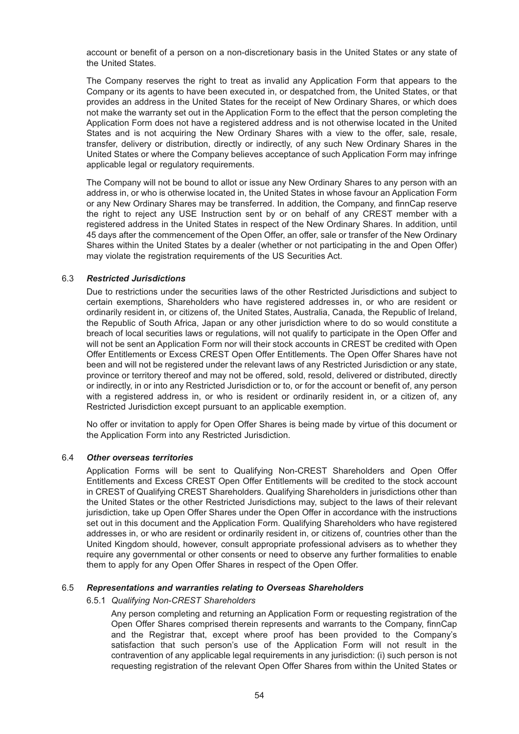account or benefit of a person on a non-discretionary basis in the United States or any state of the United States.

The Company reserves the right to treat as invalid any Application Form that appears to the Company or its agents to have been executed in, or despatched from, the United States, or that provides an address in the United States for the receipt of New Ordinary Shares, or which does not make the warranty set out in the Application Form to the effect that the person completing the Application Form does not have a registered address and is not otherwise located in the United States and is not acquiring the New Ordinary Shares with a view to the offer, sale, resale, transfer, delivery or distribution, directly or indirectly, of any such New Ordinary Shares in the United States or where the Company believes acceptance of such Application Form may infringe applicable legal or regulatory requirements.

The Company will not be bound to allot or issue any New Ordinary Shares to any person with an address in, or who is otherwise located in, the United States in whose favour an Application Form or any New Ordinary Shares may be transferred. In addition, the Company, and finnCap reserve the right to reject any USE Instruction sent by or on behalf of any CREST member with a registered address in the United States in respect of the New Ordinary Shares. In addition, until 45 days after the commencement of the Open Offer, an offer, sale or transfer of the New Ordinary Shares within the United States by a dealer (whether or not participating in the and Open Offer) may violate the registration requirements of the US Securities Act.

#### 6.3 *Restricted Jurisdictions*

Due to restrictions under the securities laws of the other Restricted Jurisdictions and subject to certain exemptions, Shareholders who have registered addresses in, or who are resident or ordinarily resident in, or citizens of, the United States, Australia, Canada, the Republic of Ireland, the Republic of South Africa, Japan or any other jurisdiction where to do so would constitute a breach of local securities laws or regulations, will not qualify to participate in the Open Offer and will not be sent an Application Form nor will their stock accounts in CREST be credited with Open Offer Entitlements or Excess CREST Open Offer Entitlements. The Open Offer Shares have not been and will not be registered under the relevant laws of any Restricted Jurisdiction or any state, province or territory thereof and may not be offered, sold, resold, delivered or distributed, directly or indirectly, in or into any Restricted Jurisdiction or to, or for the account or benefit of, any person with a registered address in, or who is resident or ordinarily resident in, or a citizen of, any Restricted Jurisdiction except pursuant to an applicable exemption.

No offer or invitation to apply for Open Offer Shares is being made by virtue of this document or the Application Form into any Restricted Jurisdiction.

#### 6.4 *Other overseas territories*

Application Forms will be sent to Qualifying Non-CREST Shareholders and Open Offer Entitlements and Excess CREST Open Offer Entitlements will be credited to the stock account in CREST of Qualifying CREST Shareholders. Qualifying Shareholders in jurisdictions other than the United States or the other Restricted Jurisdictions may, subject to the laws of their relevant jurisdiction, take up Open Offer Shares under the Open Offer in accordance with the instructions set out in this document and the Application Form. Qualifying Shareholders who have registered addresses in, or who are resident or ordinarily resident in, or citizens of, countries other than the United Kingdom should, however, consult appropriate professional advisers as to whether they require any governmental or other consents or need to observe any further formalities to enable them to apply for any Open Offer Shares in respect of the Open Offer.

#### 6.5 *Representations and warranties relating to Overseas Shareholders*

#### 6.5.1 *Qualifying Non-CREST Shareholders*

Any person completing and returning an Application Form or requesting registration of the Open Offer Shares comprised therein represents and warrants to the Company, finnCap and the Registrar that, except where proof has been provided to the Company's satisfaction that such person's use of the Application Form will not result in the contravention of any applicable legal requirements in any jurisdiction: (i) such person is not requesting registration of the relevant Open Offer Shares from within the United States or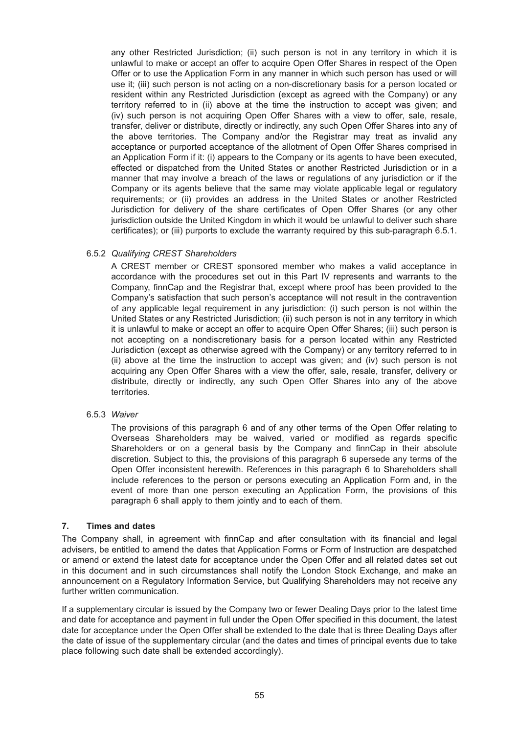any other Restricted Jurisdiction; (ii) such person is not in any territory in which it is unlawful to make or accept an offer to acquire Open Offer Shares in respect of the Open Offer or to use the Application Form in any manner in which such person has used or will use it; (iii) such person is not acting on a non-discretionary basis for a person located or resident within any Restricted Jurisdiction (except as agreed with the Company) or any territory referred to in (ii) above at the time the instruction to accept was given; and (iv) such person is not acquiring Open Offer Shares with a view to offer, sale, resale, transfer, deliver or distribute, directly or indirectly, any such Open Offer Shares into any of the above territories. The Company and/or the Registrar may treat as invalid any acceptance or purported acceptance of the allotment of Open Offer Shares comprised in an Application Form if it: (i) appears to the Company or its agents to have been executed, effected or dispatched from the United States or another Restricted Jurisdiction or in a manner that may involve a breach of the laws or regulations of any jurisdiction or if the Company or its agents believe that the same may violate applicable legal or regulatory requirements; or (ii) provides an address in the United States or another Restricted Jurisdiction for delivery of the share certificates of Open Offer Shares (or any other jurisdiction outside the United Kingdom in which it would be unlawful to deliver such share certificates); or (iii) purports to exclude the warranty required by this sub-paragraph 6.5.1.

### 6.5.2 *Qualifying CREST Shareholders*

A CREST member or CREST sponsored member who makes a valid acceptance in accordance with the procedures set out in this Part IV represents and warrants to the Company, finnCap and the Registrar that, except where proof has been provided to the Company's satisfaction that such person's acceptance will not result in the contravention of any applicable legal requirement in any jurisdiction: (i) such person is not within the United States or any Restricted Jurisdiction; (ii) such person is not in any territory in which it is unlawful to make or accept an offer to acquire Open Offer Shares; (iii) such person is not accepting on a nondiscretionary basis for a person located within any Restricted Jurisdiction (except as otherwise agreed with the Company) or any territory referred to in (ii) above at the time the instruction to accept was given; and (iv) such person is not acquiring any Open Offer Shares with a view the offer, sale, resale, transfer, delivery or distribute, directly or indirectly, any such Open Offer Shares into any of the above territories.

#### 6.5.3 *Waiver*

The provisions of this paragraph 6 and of any other terms of the Open Offer relating to Overseas Shareholders may be waived, varied or modified as regards specific Shareholders or on a general basis by the Company and finnCap in their absolute discretion. Subject to this, the provisions of this paragraph 6 supersede any terms of the Open Offer inconsistent herewith. References in this paragraph 6 to Shareholders shall include references to the person or persons executing an Application Form and, in the event of more than one person executing an Application Form, the provisions of this paragraph 6 shall apply to them jointly and to each of them.

#### **7. Times and dates**

The Company shall, in agreement with finnCap and after consultation with its financial and legal advisers, be entitled to amend the dates that Application Forms or Form of Instruction are despatched or amend or extend the latest date for acceptance under the Open Offer and all related dates set out in this document and in such circumstances shall notify the London Stock Exchange, and make an announcement on a Regulatory Information Service, but Qualifying Shareholders may not receive any further written communication.

If a supplementary circular is issued by the Company two or fewer Dealing Days prior to the latest time and date for acceptance and payment in full under the Open Offer specified in this document, the latest date for acceptance under the Open Offer shall be extended to the date that is three Dealing Days after the date of issue of the supplementary circular (and the dates and times of principal events due to take place following such date shall be extended accordingly).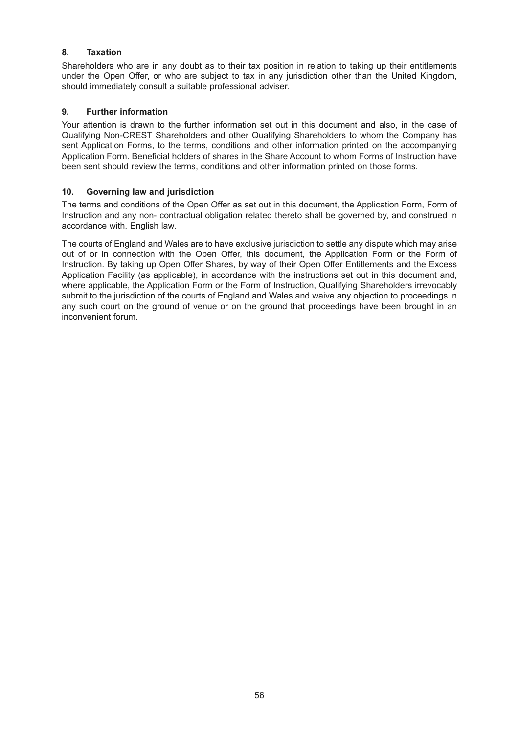# **8. Taxation**

Shareholders who are in any doubt as to their tax position in relation to taking up their entitlements under the Open Offer, or who are subject to tax in any jurisdiction other than the United Kingdom, should immediately consult a suitable professional adviser.

### **9. Further information**

Your attention is drawn to the further information set out in this document and also, in the case of Qualifying Non-CREST Shareholders and other Qualifying Shareholders to whom the Company has sent Application Forms, to the terms, conditions and other information printed on the accompanying Application Form. Beneficial holders of shares in the Share Account to whom Forms of Instruction have been sent should review the terms, conditions and other information printed on those forms.

### **10. Governing law and jurisdiction**

The terms and conditions of the Open Offer as set out in this document, the Application Form, Form of Instruction and any non- contractual obligation related thereto shall be governed by, and construed in accordance with, English law.

The courts of England and Wales are to have exclusive jurisdiction to settle any dispute which may arise out of or in connection with the Open Offer, this document, the Application Form or the Form of Instruction. By taking up Open Offer Shares, by way of their Open Offer Entitlements and the Excess Application Facility (as applicable), in accordance with the instructions set out in this document and, where applicable, the Application Form or the Form of Instruction, Qualifying Shareholders irrevocably submit to the jurisdiction of the courts of England and Wales and waive any objection to proceedings in any such court on the ground of venue or on the ground that proceedings have been brought in an inconvenient forum.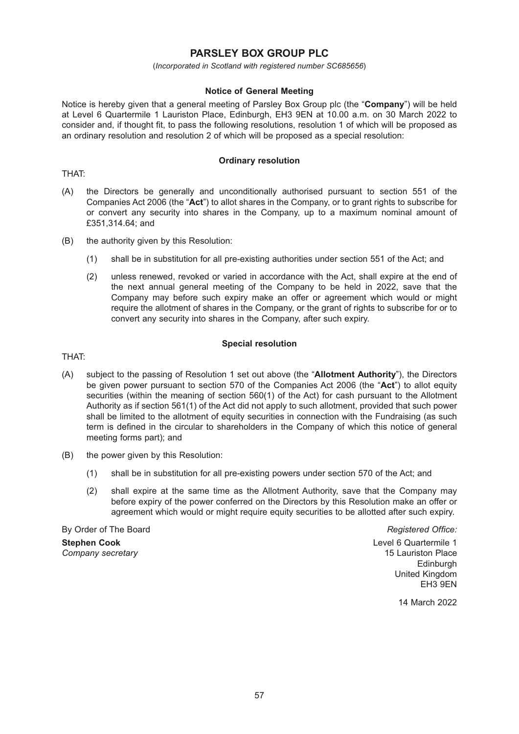# **PARSLEY BOX GROUP PLC**

(*Incorporated in Scotland with registered number SC685656*)

#### **Notice of General Meeting**

Notice is hereby given that a general meeting of Parsley Box Group plc (the "**Company**") will be held at Level 6 Quartermile 1 Lauriston Place, Edinburgh, EH3 9EN at 10.00 a.m. on 30 March 2022 to consider and, if thought fit, to pass the following resolutions, resolution 1 of which will be proposed as an ordinary resolution and resolution 2 of which will be proposed as a special resolution:

#### **Ordinary resolution**

THAT:

- (A) the Directors be generally and unconditionally authorised pursuant to section 551 of the Companies Act 2006 (the "**Act**") to allot shares in the Company, or to grant rights to subscribe for or convert any security into shares in the Company, up to a maximum nominal amount of £351,314.64; and
- (B) the authority given by this Resolution:
	- (1) shall be in substitution for all pre-existing authorities under section 551 of the Act; and
	- (2) unless renewed, revoked or varied in accordance with the Act, shall expire at the end of the next annual general meeting of the Company to be held in 2022, save that the Company may before such expiry make an offer or agreement which would or might require the allotment of shares in the Company, or the grant of rights to subscribe for or to convert any security into shares in the Company, after such expiry.

#### **Special resolution**

THAT:

- (A) subject to the passing of Resolution 1 set out above (the "**Allotment Authority**"), the Directors be given power pursuant to section 570 of the Companies Act 2006 (the "**Act**") to allot equity securities (within the meaning of section 560(1) of the Act) for cash pursuant to the Allotment Authority as if section 561(1) of the Act did not apply to such allotment, provided that such power shall be limited to the allotment of equity securities in connection with the Fundraising (as such term is defined in the circular to shareholders in the Company of which this notice of general meeting forms part); and
- (B) the power given by this Resolution:
	- (1) shall be in substitution for all pre-existing powers under section 570 of the Act; and
	- (2) shall expire at the same time as the Allotment Authority, save that the Company may before expiry of the power conferred on the Directors by this Resolution make an offer or agreement which would or might require equity securities to be allotted after such expiry.

By Order of The Board *Registered Office:* **Stephen Cook Level 6 Quartermile 1** 

*Company secretary* 15 Lauriston Place **Edinburgh** United Kingdom EH3 9EN

14 March 2022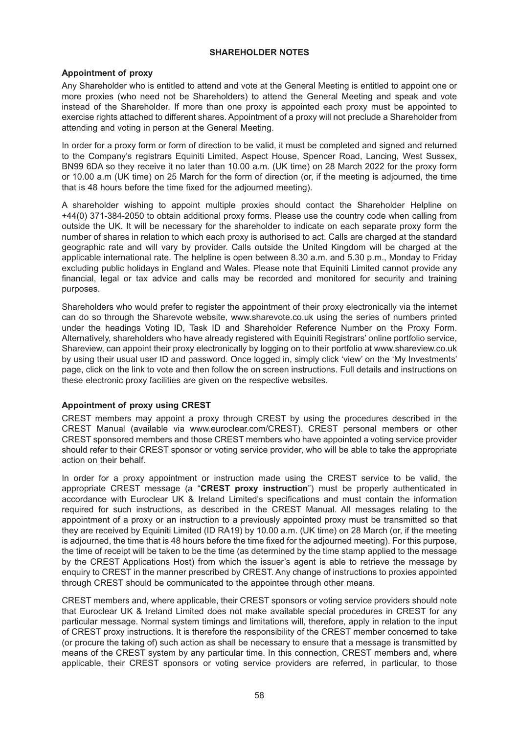#### **SHAREHOLDER NOTES**

#### **Appointment of proxy**

Any Shareholder who is entitled to attend and vote at the General Meeting is entitled to appoint one or more proxies (who need not be Shareholders) to attend the General Meeting and speak and vote instead of the Shareholder. If more than one proxy is appointed each proxy must be appointed to exercise rights attached to different shares. Appointment of a proxy will not preclude a Shareholder from attending and voting in person at the General Meeting.

In order for a proxy form or form of direction to be valid, it must be completed and signed and returned to the Company's registrars Equiniti Limited, Aspect House, Spencer Road, Lancing, West Sussex, BN99 6DA so they receive it no later than 10.00 a.m. (UK time) on 28 March 2022 for the proxy form or 10.00 a.m (UK time) on 25 March for the form of direction (or, if the meeting is adjourned, the time that is 48 hours before the time fixed for the adjourned meeting).

A shareholder wishing to appoint multiple proxies should contact the Shareholder Helpline on +44(0) 371-384-2050 to obtain additional proxy forms. Please use the country code when calling from outside the UK. It will be necessary for the shareholder to indicate on each separate proxy form the number of shares in relation to which each proxy is authorised to act. Calls are charged at the standard geographic rate and will vary by provider. Calls outside the United Kingdom will be charged at the applicable international rate. The helpline is open between 8.30 a.m. and 5.30 p.m., Monday to Friday excluding public holidays in England and Wales. Please note that Equiniti Limited cannot provide any financial, legal or tax advice and calls may be recorded and monitored for security and training purposes.

Shareholders who would prefer to register the appointment of their proxy electronically via the internet can do so through the Sharevote website, www.sharevote.co.uk using the series of numbers printed under the headings Voting ID, Task ID and Shareholder Reference Number on the Proxy Form. Alternatively, shareholders who have already registered with Equiniti Registrars' online portfolio service, Shareview, can appoint their proxy electronically by logging on to their portfolio at www.shareview.co.uk by using their usual user ID and password. Once logged in, simply click 'view' on the 'My Investments' page, click on the link to vote and then follow the on screen instructions. Full details and instructions on these electronic proxy facilities are given on the respective websites.

### **Appointment of proxy using CREST**

CREST members may appoint a proxy through CREST by using the procedures described in the CREST Manual (available via www.euroclear.com/CREST). CREST personal members or other CREST sponsored members and those CREST members who have appointed a voting service provider should refer to their CREST sponsor or voting service provider, who will be able to take the appropriate action on their behalf.

In order for a proxy appointment or instruction made using the CREST service to be valid, the appropriate CREST message (a "**CREST proxy instruction**") must be properly authenticated in accordance with Euroclear UK & Ireland Limited's specifications and must contain the information required for such instructions, as described in the CREST Manual. All messages relating to the appointment of a proxy or an instruction to a previously appointed proxy must be transmitted so that they are received by Equiniti Limited (ID RA19) by 10.00 a.m. (UK time) on 28 March (or, if the meeting is adjourned, the time that is 48 hours before the time fixed for the adjourned meeting). For this purpose, the time of receipt will be taken to be the time (as determined by the time stamp applied to the message by the CREST Applications Host) from which the issuer's agent is able to retrieve the message by enquiry to CREST in the manner prescribed by CREST. Any change of instructions to proxies appointed through CREST should be communicated to the appointee through other means.

CREST members and, where applicable, their CREST sponsors or voting service providers should note that Euroclear UK & Ireland Limited does not make available special procedures in CREST for any particular message. Normal system timings and limitations will, therefore, apply in relation to the input of CREST proxy instructions. It is therefore the responsibility of the CREST member concerned to take (or procure the taking of) such action as shall be necessary to ensure that a message is transmitted by means of the CREST system by any particular time. In this connection, CREST members and, where applicable, their CREST sponsors or voting service providers are referred, in particular, to those